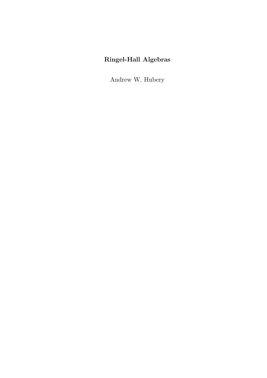# Ringel-Hall Algebras

Andrew W. Hubery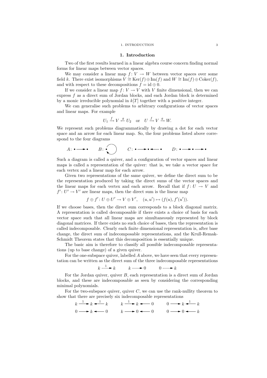### 1. INTRODUCTION 3

## 1. Introduction

Two of the first results learned in a linear algebra course concern finding normal forms for linear maps between vector spaces.

We may consider a linear map  $f: V \to W$  between vector spaces over some field k. There exist isomorphisms  $V \cong \text{Ker}(f) \oplus \text{Im}(f)$  and  $W \cong \text{Im}(f) \oplus \text{Coker}(f)$ , and with respect to these decompositions  $f = id \oplus 0$ .

If we consider a linear map  $f: V \to V$  with V finite dimensional, then we can express f as a direct sum of Jordan blocks, and each Jordan block is determined by a monic irreducible polynomial in  $k[T]$  together with a positive integer.

We can generalise such problems to arbitrary configurations of vector spaces and linear maps. For example

$$
U_1 \xrightarrow{f} V \xleftarrow{g} U_2 \quad \text{or} \quad U \xrightarrow{f} V \xrightarrow{g} W.
$$

We represent such problems diagrammatically by drawing a dot for each vector space and an arrow for each linear map. So, the four problems listed above correspond to the four diagrams

$$
A: \bullet \longrightarrow \bullet \qquad B: \bullet \qquad C: \bullet \longrightarrow \bullet \longrightarrow \bullet \qquad D: \bullet \longrightarrow \bullet \longrightarrow \bullet
$$

Such a diagram is called a quiver, and a configuration of vector spaces and linear maps is called a representation of the quiver: that is, we take a vector space for each vertex and a linear map for each arrow.

Given two representations of the same quiver, we define the direct sum to be the representation produced by taking the direct sums of the vector spaces and the linear maps for each vertex and each arrow. Recall that if  $f: U \to V$  and  $f' : U' \to V'$  are linear maps, then the direct sum is the linear map

$$
f \oplus f' : U \oplus U' \to V \oplus V', \quad (u, u') \mapsto (f(u), f'(u')).
$$

If we choose bases, then the direct sum corresponds to a block diagonal matrix. A representation is called decomposable if there exists a choice of basis for each vector space such that all linear maps are simultaneously represented by block diagonal matrices. If there exists no such choice of bases, then the representation is called indecomposable. Clearly each finite dimensional representation is, after base change, the direct sum of indecomposable representations, and the Krull-Remak-Schmidt Theorem states that this decomposition is essentially unique.

The basic aim is therefore to classify all possible indecomposable representations (up to base change) of a given quiver.

For the one-subspace quiver, labelled A above, we have seen that every representation can be written as the direct sum of the three indecomposable representations

$$
k \xrightarrow{1} k \qquad k \longrightarrow 0 \qquad 0 \longrightarrow k
$$

For the Jordan quiver, quiver  $B$ , each representation is a direct sum of Jordan blocks, and these are indecomposable as seen by considering the corresponding minimal polynomials.

For the two-subspace quiver, quiver  $C$ , we can use the rank-nullity theorem to show that there are precisely six indecomposable representations

$$
k \xrightarrow{1} k \xrightarrow{1} k \qquad k \xrightarrow{1} k \xrightarrow{k} k \xrightarrow{0} 0 \qquad 0 \longrightarrow k \xrightarrow{1} k
$$
  
0 \longrightarrow k \xrightarrow{0} 0 \qquad k \longrightarrow 0 \xrightarrow{0} 0 \qquad 0 \longrightarrow k \xrightarrow{k}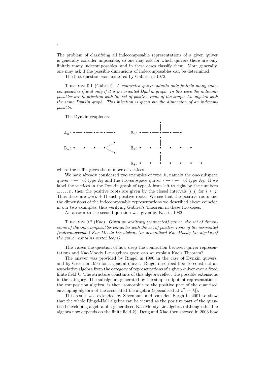The problem of classifying all indecomposable representations of a given quiver is generally consider impossible, so one may ask for which quivers there are only finitely many indecomposables, and in these cases classify them. More generally, one may ask if the possible dimensions of indecomposables can be determined.

The first question was answered by Gabriel in 1972.

THEOREM 0.1 (Gabriel). A connected quiver admits only finitely many indecomposables if and only if it is an oriented Dynkin graph. In this case the indecomposables are in bijection with the set of positive roots of the simple Lie algebra with the same Dynkin graph. This bijection is given via the dimension of an indecomposable.

The Dynkin graphs are



where the suffix gives the number of vertices.

We have already considered two examples of type A, namely the one-subspace quiver  $\cdot \rightarrow \cdot$  of type  $\mathbb{A}_2$  and the two-subspace quiver  $\cdot \rightarrow \cdot \leftarrow \cdot$  of type  $\mathbb{A}_3$ . If we label the vertices in the Dynkin graph of type A from left to right by the numbers 1,..., *n*, then the positive roots are given by the closed intervals [i, j] for  $i \leq j$ . Thus there are  $\frac{1}{2}n(n + 1)$  such positive roots. We see that the positive roots and the dimensions of the indecomposable representations we described above coincide in our two examples, thus verifying Gabriel's Theorem in these two cases.

An answer to the second question was given by Kac in 1982.

THEOREM 0.2 (Kac). Given an arbitrary (connected) quiver, the set of dimensions of the indecomposables coincides with the set of positive roots of the associated (indecomposable) Kac-Moody Lie algbera (or generalised Kac-Moody Lie algebra if the quiver contains vertex loops).

This raises the question of how deep the connection between quiver representations and Kac-Moody Lie algebras goes: can we explain Kac's Theorem?

The answer was provided by Ringel in 1990 in the case of Dynkin quivers, and by Green in 1995 for a general quiver. Ringel described how to construct an associative algebra from the category of representations of a given quiver over a fixed finite field  $k$ . The structure constants of this algebra reflect the possible extensions in the category. The subalgebra generated by the simple nilpotent representations, the composition algebra, is then isomorphic to the positive part of the quantised enveloping algebra of the associated Lie algebra (specialised at  $v^2 = |k|$ ).

This result was extended by Sevenhant and Van den Bergh in 2001 to show that the whole Ringel-Hall algebra can be viewed as the positive part of the quantised enveloping algebra of a generalised Kac-Moody Lie algebra (although this Lie algebra now depends on the finite field  $k$ ). Deng and Xiao then showed in 2003 how

4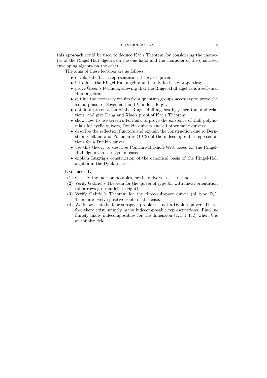## 1. INTRODUCTION 5

this approach could be used to deduce Kac's Theorem, by considering the character of the Ringel-Hall algebra on the one hand and the character of the quantised enveloping algebra on the other.

The aims of these lectures are as follows:

- develop the basic representation theory of quivers;
- introduce the Ringel-Hall algebra and study its basic properties;
- prove Green's Formula, showing that the Ringel-Hall algebra is a self-dual Hopf algebra;
- outline the necessary results from quantum groups necessary to prove the isomorphism of Sevenhant and Van den Bergh;
- obtain a presentation of the Ringel-Hall algebra by generators and relations, and give Deng and Xiao's proof of Kac's Theorem;
- show how to use Green's Formula to prove the existence of Hall polynomials for cyclic quivers, Dynkin quivers and all other tame quivers;
- describe the reflection functors and explain the construction due to Bernstein, Gelfand and Ponomarev (1973) of the indecomposable representations for a Dynkin quiver;
- $\bullet$  use this theory to describe Poincaré-Birkhoff-Witt bases for the Ringel-Hall algebra in the Dynkin case;
- explain Lusztig's construction of the canonical basis of the Ringel-Hall algebra in the Dynkin case.

## Exercises 1.

- (1) Classify the indecomposables for the quivers  $\cdot \leftarrow \cdot \rightarrow \cdot$  and  $\cdot \rightarrow \cdot \rightarrow \cdot$ .
- (2) Verify Gabriel's Theorem for the quiver of type  $\mathbb{A}_n$  with linear orientation (all arrows go from left to right).
- (3) Verify Gabriel's Theorem for the three-subspace quiver (of type  $\mathbb{D}_4$ ). There are twelve positive roots in this case.
- (4) We know that the four-subspace problem is not a Dynkin quiver. Therefore there exist infinitly many indecomposable representations. Find infinitely many indecomposables for the dimension  $(1, 1, 1, 1, 2)$  when k is an infinite field.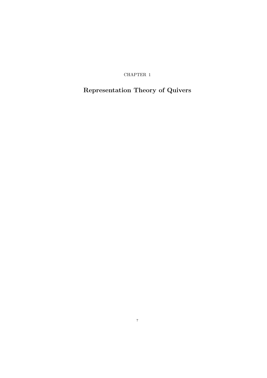CHAPTER 1

# Representation Theory of Quivers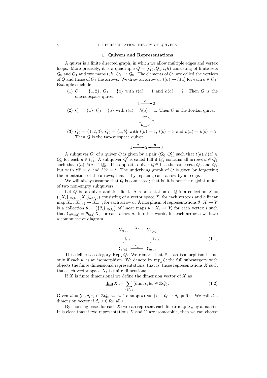#### 1. Quivers and Representations

A quiver is a finite directed graph, in which we allow multiple edges and vertex loops. More precisely, it is a quadruple  $Q = (Q_0, Q_1, t, h)$  consisting of finite sets  $Q_0$  and  $Q_1$  and two maps  $t, h: Q_1 \to Q_0$ . The elements of  $Q_0$  are called the vertices of Q and those of  $Q_1$  the arrows. We draw an arrow  $a: t(a) \to h(a)$  for each  $a \in Q_1$ . Examples include

(1)  $Q_0 = \{1, 2\}$ ,  $Q_1 = \{a\}$  with  $t(a) = 1$  and  $h(a) = 2$ . Then Q is the one-subspace quiver

$$
1 \xrightarrow{a} 2
$$

(2)  $Q_0 = \{1\}$ ,  $Q_1 = \{a\}$  with  $t(a) = h(a) = 1$ . Then Q is the Jordan quiver

$$
\bigcup a
$$

(3)  $Q_0 = \{1, 2, 3\}, Q_0 = \{a, b\}$  with  $t(a) = 1, t(b) = 3$  and  $h(a) = h(b) = 2$ . Then Q is the two-subspace quiver

$$
1 \xrightarrow{a} 2 \xrightarrow{b} 3
$$

A subquiver  $Q'$  of a quiver  $Q$  is given by a pair  $(Q'_0, Q'_1)$  such that  $t(a), h(a) \in$  $Q'_0$  for each  $a \in Q'_1$ . A subquiver  $Q'$  is called full if  $Q'_1$  contains all arrows  $a \in Q_1$ such that  $t(a), h(a) \in Q'_0$ . The opposite quiver  $Q^{\text{op}}$  has the same sets  $Q_0$  and  $Q_1$ but with  $t^{\text{op}} = h$  and  $h^{\text{op}} = t$ . The underlying graph of Q is given by forgetting the orientation of the arrows; that is, by repacing each arrow by an edge.

We will always assume that Q is connected; that is, it is not the disjoint union of two non-empty subquivers.

Let Q be a quiver and k a field. A representation of Q is a collection  $X =$  ${X_i}_{i \in Q_0}, {X_a}_{a \in Q_1}$  consisting of a vector space  $X_i$  for each vertex i and a linear map  $X_a: X_{t(a)} \to X_{h(a)}$  for each arrow a. A morphism of representations  $\theta: X \to Y$ is a collection  $\theta = (\{\theta_i\}_{i \in Q_0})$  of linear maps  $\theta_i \colon X_i \to Y_i$  for each vertex i such that  $Y_a \theta_{t(a)} = \theta_{h(a)} X_a$  for each arrow a. In other words, for each arrow a we have a commutative diagram

$$
X_{t(a)} \xrightarrow{X_a} X_{h(a)}
$$
  
\n
$$
\downarrow \theta_{t(a)} \qquad \qquad \downarrow \theta_{h(a)}
$$
  
\n
$$
Y_{t(a)} \xrightarrow{Y_a} Y_{h(a)}
$$
 (1.1)

This defines a category Rep<sub>k</sub> Q. We remark that  $\theta$  is an isomorphism if and only if each  $\theta_i$  is an isomorphism. We denote by  $\text{rep}_k Q$  the full subcategory with objects the finite dimensional representations; that is, those representations  $X$  such that each vector space  $X_i$  is finite dimensional.

If  $X$  is finite dimensional we define the dimension vector of  $X$  as

$$
\underline{\dim} X := \sum_{i \in Q_0} (\dim X_i) e_i \in \mathbb{Z} Q_0.
$$
\n(1.2)

Given  $\underline{d} = \sum_i d_i e_i \in \mathbb{Z}Q_0$  we write  $\text{supp}(\underline{d}) := \{i \in Q_0 : d_i \neq 0\}$ . We call  $\underline{d}$  a dimension vector if  $d_i \geq 0$  for all *i*.

By choosing bases for each  $X_i$  we can represent each linear map  $X_a$  by a matrix. It is clear that if two representations  $X$  and  $Y$  are isomorphic, then we can choose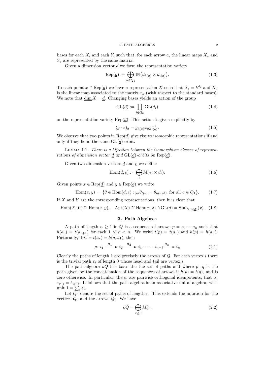bases for each  $X_i$  and each  $Y_i$  such that, for each arrow a, the linear maps  $X_a$  and  $Y_a$  are represented by the same matrix.

Given a dimension vector  $d$  we form the representation variety

$$
\operatorname{Rep}(\underline{d}) := \bigoplus_{a \in Q_1} \mathbb{M}(d_{h(a)} \times d_{t(a)}).
$$
\n(1.3)

To each point  $x \in \text{Rep}(\underline{d})$  we have a representation X such that  $X_i = k^{d_i}$  and  $X_a$ is the linear map associated to the matrix  $x_a$  (with respect to the standard bases). We note that dim  $X = d$ . Changing bases yields an action of the group

$$
GL(\underline{d}) := \prod_{i \in Q_0} GL(d_i)
$$
\n(1.4)

on the representation variety  $\text{Rep}(d)$ . This action is given explicitly by

$$
(g \cdot x)_a = g_{h(a)} x_a g_{t(a)}^{-1}.
$$
\n(1.5)

We observe that two points in  $\text{Rep}(\underline{d})$  give rise to isomorphic representations if and only if they lie in the same  $GL(\underline{d})$ -orbit.

Lemma 1.1. There is a bijection between the isomorphism classes of representations of dimension vector  $\underline{d}$  and  $GL(\underline{d})$ -orbits on  $Rep(\underline{d})$ .

Given two dimension vectors  $\underline{d}$  and  $\underline{e}$  we define

$$
\text{Hom}(\underline{d}, \underline{e}) := \bigoplus_{i} \mathbb{M}(e_i \times d_i). \tag{1.6}
$$

Given points  $x \in \text{Rep}(\underline{d})$  and  $y \in \text{Rep}(\underline{e})$  we write

$$
\text{Hom}(x, y) := \{ \theta \in \text{Hom}(\underline{d}, \underline{e}) : y_a \theta_{t(a)} = \theta_{h(a)} x_a \text{ for all } a \in Q_1 \}. \tag{1.7}
$$

If  $X$  and  $Y$  are the corresponding representations, then it is clear that

 $Hom(X, Y) \cong Hom(x, y), \quad Aut(X) \cong Hom(x, x) \cap GL(\underline{d}) = Stab_{GL(d)}(x).$  (1.8)

# 2. Path Algebras

A path of length  $n \geq 1$  in Q is a sequence of arrows  $p = a_1 \cdots a_n$  such that  $h(a_r) = t(a_{r+1})$  for each  $1 \leq r < n$ . We write  $t(p) = t(a_1)$  and  $h(p) = h(a_n)$ . Pictorially, if  $i_r = t(a_r) = h(a_{r+1})$ , then

$$
p: i_1 \xrightarrow{a_1} i_2 \xrightarrow{a_2} i_3 --- i_{n-1} \xrightarrow{a_n} i_n \tag{2.1}
$$

Clearly the paths of length 1 are precisely the arrows of  $Q$ . For each vertex i there is the trivial path  $\varepsilon_i$  of length 0 whose head and tail are vertex *i*.

The path algebra  $kQ$  has basis the the set of paths and where  $p \cdot q$  is the path given by the concatenation of the sequences of arrows if  $h(p) = t(q)$ , and is zero otherwise. In particular, the  $\varepsilon_i$  are pairwise orthogonal idempotents; that is,  $\varepsilon_i \varepsilon_j = \delta_{ij} \varepsilon_i$ . It follows that the path algebra is an associative unital algebra, with unit  $1 = \sum_i \varepsilon_i$ .

Let  $Q_r$  denote the set of paths of length r. This extends the notation for the vertices  $Q_0$  and the arrows  $Q_1$ . We have

$$
kQ = \bigoplus_{r \ge 0} kQ_r,\tag{2.2}
$$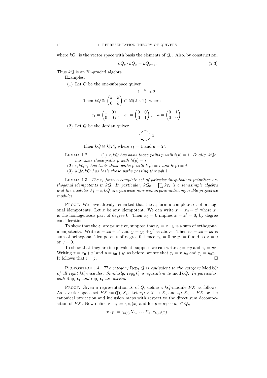where  $kQ_r$  is the vector space with basis the elements of  $Q_r$ . Also, by construction,

$$
kQ_r \cdot kQ_s = kQ_{r+s}.\tag{2.3}
$$

.

Thus  $kQ$  is an N<sub>0</sub>-graded algebra.

Examples.

(1) Let Q be the one-subspace quiver

Then 
$$
kQ \approx \begin{pmatrix} k & k \\ 0 & k \end{pmatrix} \subset M(2 \times 2)
$$
, where  
 $\varepsilon_1 = \begin{pmatrix} 1 & 0 \\ 0 & 0 \end{pmatrix}$ ,  $\varepsilon_2 = \begin{pmatrix} 0 & 0 \\ 0 & 1 \end{pmatrix}$ ,  $a = \begin{pmatrix} 0 & 1 \\ 0 & 0 \end{pmatrix}$ 

(2) Let Q be the Jordan quiver

$$
\bigcirc a
$$

Then 
$$
kQ \cong k[T]
$$
, where  $\varepsilon_1 = 1$  and  $a = T$ .

- LEMMA 1.2. (1)  $\varepsilon_i kQ$  has basis those paths p with  $t(p) = i$ . Dually,  $kQ\varepsilon_i$ has basis those paths p with  $h(p) = i$ .
	- (2)  $\varepsilon_i kQ \varepsilon_j$  has basis those paths p with  $t(p) = i$  and  $h(p) = j$ .
	- (3)  $kQ\varepsilon_i kQ$  has basis those paths passing through i.

LEMMA 1.3. The  $\varepsilon_i$  form a complete set of pairwise inequivalent primitive orthogonal idempotents in kQ. In particular,  $kQ_0 = \prod_i k \varepsilon_i$  is a semisimple algebra and the modules  $P_i = \varepsilon_i kQ$  are pairwise non-isomorphic indecomposable projective modules.

PROOF. We have already remarked that the  $\varepsilon_i$  form a complete set of orthogonal idempotents. Let x be any idempotent. We can write  $x = x_0 + x'$  where  $x_0$ is the homogeneous part of degree 0. Then  $x_0 = 0$  implies  $x = x' = 0$ , by degree considerations.

To show that the  $\varepsilon_i$  are primitive, suppose that  $\varepsilon_i = x + y$  is a sum of orthogonal idempotents. Write  $x = x_0 + x'$  and  $y = y_0 + y'$  as above. Then  $\varepsilon_i = x_0 + y_0$  is sum of orthogonal idempotents of degree 0, hence  $x_0 = 0$  or  $y_0 = 0$  and so  $x = 0$ or  $y = 0$ .

To show that they are inequivalent, suppose we can write  $\varepsilon_i = xy$  and  $\varepsilon_j = yx$ . Writing  $x = x_0 + x'$  and  $y = y_0 + y'$  as before, we see that  $\varepsilon_i = x_0 y_0$  and  $\varepsilon_j = y_0 x_0$ . It follows that  $i = j$ .

PROPOSITION 1.4. The category  $\text{Rep}_{k} Q$  is equivalent to the category  $\text{Mod } kQ$ of all right kQ-modules. Similarly,  $rep_k Q$  is equivalent to mod kQ. In particular, both  $\text{Rep}_k Q$  and  $\text{rep}_k Q$  are abelian.

PROOF. Given a representation X of  $Q$ , define a  $kQ$ -module  $FX$  as follows. As a vector space set  $FX := \bigoplus_i X_i$ . Let  $\pi_i: FX \to X_i$  and  $\iota_i: X_i \to FX$  be the canonical projection and inclusion maps with respect to the direct sum decomposition of FX. Now define  $x \cdot \varepsilon_i := \iota_i \pi_i(x)$  and for  $p = a_1 \cdots a_n \in Q_n$ 

$$
x \cdot p := \iota_{h(p)} X_{a_n} \cdots X_{a_1} \pi_{t(p)}(x).
$$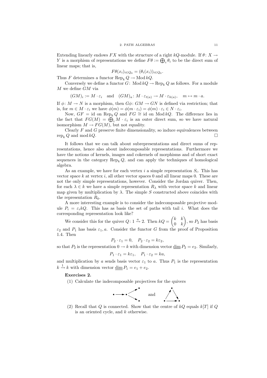Extending linearly endows FX with the structure of a right kQ-module. If  $\theta: X \to$ Y is a morphism of representations we define  $F\theta := \bigoplus_i \theta_i$  to be the direct sum of linear maps; that is,

$$
F\theta(x_i)_{i \in Q_0} = (\theta_i(x_i))_{i \in Q_0}.
$$

Thus F determines a functor  $\text{Rep}_k Q \to \text{Mod } kQ$ .

Conversely we define a functor  $G: Mod kQ \to Rep_k Q$  as follows. For a module  $M$  we define  $GM$  via

$$
(GM)_i := M \cdot \varepsilon_i
$$
 and  $(GM)_a : M \cdot \varepsilon_{t(a)} \to M \cdot \varepsilon_{h(a)}, m \mapsto m \cdot a$ .

If  $\phi \colon M \to N$  is a morphism, then  $G\phi \colon GM \to GN$  is defined via restriction; that is, for  $m \in M \cdot \varepsilon_i$  we have  $\phi(m) = \phi(m \cdot \varepsilon_i) = \phi(m) \cdot \varepsilon_i \in N \cdot \varepsilon_i$ .

Now,  $GF = id$  on Rep<sub>k</sub> Q and  $FG \cong id$  on Mod kQ. The difference lies in the fact that  $FG(M) = \bigoplus_i M \cdot \varepsilon_i$  is an outer direct sum, so we have natural isomorphism  $M \to FG(M)$ , but not equality.

Clearly  $F$  and  $G$  preserve finite dimensionality, so induce equivalences between  $\text{rep}_k Q$  and mod  $kQ$ .

It follows that we can talk about subrepresentations and direct sums of representations, hence also about indecomposable representations. Furthermore we have the notions of kernels, images and cokernels of morphisms and of short exact sequences in the category  $\text{Rep}_k Q$ , and can apply the techniques of homological algebra.

As an example, we have for each vertex  $i$  a simple representation  $S_i$ . This has vector space k at vertex i, all other vector spaces 0 and all linear maps 0. These are not the only simple representations, however. Consider the Jordan quiver. Then, for each  $\lambda \in k$  we have a simple representation  $R_{\lambda}$  with vector space k and linear map given by multiplication by  $\lambda$ . The simple S constructed above coincides with the representation  $R_0$ .

A more interesting example is to consider the indecomposable projective module  $P_i = \varepsilon_i kQ$ . This has as basis the set of paths with tail i. What does the corresponding representation look like?

We consider this for the quiver  $Q: 1 \stackrel{a}{\rightarrow} 2$ . Then  $kQ = \begin{pmatrix} k & k \\ 0 & k \end{pmatrix}$  $0 \quad k$  $\overline{ }$ , so  $P_2$  has basis  $\varepsilon_2$  and  $P_1$  has basis  $\varepsilon_1, a$ . Consider the functor G from the proof of Proposition 1.4. Then

$$
P_2 \cdot \varepsilon_1 = 0, \quad P_2 \cdot \varepsilon_2 = k \varepsilon_2,
$$

so that  $P_2$  is the representation  $0 \to k$  with dimension vector  $\dim P_2 = e_2$ . Similarly,

$$
P_1 \cdot \varepsilon_1 = k\varepsilon_1, \quad P_1 \cdot \varepsilon_2 = ka,
$$

and multiplication by a sends basis vector  $\varepsilon_1$  to a. Thus  $P_1$  is the representation  $k \xrightarrow{1} k$  with dimension vector  $\underline{\dim} P_1 = e_1 + e_2$ .

# Exercises 2.

(1) Calculate the indecomposable projectives for the quivers



(2) Recall that  $Q$  is connected. Show that the centre of  $kQ$  equals  $k[T]$  if  $Q$ is an oriented cycle, and k otherwise.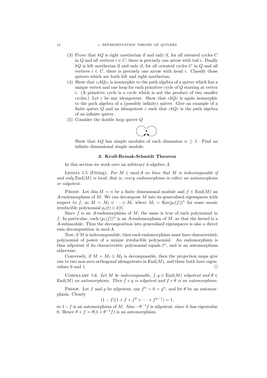- (3) Prove that  $kQ$  is right noetherian if and only if, for all oriented cycles C in Q and all vertices  $i \in C$ , there is precisely one arrow with tail i. Dually  $kQ$  is left noetherian if and only if, for all oriented cycles  $C$  in  $Q$  and all vertices  $i \in C$ , there is precisely one arrow with head i. Classify those quivers which are both left and right noetherian.
- (4) Show that  $\varepsilon_i kQ \varepsilon_i$  is isomorphic to the path algebra of a quiver which has a unique vertex and one loop for each primitive cycle of Q starting at vertex i. (A primitive cycle is a cycle which is not the product of two smaller cycles.) Let  $\varepsilon$  be any idempotent. Show that  $\varepsilon kQ\varepsilon$  is again isomorphic to the path algebra of a (possibly infinite) quiver. Give an example of a finite quiver Q and an idempotent  $\varepsilon$  such that  $\varepsilon kQ\varepsilon$  is the path algebra of an infinite quiver.
- (5) Consider the double loop quiver Q



Show that kQ has simple modules of each dimension  $n \geq 1$ . Find an infinite dimensional simple module.

# 3. Krull-Remak-Schmidt Theorem

In this section we work over an arbitrary k-algebra A.

LEMMA 1.5 (Fitting). For  $M \in \text{mod } A$  we have that M is indecomposable if and only  $\text{End}(M)$  is local; that is, every endomorphism is either an automorphism or nilpotent.

PROOF. Let dim  $M = n$  be a finite dimensional module and  $f \in End(M)$  and A-endomorphism of  $M$ . We can decompose  $M$  into its generalised eigenspaces with respect to f, so  $M = M_1 \oplus \cdots \oplus M_r$  where  $M_i = \text{Ker}(p_i(f))^n$  for some monic irreducible polynomial  $p_i(t) \in k[t]$ .

Since  $f$  is an A-endomorphism of  $M$ , the same is true of each polynomial in f. In particular, each  $(p_i(f))^n$  is an A-endomorphism of M, so that the kernel is a A-submodule. Thus the decomposition into generalised eigenspaces is also a direct sum decomposition in mod A.

Now, if  $M$  is indecomposable, then each endomorphism must have characteristic polynomial of power of a unique irreducible polynomial. An endomorphism is thus nilpotent if its characteristic polynomial equals  $t<sup>n</sup>$ , and is an automorphism otherwise.

Conversely, if  $M = M_1 \oplus M_2$  is decomposable, then the projection maps give rise to two non-zero orthogonal idempotents in  $\text{End}(M)$ , and these both have eigenvalues  $0$  and  $1$ .

COROLLARY 1.6. Let M be indecomposable,  $f, g \in End(M)$  nilpotent and  $\theta \in$  $\text{End}(M)$  an automorphism. Then  $f + g$  is nilpotent and  $f + \theta$  is an automorphism.

PROOF. Let f and g be nilpotent, say  $f^n = 0 = g^n$ , and let  $\theta$  be an automorphism. Clearly

$$
(1-f)(1+f+f^2+\cdots+f^{n-1})=1,
$$

so  $1-f$  is an automorphism of M. Also  $-\theta^{-1}f$  is nilpotent, since it has eigenvalue 0. Hence  $\theta + f = \theta(1 + \theta^{-1}f)$  is an automorphism.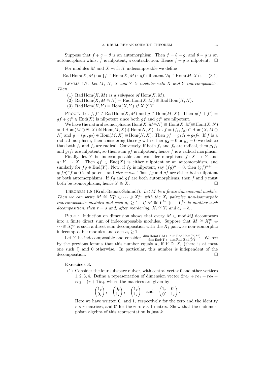Suppose that  $f + g = \theta$  is an automorphism. Then  $f = \theta - g$ , and  $\theta - g$  is an automorphism whilst f is nilpotent, a contradiction. Hence  $f + g$  is nilpotent.  $\Box$ 

For modules  $M$  and  $X$  with  $X$  indecomposable we define

Rad  $\text{Hom}(X, M) := \{f \in \text{Hom}(X, M) : gf \text{ nilpotent } \forall g \in \text{Hom}(M, X)\}.$  (3.1)

LEMMA 1.7. Let  $M$ ,  $N$ ,  $X$  and  $Y$  be modules with  $X$  and  $Y$  indecomposable. Then

- (1) Rad  $\text{Hom}(X, M)$  is a subspace of  $\text{Hom}(X, M)$ .
- (2) Rad  $\text{Hom}(X, M \oplus N) = \text{Rad Hom}(X, M) \oplus \text{Rad Hom}(X, N)$ .
- (3) Rad Hom $(X, Y) = \text{Hom}(X, Y)$  if  $X \not\cong Y$ .

PROOF. Let  $f, f' \in \text{Rad Hom}(X, M)$  and  $g \in \text{Hom}(M, X)$ . Then  $g(f + f') =$  $gf + gf' \in End(X)$  is nilpotent since both  $gf$  and  $gf'$  are nilpotent.

We have the natural isomorphisms  $Hom(X, M\oplus N) \cong Hom(X, M)\oplus Hom(X, N)$ and  $\text{Hom}(M \oplus N, X) \cong \text{Hom}(M, X) \oplus \text{Hom}(N, X)$ . Let  $f = (f_1, f_2) \in \text{Hom}(X, M \oplus Y)$ N) and  $g = (g_1, g_2) \in \text{Hom}(M, X) \oplus \text{Hom}(N, X)$ . Then  $gf = g_1 f_1 + g_2 f_2$ . If f is a radical morphism, then considering those g with either  $g_2 = 0$  or  $g_1 = 0$  we deduce that both  $f_1$  and  $f_2$  are radical. Conversely, if both  $f_1$  and  $f_2$  are radical, then  $g_1f_1$ and  $g_2f_2$  are nilpotent, so their sum gf is nilpotent, hence f is a radical morphism.

Finally, let Y be indecomposable and consider morphisms  $f: X \to Y$  and  $g: Y \to X$ . Then  $gf \in End(X)$  is either nilpotent or an automorphism, and similarly for  $fg \in End(Y)$ . Now, if  $fg$  is nilpotent, say  $(fg)^n = 0$ , then  $(gf)^{n+1} =$  $g(fg)^n f = 0$  is nilpotent, and *vice versa*. Thus fg and gf are either both nilpotent or both automorphisms. If  $fg$  and  $gf$  are both automorphisms, then  $f$  and  $g$  must both be isomorphisms, hence  $Y \cong X$ .

THEOREM 1.8 (Krull-Remak-Schmidt). Let M be a finite dimensional module. Then we can write  $M \cong X_1^{a_1} \oplus \cdots \oplus X_r^{a_r}$  with the  $X_i$  pairwise non-isomorphic indecomposable modules and each  $a_i \geq 1$ . If  $M \cong Y_1^{b_1} \oplus \cdots Y_s^{b_s}$  is another such decomposition, then  $r = s$  and, after reordering,  $X_i \cong Y_i$  and  $a_i = b_i$ .

PROOF. Induction on dimension shows that every  $M \in \text{mod } kQ$  decomposes into a finite direct sum of indecomposable modules. Suppose that  $M \cong X_1^{a_1} \oplus X_2^{a_2}$  $\cdots \oplus X_r^{a_r}$  is such a direct sum decomposition with the  $X_i$  pairwise non-isomorphic indecomposable modules and each  $a_i \geq 1$ .

Let Y be indecomposable and consider  $\frac{\dim \text{Hom}(Y,M)-\dim \text{Rad Hom}(Y,M)}{\dim \text{End}(Y)-\dim \text{Rad End}(Y)}$ . We see by the previous lemma that this number equals  $a_i$  if  $Y \cong X_i$  (there is at most one such  $i$ ) and 0 otherwise. In particular, this number is independent of the decomposition.

## Exercises 3.

(1) Consider the four subspace quiver, with central vertex 0 and other vertices 1, 2, 3, 4. Define a representation of dimension vector  $2re_0 + re_1 + re_2 +$  $re_3 + (r + 1)e_4$ , where the matrices are given by

$$
\begin{pmatrix} 1_r \\ 0_r \end{pmatrix}
$$
,  $\begin{pmatrix} 0_r \\ 1_r \end{pmatrix}$ ,  $\begin{pmatrix} 1_r \\ 1_r \end{pmatrix}$  and  $\begin{pmatrix} 1_r & 0' \\ 0' & 1_r \end{pmatrix}$ .

Here we have written  $0_r$  and  $1_r$  respectively for the zero and the identity  $r \times r$ -matrices, and 0' for the zero  $r \times 1$ -matrix. Show that the endomorphism algebra of this representation is just  $k$ .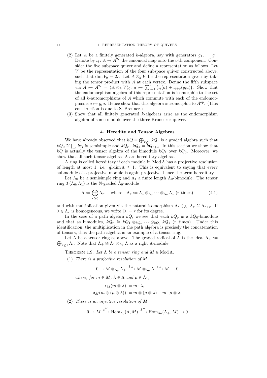#### 14 1. REPRESENTATION THEORY OF QUIVERS

- (2) Let A be a finitely generated k-algebra, say with generators  $g_1, \ldots, g_r$ . Denote by  $\iota_i: A \to A^{2r}$  the canonical map onto the *i*-th component. Consider the five subspace quiver and define a representation as follows. Let V be the representation of the four subspace quiver constructed above, such that dim  $V_0 = 2r$ . Let  $A \otimes_k V$  be the representation given by taking the tensor product with  $A$  at each vertex. Define the fifth subspace via  $A \mapsto A^{2r} = (A \otimes_k V)_0, a \mapsto \sum_{i=1}^r (\iota_i(a) + \iota_{i+r}(g_i a))$ . Show that the endomorphism algebra of this representation is isomorphic to the set of all k-automorphisms of A which commute with each of the endomorphisms  $a \mapsto g_i a$ . Hence show that this algebra is isomorphic to  $A^{\rm op}$ . (This construction is due to S. Brenner.)
- (3) Show that all finitely generated  $k$ -algebras arise as the endomorphism algebra of some module over the three Kronecker quiver.

## 4. Heredity and Tensor Algebras

We have already observed that  $kQ = \bigoplus_{r \geq 0} kQ_r$  is a graded algebra such that  $kQ_0 \cong \prod_i k\varepsilon_i$  is semisimple and  $kQ_r \cdot kQ_s = \overline{k}Q_{r+s}$ . In this section we show that  $kQ$  is actually the tensor algebra of the bimodule  $kQ_1$  over  $kQ_0$ . Moreover, we show that all such tensor algebras  $\Lambda$  are hereditary algebras.

A ring is called hereditary if each module in Mod Λ has a projective resolution of length at most 1, i.e. gl dim  $\Lambda$  < 1. This is equivalent to saying that every submodule of a projective module is again projective, hence the term hereditary.

Let  $\Lambda_0$  be a semisimple ring and  $\Lambda_1$  a finite length  $\Lambda_0$ -bimodule. The tensor ring  $T(\Lambda_0, \Lambda_1)$  is the N-graded  $\Lambda_0$ -module

$$
\Lambda := \bigoplus_{r \geq 0} \Lambda_r, \quad \text{where} \quad \Lambda_r := \Lambda_1 \otimes_{\Lambda_0} \cdots \otimes_{\Lambda_0} \Lambda_1 \text{ (r times)} \tag{4.1}
$$

and with multiplication given via the natural isomorphism  $\Lambda_r \otimes_{\Lambda_0} \Lambda_s \cong \Lambda_{r+s}$ . If  $\lambda \in \Lambda_r$  is homogeneous, we write  $|\lambda| = r$  for its degree.

In the case of a path algebra  $kQ$ , we see that each  $kQ_r$  is a  $kQ_0$ -bimodule and that as bimodules,  $kQ_r \cong kQ_1 \otimes_{kQ_0} \cdots \otimes_{kQ_0} kQ_1$  (*r* times). Under this identification, the multiplication in the path algebra is precisely the concatenation of tensors, thus the path algebra is an example of a tensor ring.

 $\bigoplus_{r\geq 1}\Lambda_r$ . Note that  $\Lambda_+\cong\Lambda_1\otimes_{\Lambda_0}\Lambda$  as a right  $\Lambda$ -module. Let  $\Lambda$  be a tensor ring as above. The graded radical of  $\Lambda$  is the ideal  $\Lambda_{+}$  :=

THEOREM 1.9. Let  $\Lambda$  be a tensor ring and  $M \in Mod \Lambda$ .

(1) There is a projective resolution of M

$$
0 \to M\otimes_{\Lambda_0} \Lambda_+ \xrightarrow{\delta_M} M\otimes_{\Lambda_0} \Lambda \xrightarrow{\epsilon_M} M \to 0
$$

where, for  $m \in M$ ,  $\lambda \in \Lambda$  and  $\mu \in \Lambda_1$ ,

$$
\epsilon_M(m\otimes\lambda):=m\cdot\lambda,\\ \delta_M(m\otimes(\mu\otimes\lambda)):=m\otimes(\mu\otimes\lambda)-m\cdot\mu\otimes\lambda.
$$

(2) There is an injective resolution of M

$$
0\rightarrow M\xrightarrow{\epsilon^M}\operatorname{Hom}_{\Lambda_0}(\Lambda,M)\xrightarrow{\delta^M}\operatorname{Hom}_{\Lambda_0}(\Lambda_+,M)\rightarrow 0
$$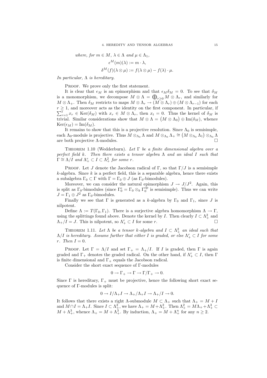where, for 
$$
m \in M
$$
,  $\lambda \in \Lambda$  and  $\mu \in \Lambda_1$ ,  
\n
$$
\epsilon^M(m)(\lambda) := m \cdot \lambda,
$$
\n
$$
\delta^M(f)(\lambda \otimes \mu) := f(\lambda \otimes \mu) - f(\lambda) \cdot \mu.
$$

In particular,  $\Lambda$  is hereditary.

PROOF. We prove only the first statement.

It is clear that  $\epsilon_M$  is an epimorphism and that  $\epsilon_M \delta_M = 0$ . To see that  $\delta_M$ is a monomorphism, we decompose  $M \otimes \Lambda = \bigoplus_{r \geq 0} M \otimes \Lambda_r$ , and similarly for  $M \otimes \Lambda_+$ . Then  $\delta_M$  restricts to maps  $M \otimes \Lambda_r \to (M \otimes \Lambda_r) \oplus (M \otimes \Lambda_{r-1})$  for each  $\sum_{r=1}^{t} x_r \in \text{Ker}(\delta_M)$  with  $x_r \in M \otimes \Lambda_r$ , then  $x_t = 0$ . Thus the kernel of  $\delta_M$  is  $r \geq 1$ , and moreover acts as the identity on the first component. In particular, if trivial. Similar considerations show that  $M \otimes \Lambda = (M \otimes \Lambda_0) \oplus \text{Im}(\delta_M)$ , whence  $\text{Ker}(\epsilon_M) = \text{Im}(\delta_M).$ 

It remains to show that this is a projective resolution. Since  $\Lambda_0$  is semisimple, each  $\Lambda_0$ -module is projective. Thus  $\overline{M} \otimes_{\Lambda_0} \Lambda$  and  $M \otimes_{\Lambda_0} \Lambda_+ \cong (M \otimes_{\Lambda_0} \Lambda_1) \otimes_{\Lambda_0} \overline{\Lambda}$ are both projective  $\Lambda$ -modules.

THEOREM 1.10 (Wedderburn). Let  $\Gamma$  be a finite dimensional algebra over a perfect field k. Then there exists a tensor algebra  $\Lambda$  and an ideal I such that  $\Gamma \cong \Lambda/I$  and  $\Lambda^r_+ \subset I \subset \Lambda^2_+$  for some r.

PROOF. Let J denote the Jacobson radical of Γ, so that  $\Gamma/J$  is a semisimple  $k$ -algebra. Since k is a perfect field, this is a separable algebra, hence there exists a subalgebra  $\Gamma_0 \subset \Gamma$  with  $\Gamma = \Gamma_0 \oplus J$  (as  $\Gamma_0$ -bimodules).

Moreover, we can consider the natural epimorphism  $J \to J/J^2$ . Again, this is split as  $\Gamma_0$ -bimodules (since  $\Gamma_0^e = \Gamma_0 \otimes_k \Gamma_0^{\text{op}}$  is semisimple). Thus we can write  $J = \Gamma_1 \oplus J^2$  as  $\Gamma_0$ -bimodules.

Finally we see that  $\Gamma$  is generated as a k-algebra by  $\Gamma_0$  and  $\Gamma_1$ , since J is nilpotent.

Define  $\Lambda := T(\Gamma_0, \Gamma_1)$ . There is a surjective algebra homomorphism  $\Lambda \to \Gamma$ , using the splittings found above. Denote the kernel by I. Then clearly  $I \subset \Lambda^2_+$  and  $\Lambda_+/I = J$ . This is nilpotent, so  $\Lambda_+^r \subset I$  for some r.

THEOREM 1.11. Let  $\Lambda$  be a tensor k-algebra and  $I \subset \Lambda^2_+$  an ideal such that  $\Lambda/I$  is hereditary. Assume further that either I is graded, or else  $\Lambda^r_+ \subset I$  for some  $r.$  Then  $I = 0.$ 

PROOF. Let  $\Gamma = \Lambda/I$  and set  $\Gamma_+ = \Lambda_+/I$ . If I is graded, then  $\Gamma$  is again graded and  $\Gamma_+$  denotes the graded radical. On the other hand, if  $\Lambda^r_+ \subset I$ , then  $\Gamma$ is finite dimensional and  $\Gamma_+$  equals the Jacobson radical.

Consider the short exact sequence of Γ-modules

$$
0\to\Gamma_+\to\Gamma\to\Gamma/\Gamma_+\to 0.
$$

Since  $\Gamma$  is hereditary,  $\Gamma_+$  must be projective, hence the following short exact sequence of Γ-modules is split:

$$
0\to I/\Lambda_+I\to \Lambda_+/\Lambda_+I\to \Lambda_+/I\to 0.
$$

It follows that there exists a right  $\Lambda$ -submodule  $M \subset \Lambda_+$  such that  $\Lambda_+ = M + I$ and  $M \cap I = \Lambda_+ I$ . Since  $I \subset \Lambda_+^2$ , we have  $\Lambda_+ = M + \Lambda_+^2$ . Then  $\Lambda_+^2 = M\Lambda_+ + \Lambda_+^3 \subset$  $M + \Lambda^3_+$ , whence  $\Lambda_+ = M + \Lambda^3_+$ . By induction,  $\Lambda_+ = M + \Lambda^n_+$  for any  $n \geq 2$ .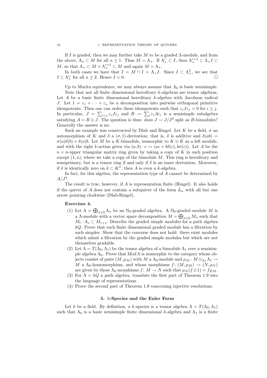If I is graded, then we may further take M to be a graded  $\Lambda$ -module, and from the above,  $\Lambda_n \subset M$  for all  $n \geq 1$ . Thus  $M = \Lambda_+$ . If  $\Lambda_+^r \subset I$ , then  $\Lambda_+^{r+1} \subset \Lambda_+ I \subset I$ M, so that  $\Lambda_+ \subset M + \Lambda_+^{r+1} \subset M$  and again  $M = \Lambda_+$ .

In both cases we have that  $I = M \cap I = \Lambda_{+}I$ . Since  $I \subset \Lambda_{+}^2$ , we see that  $I \subset \Lambda^n_+$  for all  $n \geq 2$ . Hence  $I = 0$ .

Up to Morita equivalence, we may always assume that  $\Lambda_0$  is basic semisimple. Note that not all finite dimensional hereditary k-algebras are tensor algebras. Let A be a basic finite dimensional hereditary k-algebra with Jacobson radical J. Let  $1 = \varepsilon_1 + \cdots + \varepsilon_n$  be a decomposition into pairwise orthogonal primitive idempotents. Then one can order these idempotents such that  $\varepsilon_i J \varepsilon_j = 0$  for  $i \geq j$ . In particular,  $J = \sum_{i < j} \varepsilon_i J \varepsilon_j$  and  $B := \sum_i \varepsilon_i A \varepsilon_i$  is a semisimple subalgebra satisfying  $A = B \oplus J$ . The question is thus: does  $J \to J/J^2$  split as B-bimodules? Generally the answer is no.

Such an example was constructed by Dlab and Ringel. Let K be a field,  $\sigma$  and automorphism of K and  $\delta$  a  $(\sigma, 1)$ -derivation; that is,  $\delta$  is additive and  $\delta(ab)$  =  $\sigma(a)\delta(b) + \delta(a)b$ . Let M be a K-bimodule, isomorphic to  $K \oplus K$  as a left module, and with the right k-action given via  $(a, b) \cdot c := (ac + b\delta(c), b\sigma(c))$ . Let A be the  $n \times n$ -upper triangular matrix ring given by taking a copy of K in each position except  $(1, n)$ , where we take a copy of the bimodule M. This ring is hereditary and semiprimary, but is a tensor ring if and only if  $\delta$  is an inner derivation. Moreover, if  $\delta$  is identically zero on  $k \subset K^{\sigma}$ , then A is even a k-algebra.

In fact, for this algebra, the representation type of A cannot be determined by  $A/J^2$ .

The result is true, however, if A is representation finite (Ringel). It also holds if the quiver of A does not contain a subquiver of the form  $\tilde{\mathbb{A}}_n$  with all but one arrow pointing clockwise (Dlab-Ringel).

# Exercises 4.

- (1) Let  $\Lambda = \bigoplus_{n \geq 0} \Lambda_n$  be an N<sub>0</sub>-graded algebra. A N<sub>0</sub>-graded module M is a  $\Lambda$ -module with a vector space decomposition  $M = \bigoplus_{n \geq 0} M_n$  such that  $M_r \cdot \Lambda_s \subset M_{r+s}$ . Describe the graded simple modules for a path algebra  $kQ$ . Prove that each finite dimensional graded module has a filtration by such simples. Show that the converse does not hold: there exist modules which admit a filtration by the graded simple modules but which are not themselves gradable.
- (2) Let  $\Lambda = T(\Lambda_0, \Lambda_1)$  be the tensor algebra of a bimodule  $\Lambda_1$  over a semisimple algebra  $\Lambda_0$ . Prove that Mod  $\Lambda$  is isomorphic to the category whose objects consist of pairs  $(M, \mu_M)$  with M a  $\Lambda_0$ -module and  $\mu_M : M \otimes_{\Lambda_0} \Lambda_1 \to$ M a  $\Lambda_0$ -homomorphism, and whose morphisms  $f : (M, \mu_M) \to (N, \mu_N)$ are given by those  $\Lambda_0$ -morphisms  $f: M \to N$  such that  $\mu_N(f \otimes 1) = f \mu_M$ .
- (3) For  $\Lambda = kQ$  a path algebra, translate the first part of Theorem 1.9 into the language of representations.
- (4) Prove the second part of Theorem 1.9 concerning injective resolutions.

## 5. k-Species and the Euler Form

Let k be a field. By definition, a k-species is a tensor algebra  $\Lambda = T(\Lambda_0, \Lambda_1)$ such that  $\Lambda_0$  is a basic semisimple finite dimensional k-algebra and  $\Lambda_1$  is a finite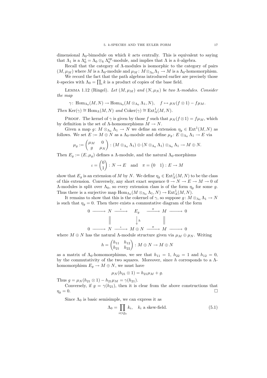dimensional  $\Lambda_0$ -bimodule on which k acts centrally. This is equivalent to saying that  $\Lambda_1$  is a  $\Lambda_0^e = \Lambda_0 \otimes_k \Lambda_0^{\text{op}}$ -module, and implies that  $\Lambda$  is a k-algebra.

Recall that the category of Λ-modules is isomorphic to the category of pairs  $(M, \mu_M)$  where M is a  $\Lambda_0$ -module and  $\mu_M : M \otimes_{\Lambda_0} \Lambda_1 \to M$  is a  $\Lambda_0$ -homomorphism.

We record the fact that the path algebras introduced earlier are precisely those k-species with  $\Lambda_0 = \prod_i k$  is a product of copies of the base field.

LEMMA 1.12 (Ringel). Let  $(M, \mu_M)$  and  $(N, \mu_N)$  be two  $\Lambda$ -modules. Consider the map

$$
\gamma\colon \operatorname{Hom}_{\Lambda_0}(M,N)\to \operatorname{Hom}_{\Lambda_0}(M\otimes_{\Lambda_0}\Lambda_1,N),\quad f\mapsto \mu_N(f\otimes 1)-f\mu_M.
$$

Then  $\text{Ker}(\gamma) \cong \text{Hom}_{\Lambda}(M, N)$  and  $\text{Coker}(\gamma) \cong \text{Ext}^1_{\Lambda}(M, N)$ .

PROOF. The kernel of  $\gamma$  is given by those f such that  $\mu_N(f \otimes 1) = f\mu_M$ , which by definition is the set of  $\Lambda$ -homomorphisms  $M \to N$ .

Given a map  $g: M \otimes_{\Lambda_0} \Lambda_1 \to N$  we define an extension  $\eta_g \in \text{Ext}^1(M, N)$  as follows. We set  $E := M \oplus N$  as a  $\Lambda_0$ -module and define  $\mu_g : E \otimes_{\Lambda_0} \Lambda_1 \to E$  via

$$
\mu_g := \begin{pmatrix} \mu_M & 0 \\ g & \mu_N \end{pmatrix} : (M \otimes_{\Lambda_0} \Lambda_1) \oplus (N \otimes_{\Lambda_0} \Lambda_1) \otimes_{\Lambda_0} \Lambda_1 \to M \oplus N.
$$

Then  $E_q := (E, \mu_q)$  defines a A-module, and the natural  $\Lambda_0$ -morphisms

$$
\iota = \begin{pmatrix} 0 \\ 1 \end{pmatrix} : N \to E \quad \text{and} \quad \pi = \begin{pmatrix} 0 & 1 \end{pmatrix} : E \to M
$$

show that  $E_g$  is an extension of M by N. We define  $\eta_g \in \text{Ext}^1_{\Lambda}(M,N)$  to be the class of this extension. Conversely, any short exact sequence  $0 \to N \to E \to M \to 0$  of Λ-modules is split over  $Λ_0$ , so every extension class is of the form  $η_q$  for some g. Thus there is a surjective map  $\text{Hom}_{\Lambda_0}(M \otimes_{\Lambda_0} \Lambda_1, N) \to \text{Ext}^1_{\Lambda}(M, N)$ .

It remains to show that this is the cokernel of  $\gamma$ , so suppose  $g: M \otimes_{\Lambda_0} \Lambda_1 \to N$ is such that  $\eta_g = 0$ . Then there exists a commutative diagram of the form

$$
\begin{array}{ccccccc}\n0 & \xrightarrow{\quad} & N & \xrightarrow{\iota} & E_g & \xrightarrow{\pi} & M & \xrightarrow{\quad} & 0 \\
\parallel & & & \downarrow^h & & \parallel & & \\
0 & \xrightarrow{\quad} & N & \xrightarrow{\iota} & M \oplus N & \xrightarrow{\pi} & M & \xrightarrow{\quad} & 0\n\end{array}
$$

where  $M \oplus N$  has the natural  $\Lambda$ -module structure given via  $\mu_M \oplus \mu_N$ . Writing

$$
h = \begin{pmatrix} h_{11} & h_{12} \\ h_{21} & h_{22} \end{pmatrix} : M \oplus N \to M \oplus N
$$

as a matrix of  $\Lambda_0$ -homomorphisms, we see that  $h_{11} = 1$ ,  $h_{22} = 1$  and  $h_{12} = 0$ , by the commutativity of the two squares. Moreover, since h corresponds to a  $\Lambda$ homomorphism  $E_q \to M \oplus N$ , we must have

$$
\mu_N(h_{21} \otimes 1) = h_{21}\mu_M + g.
$$

Thus  $g = \mu_N(h_{21} \otimes 1) - h_{21} \mu_M = \gamma(h_{21}).$ 

Conversely, if  $g = \gamma(h_{21})$ , then it is clear from the above constructions that  $\eta_g = 0.$ 

Since  $\Lambda_0$  is basic semisimple, we can express it as

$$
\Lambda_0 = \prod_{i \in Q_0} k_i, \quad k_i \text{ a skew-field.} \tag{5.1}
$$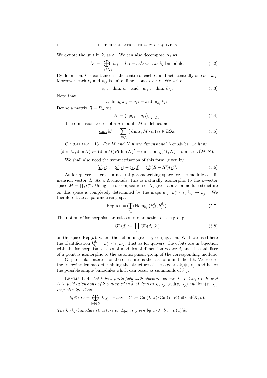We denote the unit in  $k_i$  as  $\varepsilon_i$ . We can also decompose  $\Lambda_1$  as

$$
\Lambda_1 = \bigoplus_{i,j \in Q_0} k_{ij}, \quad k_{ij} = \varepsilon_i \Lambda_1 \varepsilon_j \text{ a } k_i \cdot k_j \text{-bimodule.}
$$
 (5.2)

By definition, k is contained in the centre of each  $k_i$  and acts centrally on each  $k_{ij}$ . Moreover, each  $k_i$  and  $k_{ij}$  is finite dimensional over k. We write

$$
s_i := \dim_k k_i \quad \text{and} \quad a_{ij} := \dim_k k_{ij}.\tag{5.3}
$$

Note that

$$
s_i \dim_{k_i} k_{ij} = a_{ij} = s_j \dim_{k_j} k_{ij}.
$$

Define a matrix  $R = R_{\Lambda}$  via

$$
R := (s_i \delta_{ij} - a_{ij})_{i,j \in Q_0}.\tag{5.4}
$$

The dimension vector of a  $\Lambda$ -module M is defined as

$$
\underline{\dim} M := \sum_{i \in Q_0} \left( \dim_{k_i} M \cdot \varepsilon_i \right) e_i \in \mathbb{Z} Q_0. \tag{5.5}
$$

COROLLARY 1.13. For M and N finite dimensional  $\Lambda$ -modules, we have

$$
\langle \underline{\dim} M, \underline{\dim} N \rangle := (\underline{\dim} M) R(\underline{\dim} N)^t = \dim \operatorname{Hom}_\Lambda(M,N) - \dim \operatorname{Ext}^1_\Lambda(M,N).
$$

We shall also need the symmetrisation of this form, given by

$$
(\underline{d}, \underline{e}) := \langle \underline{d}, \underline{e} \rangle + \langle \underline{e}, \underline{d} \rangle = (\underline{d})(R + R^t)(\underline{e})^t.
$$
\n(5.6)

As for quivers, there is a natural parameterising space for the modules of dimension vector  $\underline{d}$ . As a  $\Lambda_0$ -module, this is naturally isomorphic to the k-vector space  $M = \coprod_i k_i^{d_i}$ . Using the decomposition of  $\Lambda_1$  given above, a module structure on this space is completely determined by the maps  $\mu_{ij} : k_i^{d_i} \otimes_{k_i} k_{ij} \to k_j^{d_j}$ . We therefore take as parametrising space

$$
\text{Rep}(\underline{d}) := \bigoplus_{i,j} \text{Hom}_{k_j} \left( k_{ij}^{d_i}, k_j^{d_j} \right). \tag{5.7}
$$

The notion of isomorphism translates into an action of the group

$$
GL(\underline{d}) := \prod_{i} GL(d_i, k_i)
$$
\n(5.8)

on the space  $\text{Rep}(\underline{d})$ , where the action is given by conjugation. We have used here the identification  $k_{ij}^{d_i} = k_i^{d_i} \otimes_{k_i} k_{ij}$ . Just as for quivers, the orbits are in bijection with the isomorphism classes of modules of dimension vector  $\underline{d}$ , and the stabiliser of a point is isomorphic to the automorphism group of the corresponding module.

Of particular interest for these lectures is the case of a finite field  $k$ . We record the following lemma determining the structure of the algebra  $k_i \otimes_k k_j$ , and hence the possible simple bimodules which can occur as summands of  $k_{ij}$ .

LEMMA 1.14. Let k be a finite field with algebraic closure  $\bar{k}$ . Let  $k_i$ ,  $k_j$ , K and L be field extensions of k contained in  $\overline{k}$  of degrees  $s_i$ ,  $s_j$ ,  $gcd(s_i, s_j)$  and  $lcm(s_i, s_j)$ respectively. Then

$$
k_i \otimes_k k_j = \bigoplus_{[\sigma] \in G} L_{[\sigma]} \quad \text{where} \quad G := \text{Gal}(L, k) / \text{Gal}(L, K) \cong \text{Gal}(K, k).
$$

The  $k_i$ - $k_j$ -bimodule structure on  $L_{[\sigma]}$  is given by  $a \cdot \lambda \cdot b := \sigma(a)\lambda b$ .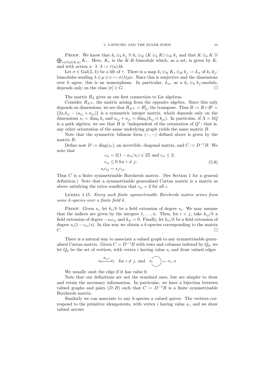PROOF. We know that  $k_i \otimes_k k_j \cong k_i \otimes_K (K \otimes_k K) \otimes_K k_j$  and that  $K \otimes_k K \cong$  $\bigoplus_{\tau \in \text{Gal}(K,k)} K_{\tau}$ . Here,  $K_{\tau}$  is the K-K-bimodule which, as a set, is given by K, and with action  $a \cdot \lambda \cdot b := \tau(a)\lambda b$ .

Let  $\sigma \in \text{Gal}(L, k)$  be a lift of  $\tau$ . There is a map  $k_i \otimes_K K_{\tau} \otimes_K k_j \to L_{\sigma}$  of  $k_i \cdot k_j$ bimodules sending  $\lambda \otimes \mu \otimes \nu \mapsto \sigma(\lambda)\mu\nu$ . Since this is surjective and the dimensions over k agree, this is an isomorphism. In particular,  $L_{\sigma}$ , as a  $k_i \otimes_k k_j$ -module, depends only on the class  $[\sigma] \in G$ .

The matrix  $R_{\Lambda}$  gives us our first connection to Lie algebras.

Consider  $R_{\Lambda^{op}}$ , the matrix arising from the opposite algebra. Since this only depends on dimensions, we see that  $R_{\Lambda^{op}} = R_{\Lambda}^{t}$ , the transpose. Thus  $B := R + R^{t} = (2s_i\delta_{ij} - (a_{ij} + a_{ij}))$  is a symmetric integer matrix, which depends only on the  $2s_i\delta_{ij}$  –  $(a_{ij} + a_{ji})$  is a symmetric integer matrix, which depends only on the dimensions  $s_i = \dim_k k_i$  and  $a_{ij} + a_{ji} = \dim_k (k_{ij} \oplus k_{ji})$ . In particular, if  $\Lambda = kQ$ is a path algebra, we see that  $B$  is "independent of the orientation of  $Q$ "; that is, any other orientation of the same underlying graph yields the same matrix B.

Note that the symmetric bilinear form  $(-, -)$  defined above is given by the matrix B.

Define now  $D := diag(s_i)$ , an invertible, diagonal matrix, and  $C := D^{-1}B$ . We note that

$$
c_{ii} = 2(1 - a_{ii}/s_i) \in 2\mathbb{Z} \text{ and } c_{ii} \le 2;
$$
  
\n
$$
c_{ij} \le 0 \text{ for } i \ne j;
$$
  
\n
$$
s_i c_{ij} = s_j c_{ji}.
$$
\n(5.9)

Thus C is a finite symmetrisable Borcherds matrix. (See Section 1 for a general definition.) Note that a symmetrisable generalised Cartan matrix is a matrix as above satisfying the extra condition that  $c_{ii} = 2$  for all *i*.

Lemma 1.15. Every such finite symmetrisable Borcherds matrix arises from some k-species over a finite field k.

PROOF. Given  $s_i$ , let  $k_i/k$  be a field extension of degree  $s_i$ . We may assume that the indices are given by the integers  $1, \ldots, n$ . Then, for  $i < j$ , take  $k_{ij}/k$  a field extension of degree  $-s_i c_{ij}$  and  $k_{ji} = 0$ . Finally, let  $k_{ii}/k$  be a field extension of degree  $s_i(1 - c_{ii}/s)$ . In this way we obtain a k-species corresponding to the matrix  $C.$ 

There is a natural way to associate a valued graph to any symmetrisable generalised Cartan matrix. Given  $C = D^{-1}B$  with rows and columns indexed by  $Q_0$ , we let  $Q_0$  be the set of vertices, with vertex i having value  $s_i$  and draw valued edges

$$
s_i \xrightarrow{|b_{ij}|} s_j \quad \text{for } i \neq j, \text{ and } \quad s_i \qquad s_{i-b_{ii}/2}
$$

We usually omit the edge if it has value 0.

Note that our definitions are not the standard ones, but are simpler to draw and retain the necessary information. In particular, we have a bijection between valued graphs and pairs  $(D, B)$  such that  $C = D^{-1}B$  is a finite symmetrisable Borcherds matrix.

Similarly we can associate to any  $k$ -species a valued quiver. The vertices correspond to the primitive idempotents, with vertex  $i$  having value  $s_i$ , and we draw valued arrows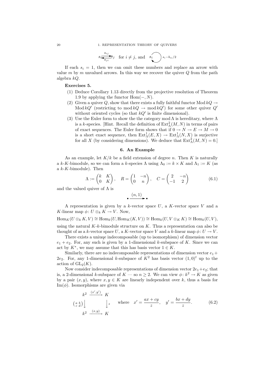$$
s_i \overbrace{\longleftarrow{\scriptstyle a_{ij}}}^{\scriptstyle a_{ij}} s_j \quad \text{for } i \neq j, \text{ and } \quad s_i \qquad s_{i-b_{ii}/2}
$$

If each  $s_i = 1$ , then we can omit these numbers and replace an arrow with value m by m unvalued arrows. In this way we recover the quiver  $Q$  from the path algebra kQ.

# Exercises 5.

- (1) Deduce Corollary 1.13 directly from the projective resolution of Theorem 1.9 by applying the functor  $\text{Hom}(-, N)$ .
- (2) Given a quiver Q, show that there exists a fully faithful functor Mod  $kQ \rightarrow$ Mod  $kQ'$  (restricting to mod  $kQ \to \text{mod } kQ'$ ) for some other quiver  $Q'$ without oriented cycles (so that  $kQ'$  is finite dimensional).
- (3) Use the Euler form to show the the category mod  $\Lambda$  is hereditary, where  $\Lambda$ is a k-species. [Hint. Recall the definition of  $\text{Ext}^2_{\Lambda}(M,N)$  in terms of pairs of exact sequences. The Euler form shows that if  $0 \to N \to E \to M \to 0$ is a short exact sequence, then  $\text{Ext}^1_\Lambda(E, X) \to \text{Ext}^1_\Lambda(N, X)$  is surjective for all X (by considering dimensions). We deduce that  $\text{Ext}^2_{\Lambda}(M, N) = 0$ .

## 6. An Example

As an example, let  $K/k$  be a field extension of degree n. Then K is naturally a k-K-bimodule, so we can form a k-species  $\Lambda$  using  $\Lambda_0 := k \times K$  and  $\Lambda_1 := K$  (as a k-K-bimodule). Then

$$
\Lambda := \begin{pmatrix} k & K \\ 0 & K \end{pmatrix}, \quad R = \begin{pmatrix} 1 & -n \\ 0 & n \end{pmatrix}, \quad C = \begin{pmatrix} 2 & -n \\ -1 & 2 \end{pmatrix}
$$
(6.1)

and the valued quiver of  $\Lambda$  is

 $\bullet \frac{(n, 1)}{n}$ 

A representation is given by a k-vector space  $U$ , a K-vector space  $V$  and a K-linear map  $\phi: U \otimes_k K \to V$ . Now,

 $\text{Hom}_K(U \otimes_k K, V) \cong \text{Hom}_k(U, \text{Hom}_K(K, V)) \cong \text{Hom}_k(U, V \otimes_K K) \cong \text{Hom}_k(U, V),$ using the natural  $K-k$ -bimodule structure on  $K$ . Thus a representation can also be thought of as a k-vector space U, a K-vector space V and a k-linear map  $\phi: U \to V$ .

There exists a uniuqe indecomposable (up to isomorphism) of dimension vector  $e_1 + e_2$ . For, any such is given by a 1-dimensional k-subspace of K. Since we can act by  $K^*$ , we may assume that this has basis vector  $1 \in K$ .

Similarly, there are no indecomposable representations of dimension vector  $e_1 +$ 2e<sub>2</sub>. For, any 1-dimensional k-subspace of  $K^2$  has basis vector  $(1,0)^t$  up to the action of  $GL_2(K)$ .

Now consider indecomposable representations of dimension vector  $2e_1+e_2$ ; that is, a 2-dimensional k-subspace of  $K$  — so  $n \geq 2$ . We can view  $\phi: k^2 \to K$  as given by a pair  $(x, y)$ , where  $x, y \in K$  are linearly independent over k, thus a basis for  $\text{Im}(\phi)$ . Isomorphisms are given via

$$
k^{2} \xrightarrow{(x',y')} K
$$
  
\n
$$
\begin{pmatrix} a & b \ c & d \end{pmatrix} \downarrow z \quad \text{where} \quad x' = \frac{ax + cy}{z}, \quad y' = \frac{bx + dy}{z}.
$$
 (6.2)  
\n
$$
k^{2} \xrightarrow{(x,y)} K
$$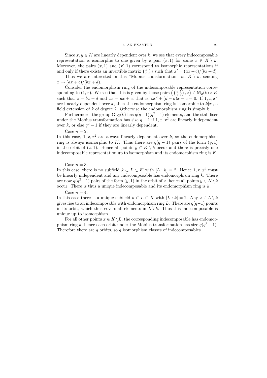#### 6. AN EXAMPLE 21

Since  $x, y \in K$  are linearly dependent over k, we see that every indecomposable representation is isomorphic to one given by a pair  $(x, 1)$  for some  $x \in K \setminus k$ . Moreover, the pairs  $(x, 1)$  and  $(x', 1)$  correspond to isomorphic representations if and only if there exists an invertible matrix  $\begin{pmatrix} a & b \\ c & d \end{pmatrix}$  such that  $x' = (ax + c)/(bx + d)$ .

Thus we are interested in this "Möbius transformation" on  $K \setminus k$ , sending  $x \mapsto (ax + c)/(bx + d).$ 

Consider the endomorphism ring of the indecomposable representation corresponding to  $(1, x)$ . We see that this is given by those pairs  $\left(\begin{pmatrix} a & b \\ c & d \end{pmatrix}, z\right) \in M_2(k) \times K$ sponding  $\infty$  (x, x). We see that  $\lim_{x \to a} x$  is  $\lim_{x \to a} x$ ,  $\lim_{x \to a} x + c$ ; that is,  $bx^2 + (d - a)x - c = 0$ . If  $1, x, x^2$ are linearly dependent over k, then the endomorphism ring is isomorphic to  $k[x]$ , a field extension of  $k$  of degree 2. Otherwise the endomorphism ring is simply  $k$ .

Furthermore, the group  $GL_2(k)$  has  $q(q-1)(q^2-1)$  elements, and the stabiliser under the Möbius transformation has size  $q-1$  if  $1, x, x^2$  are linearly independent over k, or else  $q^2 - 1$  if they are linearly dependent.

Case  $n = 2$ .

In this case,  $1, x, x^2$  are always linearly dependent over k, so the endomorphism ring is always isomorphic to K. Thus there are  $q(q-1)$  pairs of the form  $(y, 1)$ in the orbit of  $(x, 1)$ . Hence all points  $y \in K \setminus k$  occur and there is precisly one indecomposable representation up to isomorphism and its endomorphism ring is  $K$ .

Case  $n = 3$ .

In this case, there is no subfield  $k \subset L \subset K$  with  $[L : k] = 2$ . Hence 1, x, x<sup>2</sup> must be linearly independent and any indecomposable has endomorphism ring  $k$ . There are now  $q(q^2-1)$  pairs of the form  $(y, 1)$  in the orbit of x, hence all points  $y \in K \backslash k$ occur. There is thus a unique indecomposable and its endomorphism ring is  $k$ .

Case  $n = 4$ .

In this case there is a unique subfield  $k \subset L \subset K$  with  $[L : k] = 2$ . Any  $x \in L \setminus k$ gives rise to an indecomposable with endomorphism ring L. There are  $q(q-1)$  points in its orbit, which thus covers all elements in  $L \setminus k$ . Thus this indecomposable is unique up to isomorphism.

For all other points  $x \in K \setminus L$ , the corresponding indecomposable has endomorphism ring k, hence each orbit under the Möbius transformation has size  $q(q^2-1)$ . Therefore there are  $q$  orbits, so  $q$  isomorphism classes of indecomposables.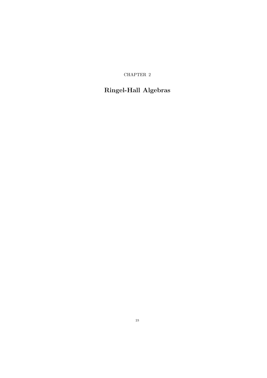CHAPTER 2

# Ringel-Hall Algebras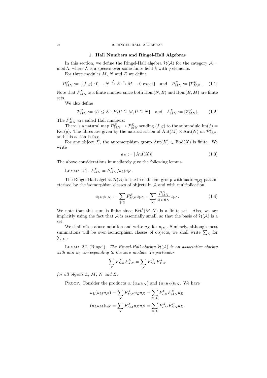#### 24 2. RINGEL-HALL ALGEBRAS

#### 1. Hall Numbers and Ringel-Hall Algebras

In this section, we define the Ringel-Hall algebra  $\mathcal{H}(\mathcal{A})$  for the category  $\mathcal{A} =$ mod  $\Lambda$ , where  $\Lambda$  is a species over some finite field k with q elements.

For three modules  $M$ ,  $N$  and  $E$  we define

$$
\mathcal{P}_{MN}^E := \{ (f,g) : 0 \to N \xrightarrow{f} E \xrightarrow{g} M \to 0 \text{ exact} \} \text{ and } P_{MN}^E := |\mathcal{P}_{MN}^E|.
$$
 (1.1)

Note that  $P_{MN}^E$  is a finite number since both  $\text{Hom}(N, E)$  and  $\text{Hom}(E, M)$  are finite sets.

We also define

$$
\mathcal{F}_{MN}^E := \{ U \le E : E/U \cong M, U \cong N \} \quad \text{and} \quad F_{MN}^E := |\mathcal{F}_{MN}^E|.
$$
 (1.2)

The  $F_{MN}^E$  are called Hall numbers.

There is a natural map  $\mathcal{P}^E_{MN} \to \mathcal{F}^E_{MN}$  sending  $(f, g)$  to the submodule  $\text{Im}(f)$  = Ker(g). The fibres are given by the natural action of  $\text{Aut}(M) \times \text{Aut}(N)$  on  $\mathcal{P}^E_{MN}$ , and this action is free.

For any object X, the automorphism group  $Aut(X) \subset End(X)$  is finite. We write

$$
a_X := |\operatorname{Aut}(X)|.\tag{1.3}
$$

The above considerations immediately give the following lemma.

LEMMA 2.1.  $F_{MN}^E = P_{MN}^E / a_M a_N$ .

The Ringel-Hall algebra  $\mathcal{H}(\mathcal{A})$  is the free abelian group with basis  $u_{[X]}$  parameterised by the isomorphism classes of objects in  $A$  and with multiplication

$$
u_{[M]}u_{[N]} := \sum_{[E]} F_{MN}^{E} u_{[E]} = \sum_{[E]} \frac{P_{MN}^{E}}{a_M a_N} u_{[E]}.
$$
\n(1.4)

We note that this sum is finite since  $\text{Ext}^1(M, N)$  is a finite set. Also, we are implicitly using the fact that A is essentially small, so that the basis of  $\mathcal{H}(\mathcal{A})$  is a set.

We shall often abuse notation and write  $u_X$  for  $u_{[X]}$ . Similarly, although most summations will be over isomorphism classes of objects, we shall write  $\Sigma_E$  for  $\sum_{[E]}$ .

LEMMA 2.2 (Ringel). The Ringel-Hall algebra  $H(A)$  is an associative algebra with unit  $u_0$  corresponding to the zero module. In particular

$$
\sum_X F_{LM}^X F_{XN}^E = \sum_X F_{LX}^E F_{MN}^X
$$

for all objects  $L, M, N$  and  $E$ .

PROOF. Consider the products  $u_L(u_Mu_N)$  and  $(u_Lu_M)u_N$ . We have

$$
u_L(u_Mu_N) = \sum_X F_{MN}^X u_L u_X = \sum_{X,E} F_{LX}^E F_{MN}^X u_E,
$$
  

$$
(u_L u_M)u_N = \sum_X F_{LM}^X u_X u_N = \sum_{X,E} F_{LM}^X F_{XN}^E u_E.
$$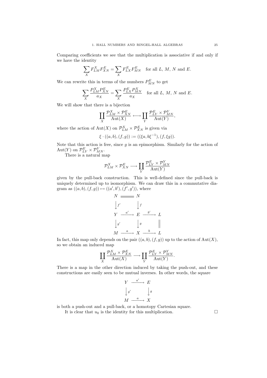Comparing coefficients we see that the multiplication is associative if and only if we have the identity

$$
\sum_X F_{LM}^X F_{XN}^E = \sum_X F_{LX}^E F_{MN}^E \quad \text{for all $L,\,M,\,N$ and $E$}.
$$

We can rewrite this in terms of the numbers  $P_{MN}^E$  to get

$$
\sum_{X} \frac{P_{LM}^X P_{XN}^E}{a_X} = \sum_{X} \frac{P_{LX}^E P_{MN}^X}{a_X} \quad \text{for all } L, M, N \text{ and } E.
$$

We will show that there is a bijection

$$
\coprod_{X} \frac{\mathcal{P}_{LN}^X \times \mathcal{P}_{XN}^E}{\mathrm{Aut}(X)} \longleftrightarrow \coprod_{Y} \frac{\mathcal{P}_{LY}^E \times \mathcal{P}_{MN}^Y}{\mathrm{Aut}(Y)},
$$

where the action of  $\text{Aut}(X)$  on  $\mathcal{P}_{LM}^X \times \mathcal{P}_{XN}^E$  is given via

$$
\xi \cdot ((a,b),(f,g)) := ((\xi a, b\xi^{-1}), (f,\xi g)).
$$

Note that this action is free, since  $g$  is an epimorphism. Similarly for the action of Aut(Y) on  $\mathcal{P}_{LY}^E \times \mathcal{P}_{MN}^Y$ .

There is a natural map

$$
\mathcal{P}^{X}_{LM} \times \mathcal{P}^{E}_{XN} \longrightarrow \coprod_{Y} \frac{\mathcal{P}^{E}_{LY} \times \mathcal{P}^{Y}_{MN}}{\mathrm{Aut}(Y)}
$$

given by the pull-back construction. This is well-defined since the pull-back is uniquely determined up to isomorphism. We can draw this in a commutative diagram as  $((a, b), (f, g)) \mapsto ((a', b'), (f', g'))$ , where

$$
N \longrightarrow N
$$
\n
$$
\downarrow f' \qquad \downarrow f
$$
\n
$$
Y \xrightarrow{a'} E \xrightarrow{b'} L
$$
\n
$$
\downarrow g' \qquad \downarrow g \qquad ||
$$
\n
$$
M \xrightarrow{a} X \xrightarrow{b} L
$$

In fact, this map only depends on the pair  $((a, b), (f, g))$  up to the action of  $Aut(X)$ , so we obtain an induced map

$$
\coprod_{X} \frac{\mathcal{P}_{LM}^X \times \mathcal{P}_{XN}^E}{\mathrm{Aut}(X)} \longrightarrow \coprod_{Y} \frac{\mathcal{P}_{LY}^E \times \mathcal{P}_{MN}^Y}{\mathrm{Aut}(Y)}.
$$

There is a map in the other direction induced by taking the push-out, and these constructions are easily seen to be mutual inverses. In other words, the square

$$
\begin{array}{ccc}\nY & \xrightarrow{a'} & E \\
\downarrow{g'} & & \downarrow{g} \\
M & \xrightarrow{a} & X\n\end{array}
$$

is both a push-out and a pull-back, or a homotopy Cartesian square. It is clear that  $u_0$  is the identity for this multiplication.  $\Box$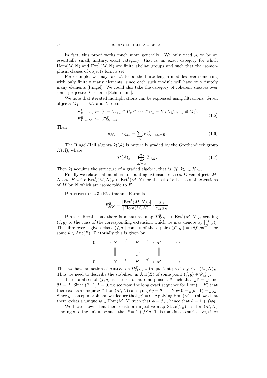In fact, this proof works much more generally. We only need  $A$  to be an essentially small, finitary, exact category: that is, an exact category for which  $Hom(M, N)$  and  $Ext<sup>1</sup>(M, N)$  are finite abelian groups and such that the isomorphism classes of objects form a set.

For example, we may take  $A$  to be the finite length modules over some ring with only finitely many elements, since each such module will have only finitely many elements [Ringel]. We could also take the category of coherent sheaves over some projective k-scheme [Schiffmann].

We note that iterated multiplications can be expressed using filtrations. Given objects  $M_1, \ldots, M_r$  and E, define

$$
\mathcal{F}_{M_1\cdots M_r}^E := \{0 = U_{r+1} \subset U_r \subset \cdots \subset U_1 = E : U_i/U_{i+1} \cong M_i\},
$$
  
\n
$$
F_{M_1\cdots M_r}^E := |\mathcal{F}_{M_1\cdots M_r}^E|.
$$
\n(1.5)

Then

$$
u_{M_1} \cdots u_{M_r} = \sum_E F_{M_1 \cdots M_r}^E u_E. \tag{1.6}
$$

The Ringel-Hall algebra  $\mathcal{H}(\mathcal{A})$  is naturally graded by the Grothendieck group  $K(\mathcal{A})$ , where

$$
\mathcal{H}(\mathcal{A})_{\alpha} = \bigoplus_{\bar{M}=\alpha} \mathbb{Z} u_M. \tag{1.7}
$$

Then H acquires the structure of a graded algebra; that is,  $\mathcal{H}_{\underline{d}}\mathcal{H}_{\underline{e}} \subset \mathcal{H}_{\underline{d}+\underline{e}}$ .

Finally we relate Hall numbers to counting extension classes. Given objects M, N and E write  $\text{Ext}^1_{\Lambda}(M,N)_E \subset \text{Ext}^1(M,N)$  for the set of all classes of extensions of  $M$  by  $N$  which are isomorphic to  $E$ .

Proposition 2.3 (Riedtmann's Formula).

 $\mathcal{I}$ 

$$
F_{MN}^E=\frac{|\operatorname{Ext}^1(M,N)_E|}{|\operatorname{Hom}(M,N)|}\cdot\frac{a_E}{a_Ma_N}.
$$

PROOF. Recall that there is a natural map  $\mathcal{P}_{MN}^E \to \text{Ext}^1(M,N)_E$  sending  $(f, g)$  to the class of the corresponding extension, which we may denote by  $[(f, g)]$ . The fibre over a given class  $[(f, g)]$  consits of those pairs  $(f', g') = (\theta f, g\theta^{-1})$  for some  $\theta \in \text{Aut}(E)$ . Pictorially this is given by

$$
0 \longrightarrow N \xrightarrow{f} E \xrightarrow{g} M \longrightarrow 0
$$
  

$$
\parallel \qquad \qquad \downarrow \theta \qquad \parallel
$$
  

$$
0 \longrightarrow N \xrightarrow{f'} E \xrightarrow{g'} M \longrightarrow 0
$$

Thus we have an action of  $\text{Aut}(E)$  on  $\mathcal{P}_{MN}^E$ , with quotient precisely  $\text{Ext}^1(M, N)_E$ . Thus we need to describe the stabiliser in  $Aut(E)$  of some point  $(f, g) \in \mathcal{P}_{MN}^E$ .

The stabiliser of  $(f, g)$  is the set of automorphisms  $\theta$  such that  $g\theta = g$  and  $\theta f = f$ . Since  $(\theta - 1)f = 0$ , we see from the long exact sequence for Hom $(-, E)$  that there exists a unique  $\phi \in \text{Hom}(M, E)$  satisfying  $\phi g = \theta - 1$ . Now  $0 = g(\theta - 1) = g\phi g$ . Since g is an epimorphism, we deduce that  $g\phi = 0$ . Applying Hom $(M, -)$  shows that there exists a unique  $\psi \in \text{Hom}(M, N)$  such that  $\phi = f\psi$ , hence that  $\theta = 1 + f\psi g$ .

We have shown that there exists an injective map  $\text{Stab}(f,g) \to \text{Hom}(M,N)$ sending  $\theta$  to the unique  $\psi$  such that  $\theta = 1 + f \psi g$ . This map is also surjective, since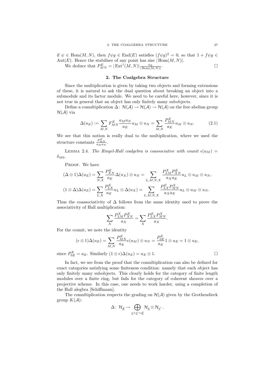if  $\psi \in \text{Hom}(M, N)$ , then  $f \psi g \in \text{End}(E)$  satisfies  $(f \psi g)^2 = 0$ , so that  $1 + f \psi g \in$ Aut $(E)$ . Hence the stabiliser of any point has size  $|Hom(M, N)|$ . . The contract of the contract of  $\Box$ 

We deduce that  $P_{MN}^E = |\operatorname{Ext}^1(M,N)| \frac{a_E}{|\operatorname{Hom}(M,N)|}$ 

# 2. The Coalgebra Structure

Since the multiplication is given by taking two objects and forming extensions of these, it is natural to ask the dual question about breaking an object into a submodule and its factor module. We need to be careful here, however, since it is not true in general that an object has only finitely many subobjects.

Define a comultiplication  $\Delta: \mathcal{H}(\mathcal{A}) \to \mathcal{H}(\mathcal{A}) \to \mathcal{H}(\mathcal{A})$  on the free abelian group  $\mathcal{H}(\mathcal{A})$  via

$$
\Delta(u_E) := \sum_{M,N} F_{MN}^E \frac{a_M a_N}{a_E} u_M \otimes u_N = \sum_{M,N} \frac{P_{MN}^E}{a_E} u_M \otimes u_N. \tag{2.1}
$$

We see that this notion is really dual to the multiplication, where we used the structure constants  $\frac{P_{MN}^E}{a_M a_N}$ .

LEMMA 2.4. The Ringel-Hall coalgebra is coassociative with counit  $\epsilon(u_M)$  =  $\delta_{M0}.$ 

PROOF. We have

$$
(\Delta \otimes 1)\Delta(u_E) = \sum_{N,X} \frac{P_{XN}^E}{a_E} \Delta(u_X) \otimes u_N = \sum_{L,M,N,X} \frac{P_{LM}^X P_{XN}^E}{a_X a_E} u_L \otimes u_M \otimes u_N,
$$

$$
(1 \otimes \Delta)\Delta(u_E) = \sum_{L,X} \frac{P_{LX}^E}{a_E} u_L \otimes \Delta(u_X) = \sum_{L,M,N,X} \frac{P_{LX}^E P_{MN}^X}{a_X a_E} u_L \otimes u_M \otimes u_N.
$$

Thus the coassociativity of  $\Delta$  follows from the same identity used to prove the associativity of Hall multiplication:

$$
\sum_{X} \frac{P_{LM}^X P_{XN}^E}{a_X} = \sum_{X} \frac{P_{LX}^E P_{MN}^X}{a_X}.
$$

For the counit, we note the identity

$$
(\epsilon \otimes 1)\Delta(u_E) = \sum_{M,N} \frac{P_{MN}^E}{a_E} \epsilon(u_M) \otimes u_N = \frac{P_{0E}^E}{a_E} 1 \otimes u_E = 1 \otimes u_E,
$$
  

$$
P_E^E \qquad \text{S, Similarly (1, 0, 0)} \Delta(u) = \sum_{M,N} \frac{P_{0E}^E}{a_E} 1 \otimes u_E = 1 \otimes u_E,
$$

since  $P_{0E}^{E} = a_E$ . Similarly  $(1 \otimes \epsilon) \Delta(u_E) = u_E \otimes 1$ .

In fact, we see from the proof that the comultiplication can also be defined for exact categories satisfying some finiteness condition: namely that each object has only finitely many subobjects. This clearly holds for the category of finite length modules over a finite ring, but fails for the category of coherent sheaves over a projective scheme. In this case, one needs to work harder, using a completion of the Hall alegbra [Schiffmann].

The comultiplication respects the grading on  $H(A)$  given by the Grothendieck group  $K(\mathcal{A})$ :

$$
\Delta\colon\thinspace \mathcal{H}_{\underline{d}}\to \bigoplus_{\underline{e}+\underline{e}'=\underline{d}} \mathcal{H}_{\underline{e}}\otimes \mathcal{H}_{\underline{e}'}\,.
$$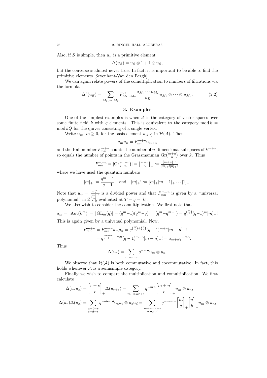Also, if S is simple, then  $u<sub>S</sub>$  is a primitive element

$$
\Delta(u_S)=u_S\otimes 1+1\otimes u_S,
$$

but the converse is almost never true. In fact, it is important to be able to find the primitive elements [Sevenhant-Van den Bergh].

We can again relate powers of the comultiplication to numbers of filtrations via the formula

$$
\Delta^{r}(u_{E}) = \sum_{M_1,\cdots,M_r} F_{M_1\cdots M_r}^{E} \frac{a_{M_1}\cdots a_{M_r}}{a_E} u_{M_1} \otimes \cdots \otimes u_{M_r}.
$$
 (2.2)

# 3. Examples

One of the simplest examples is when  $A$  is the category of vector spaces over some finite field k with q elements. This is equivalent to the category mod  $k =$  $\mod kQ$  for the quiver consisting of a single vertex.

Write  $u_m$ ,  $m \geq 0$ , for the basis element  $u_{[k^m]}$  in  $\mathcal{H}(\mathcal{A})$ . Then

$$
u_m u_n = F_{mn}^{m+n} u_{m+n}
$$

and the Hall number  $F_{mn}^{m+n}$  counts the number of *n*-dimensional subspaces of  $k^{m+n}$ , so equals the number of points in the Grassmannian  $\operatorname{Gr}{{\binom{m+n}{n}}\atop n}$  over k. Thus

$$
F_{mn}^{m+n}=|\mathrm{Gr} \! \left( \begin{matrix}m+n \\ n \end{matrix} \right)| = \left[ \begin{matrix}m+n \\ n \end{matrix} \right]_+ := \frac{[m+n]_+!}{[m]_+![n]_+!},
$$

where we have used the quantum numbers

$$
[m]_{+} := \frac{q^{m} - 1}{q - 1}
$$
 and  $[m]_{+}! := [m]_{+}[m - 1]_{+} \cdots [1]_{+}.$ 

Note that  $u_m = \frac{u_1^m}{[m]_+!}$  is a divided power and that  $F_{mn}^{m+n}$  is given by a "universal polynomial" in  $\mathbb{Z}[T]$ , evaluated at  $T = q = |k|$ .

We also wish to consider the comultiplication. We first note that

$$
a_m = |\operatorname{Aut}(k^m)| = |\operatorname{GL}_m(q)| = (q^m - 1)(q^m - q) \cdots (q^m - q^{m-1}) = q^{\binom{m}{2}} (q - 1)^m [m]_+!
$$
  
This is again given by a universal polynomial. Now.

This is again given by a universal polynomial. Now,

$$
P_{mn}^{m+n} = F_{mn}^{m+n} a_m a_n = q^{\binom{m}{2} + \binom{n}{2}} (q-1)^{m+n} [m+n]_+!
$$
  
=  $q^{\binom{m+n}{2} - mn} (q-1)^{m+n} [m+n]_+! = a_{m+n} q^{-mn}.$ 

Thus

$$
\Delta(u_r) = \sum_{m+n=r} q^{-mn} u_m \otimes u_n.
$$

We observe that  $\mathcal{H}(\mathcal{A})$  is both commutative and cocommutative. In fact, this holds whenever  $A$  is a semisimple category.

Finally we wish to compare the multiplication and comultiplication. We first calculate

$$
\Delta(u_r u_s) = \begin{bmatrix} r+s \\ r \end{bmatrix}_+ \Delta(u_{r+s}) = \sum_{m+n=r+s} q^{-mn} \begin{bmatrix} m+n \\ r \end{bmatrix}_+ u_m \otimes u_n,
$$
  

$$
\Delta(u_r) \Delta(u_s) = \sum_{\substack{a+b=r \\ c+d=s}} q^{-ab-cd} u_a u_c \otimes u_b u_d = \sum_{\substack{m+n=r+s \\ a,b,c,d}} q^{-ab-cd} \begin{bmatrix} m \\ a \end{bmatrix}_+ \begin{bmatrix} n \\ b \end{bmatrix}_+ u_m \otimes u_n,
$$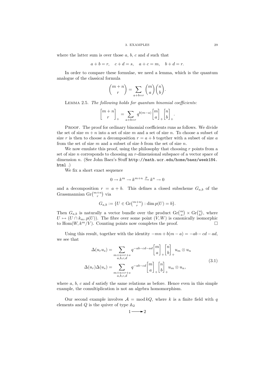#### 3. EXAMPLES 20

where the latter sum is over those  $a, b, c$  and  $d$  such that

$$
a+b=r, \quad c+d=s, \quad a+c=m, \quad b+d=r.
$$

In order to compare these formulae, we need a lemma, which is the quantum analogue of the classical formula

$$
\binom{m+n}{r}=\sum_{a+b=r}\binom{m}{a}\binom{n}{b}.
$$

Lemma 2.5. The following holds for quantum binomial coefficients:

$$
\genfrac{[}{]}{0pt}{}{m+n}{r}_{+}=\sum\limits_{a+b=r}q^{b(m-a)}\genfrac{[}{]}{0pt}{}{m}{a}_{+}\genfrac{[}{]}{0pt}{}{n}{b}_{+}.
$$

PROOF. The proof for ordinary binomial coefficients runs as follows. We divide the set of size  $m + n$  into a set of size m and a set of size n. To choose a subset of size r is then to choose a decomposition  $r = a + b$  together with a subset of size a from the set of size  $m$  and a subset of size  $b$  from the set of size  $n$ .

We now emulate this proof, using the philosophy that choosing  $r$  points from a set of size *n* corresponds to choosing an *r*-dimensional subspace of a vector space of dimension n. (See John Baez's Stuff http://math.ucr.edu/home/baez/week184. html .)

We fix a short exact sequence

$$
0\to k^m\to k^{m+n}\xrightarrow{p} k^n\to 0
$$

and a decomposition  $r = a + b$ . This defines a closed subscheme  $G_{a,b}$  of the Grassmannian $\mathrm{Gr} \binom{m+n}{r}$  via

$$
G_{a,b} := \{ U \in \mathrm{Gr} \binom{m+n}{r} : \dim p(U) = b \}.
$$

Then  $G_{a,b}$  is naturally a vector bundle over the product  $\operatorname{Gr} {m \choose a} \times \operatorname{Gr} {n \choose b}$ , where  $U \mapsto (U \cap k_m, p(U))$ . The fibre over some point  $(V, W)$  is canonically isomorphic to Hom $(W, k^m/V)$ . Counting points now completes the proof.

Using this result, together with the identity  $-mn + b(m - a) = -ab - cd - ad$ , we see that

$$
\Delta(u_r u_s) = \sum_{\substack{m+n=r+s \ a,b,c,d}} q^{-ab-cd-ad} \begin{bmatrix} m \\ a \end{bmatrix}_+ \begin{bmatrix} n \\ b \end{bmatrix}_+ u_m \otimes u_n
$$
  

$$
\Delta(u_r) \Delta(u_s) = \sum_{\substack{m+n=r+s \ a,b,c,d}} q^{-ab-cd} \begin{bmatrix} m \\ a \end{bmatrix}_+ \begin{bmatrix} n \\ b \end{bmatrix}_+ u_m \otimes u_n,
$$
 (3.1)

where  $a, b, c$  and  $d$  satisfy the same relations as before. Hence even in this simple example, the comultiplication is not an algebra homomorphism.

Our second example involves  $A = \text{mod } kQ$ , where k is a finite field with q elements and  $Q$  is the quiver of type  $\mathbb{A}_2$ 

$$
1 \longrightarrow 2
$$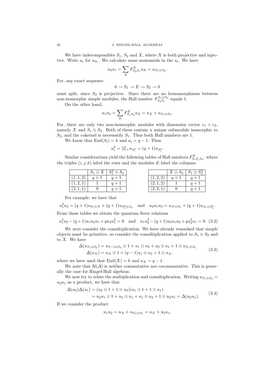We have indecomposables  $S_1$ ,  $S_2$  and X, where X is both projective and injective. Write  $u_i$  for  $u_{S_i}$ . We calculate some monomials in the  $u_i$ . We have

$$
u_2 u_1 = \sum_E F_{S_2 S_1}^E u_E = u_{S_1 \oplus S_2}.
$$

For, any exact sequence

$$
0 \to S_1 \to E \to S_2 \to 0
$$

must split, since  $S_2$  is projective. Since there are no homomorphisms between non-isomorphic simple modules, the Hall number  $F_{S_2S_1}^{S_1\oplus S_2}$  equals 1.

On the other hand,

$$
u_1 u_2 = \sum_E F_{S_1 S_2}^E u_E = u_X + u_{S_1 \oplus S_2}.
$$

For, there are only two non-isomorphic modules with dimension vector  $e_1 + e_2$ , namely X and  $S_1 \oplus S_2$ . Both of these contain a unique submodule isomorphic to  $S_2$ , and the cokernel is necessarily  $S_1$ . Thus both Hall numbers are 1.

We know that  $\text{End}(S_i) = k$  and  $a_i = q - 1$ . Thus

$$
u_i^2 = [2]_+ u_{S_i^2} = (q+1)u_{S_i^2}.
$$

Similar considerations yield the following tables of Hall numbers  $F_{S_i S_j S_k}^E$ , where the triples  $(i, j, k)$  label the rows and the modules E label the columns:

|           | $S_1 \oplus X$ | $S_1^2 \oplus S_2$ |
|-----------|----------------|--------------------|
| (1, 1, 2) | $q+1$          | $q+1$              |
| (1, 2, 1) |                | $q+1$              |
| (2.1      |                | $a +$              |

|           | $X \oplus S_2$ | $S_1 \oplus S_2^2$ |
|-----------|----------------|--------------------|
| (1, 2, 2) |                | $q +$              |
| (2,1,2)   |                | $q +$              |
| (2, 2, 1) |                |                    |

For example, we have that

 $u_1^2 u_2 = (q+1)u_{S_1 \oplus X} + (q+1)u_{S_1^2 \oplus S_2}$  and  $u_2 u_1 u_2 = u_{X \oplus S_2} + (q+1)u_{S_1 \oplus S_2^2}$ . From these tables we obtain the quantum Serre relations

 $u_1^2 u_2 - (q+1)u_1 u_2 u_1 + q u_2 u_1^2 = 0$  and  $u_1 u_2^2 - (q+1)u_2 u_1 u_2 + q u_2^2 u_1 = 0$ . (3.2)

We next consider the comultiplication. We have already remarked that simple objects must be primitive, so consider the comultiplication applied to  $S_1 \oplus S_2$  and to  $X$ . We have

$$
\Delta(u_{S_1 \oplus S_2}) = u_{S-1 \oplus S_2} \otimes 1 + u_1 \otimes u_2 + u_2 \otimes u_1 + 1 \otimes u_{S_1 \oplus S_2}
$$
  
\n
$$
\Delta(u_X) = u_X \otimes 1 + (q-1)u_1 \otimes u_2 + 1 \otimes u_X,
$$
\n(3.3)

where we have used that  $End(X) = k$  and  $a_X = q - 1$ .

We note that  $\mathcal{H}(\mathcal{A})$  is neither commutative nor cocommutative. This is generally the case for Ringel-Hall algebras.

We now try to relate the multiplication and comultiplication. Writing  $u_{S_1 \oplus S_2}$  =  $u_2u_1$  as a product, we have that

$$
\Delta(u_2)\Delta(u_1) = (u_2 \otimes 1 + 1 \otimes u_2)(u_1 \otimes 1 + 1 \otimes u_1)
$$
  
=  $u_2u_1 \otimes 1 + u_2 \otimes u_1 + u_1 \otimes u_2 + 1 \otimes u_2u_1 = \Delta(u_2u_1).$  (3.4)

If we consider the product

$$
u_1u_2 = u_X + u_{S_1 \oplus S_2} = u_X + u_2u_1,
$$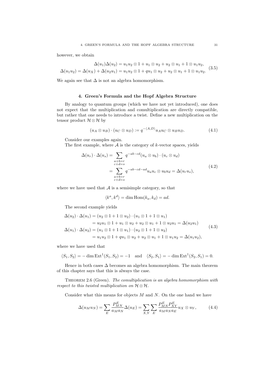however, we obtain

$$
\Delta(u_1)\Delta(u_2) = u_1u_2 \otimes 1 + u_1 \otimes u_2 + u_2 \otimes u_1 + 1 \otimes u_1u_2,
$$
  

$$
\Delta(u_1u_2) = \Delta(u_X) + \Delta(u_2u_1) = u_1u_2 \otimes 1 + qu_1 \otimes u_2 + u_2 \otimes u_1 + 1 \otimes u_1u_2.
$$
 (3.5)

We again see that  $\Delta$  is not an algebra homomorphism.

# 4. Green's Formula and the Hopf Algebra Structure

By analogy to quantum groups (which we have not yet introduced), one does not expect that the multiplication and comultiplication are directly compatible, but rather that one needs to introduce a twist. Define a new multiplication on the tensor product  $\mathcal{H} \otimes \mathcal{H}$  by

$$
(u_A \otimes u_B) \cdot (u_C \otimes u_D) := q^{-\langle A, D \rangle} u_A u_C \otimes u_B u_D. \tag{4.1}
$$

Consider our examples again.

The first example, where  $A$  is the category of k-vector spaces, yields

$$
\Delta(u_r) \cdot \Delta(u_s) = \sum_{\substack{a+b=r \ c+d=s}} q^{-ab-cd} (u_a \otimes u_b) \cdot (u_c \otimes u_d)
$$
  
= 
$$
\sum_{\substack{c+b=r \ c+d=s}} q^{-ab-cd-ad} u_a u_c \otimes u_b u_d = \Delta(u_r u_s),
$$
 (4.2)

where we have used that  $A$  is a semisimple category, so that

$$
\langle k^a, k^d \rangle = \dim \text{Hom}(k_a, k_d) = ad.
$$

The second example yields

$$
\Delta(u_2) \cdot \Delta(u_1) = (u_2 \otimes 1 + 1 \otimes u_2) \cdot (u_1 \otimes 1 + 1 \otimes u_1)
$$
  
=  $u_2 u_1 \otimes 1 + u_1 \otimes u_2 + u_2 \otimes u_1 + 1 \otimes u_2 u_1 = \Delta(u_2 u_1)$   

$$
\Delta(u_1) \cdot \Delta(u_2) = (u_1 \otimes 1 + 1 \otimes u_1) \cdot (u_2 \otimes 1 + 1 \otimes u_2)
$$
  
=  $u_1 u_2 \otimes 1 + q u_1 \otimes u_2 + u_2 \otimes u_1 + 1 \otimes u_1 u_2 = \Delta(u_1 u_2),$  (4.3)

where we have used that

$$
\langle S_1, S_2 \rangle = -\dim \text{Ext}^1(S_1, S_2) = -1 \text{ and } \langle S_2, S_1 \rangle = -\dim \text{Ext}^1(S_2, S_1) = 0.
$$

Hence in both cases  $\Delta$  becomes an algebra homomorphism. The main theorem of this chapter says that this is always the case.

THEOREM 2.6 (Green). The comultiplication is an algebra homomorphism with respect to this twisted multiplication on  $\mathcal{H} \otimes \mathcal{H}$ .

Consider what this means for objects  $M$  and  $N$ . On the one hand we have

$$
\Delta(u_M u_N) = \sum_E \frac{P_{MN}^E}{a_M a_N} \Delta(u_E) = \sum_{X,Y} \sum_E \frac{P_{MN}^E P_{XY}^E}{a_M a_N a_E} u_X \otimes u_Y, \tag{4.4}
$$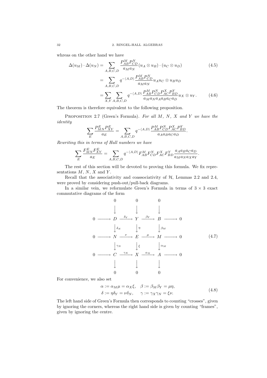whreas on the other hand we have

$$
\Delta(u_M) \cdot \Delta(u_N) = \sum_{A,B,C,D} \frac{P_{AB}^M P_{CD}^N}{a_M a_N} (u_A \otimes u_B) \cdot (u_C \otimes u_D)
$$
(4.5)  

$$
= \sum_{A,B,C,D} q^{-\langle A,D \rangle} \frac{P_{AB}^M P_{CD}^N}{a_M a_N} u_A u_C \otimes u_B u_D
$$
  

$$
= \sum_{X,Y} \sum_{A,B,C,D} q^{-\langle A,D \rangle} \frac{P_{AB}^M P_{CD}^N P_{AC}^X P_{BD}^Y}{a_M a_N a_A a_B a_C a_D} u_X \otimes u_Y.
$$
(4.6)

The theorem is therefore equivalent to the following proposition.

PROPOSITION 2.7 (Green's Formula). For all  $M$ ,  $N$ ,  $X$  and  $Y$  we have the identity

$$
\sum_{E} \frac{P_{MN}^E P_{XY}^E}{a_E} = \sum_{A,B,C,D} q^{-\langle A,D \rangle} \frac{P_{AB}^M P_{CD}^N P_{AC}^X P_{BD}^Y}{a_A a_B a_C a_D}.
$$

Rewriting this in terms of Hall numbers we have

$$
\sum_E \frac{F_{MN}^E F_{XY}^E}{a_E} = \sum_{A,B,C,D} q^{-\langle A,D \rangle} F_{AB}^M F_{CD}^N F_{AC}^X F_{BD}^Y \frac{a_A a_B a_C a_D}{a_M a_N a_X a_Y}.
$$

The rest of this section will be devoted to proving this formula. We fix representations  $M, N, X$  and  $Y$ .

Recall that the associativity and coassociativity of  $H$ , Lemmas 2.2 and 2.4, were proved by considering push-out/pull-back diagrams.

In a similar vein, we reformulate Green's Formula in terms of  $3 \times 3$  exact commutative diagrams of the form

$$
0 \t 0 \t 0
$$
  
\n
$$
\downarrow \t \downarrow \t \downarrow
$$
  
\n
$$
0 \longrightarrow D \xrightarrow{\delta_Y} Y \xrightarrow{\beta_Y} B \longrightarrow 0
$$
  
\n
$$
\downarrow \delta_N \t \downarrow \eta \t \downarrow \beta_M
$$
  
\n
$$
0 \longrightarrow N \xrightarrow{\nu} E \xrightarrow{\mu} M \longrightarrow 0
$$
  
\n
$$
\downarrow \gamma_N \t \downarrow \xi \t \downarrow \alpha_M
$$
  
\n
$$
0 \longrightarrow C \xrightarrow{\gamma_X} X \xrightarrow{\alpha_X} A \longrightarrow 0
$$
  
\n
$$
\downarrow \t \downarrow
$$
  
\n
$$
0 \t 0 \t 0
$$
  
\n(4.7)

For convenience, we also set

$$
\alpha := \alpha_M \mu = \alpha_X \xi, \quad \beta := \beta_M \beta_Y = \mu \eta,
$$
  

$$
\delta := \eta \delta_Y = \nu \delta_N, \quad \gamma := \gamma_X \gamma_N = \xi \nu.
$$
 (4.8)

The left hand side of Green's Formula then corresponds to counting "crosses", given by ignoring the corners, whereas the right hand side is given by counting "frames", given by ignoring the centre.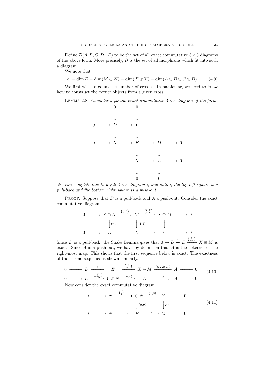Define  $\mathcal{D}(A, B, C, D : E)$  to be the set of all exact commutative  $3 \times 3$  diagrams of the above form. More precisely,  $\mathcal D$  is the set of all morphisms which fit into such a diagram.

We note that

 $\underline{e} := \underline{\dim} E = \underline{\dim}(M \oplus N) = \underline{\dim}(X \oplus Y) = \underline{\dim}(A \oplus B \oplus C \oplus D).$  (4.9)

We first wish to count the number of crosses. In particular, we need to know how to construct the corner objects from a given cross.

LEMMA 2.8. Consider a partial exact commutative  $3 \times 3$  diagram of the form



We can complete this to a full  $3 \times 3$  diagram if and only if the top left square is a pull-back and the bottom right square is a push-out.

PROOF. Suppose that  $D$  is a pull-back and  $A$  a push-out. Consider the exact commutative diagram

$$
\begin{array}{ccccccccc}\n0 & \xrightarrow{\qquad} & Y \oplus N & \xrightarrow{\binom{\eta & 0}{\nu}} & E^2 & \xrightarrow{\binom{\xi & 0}{\mu}} & X \oplus M & \xrightarrow{\qquad} & 0 \\
& & & & & & & \\
0 & \xrightarrow{\qquad} & E & \xrightarrow{\qquad} & E & \xrightarrow{\qquad} & 0 & \xrightarrow{\qquad} & 0 \\
\end{array}
$$

Since D is a pull-back, the Snake Lemma gives that  $0 \to D \xrightarrow{\delta} E \xrightarrow{\binom{\xi}{-\mu}} X \oplus M$  is exact. Since  $A$  is a push-out, we have by definition that  $A$  is the cokernel of the right-most map. This shows that the first sequence below is exact. The exactness of the second sequence is shown similarly.

$$
\begin{array}{ccc}\n0 & \xrightarrow{\delta} & D \xrightarrow{\delta} & E \xrightarrow{\left(\begin{smallmatrix} \xi \\ -\mu \end{smallmatrix}\right)} X \oplus M \xrightarrow{\left(\alpha_X, \alpha_M\right)} A \longrightarrow 0 \\
0 & \xrightarrow{\left(\begin{smallmatrix} \delta_Y \\ -\delta_N \end{smallmatrix}\right)} Y \oplus N \xrightarrow{\left(\eta, \nu\right)} E \xrightarrow{\alpha} A \longrightarrow 0.\n\end{array} \tag{4.10}
$$

Now consider the exact commutative diagram

$$
0 \longrightarrow N \xrightarrow{\binom{0}{1}} Y \oplus N \xrightarrow{(1,0)} Y \longrightarrow 0
$$
  

$$
\parallel \qquad \qquad \downarrow (\eta,\nu) \qquad \downarrow \mu\eta \qquad (4.11)
$$
  

$$
0 \longrightarrow N \xrightarrow{\nu} E \xrightarrow{\mu} M \longrightarrow 0
$$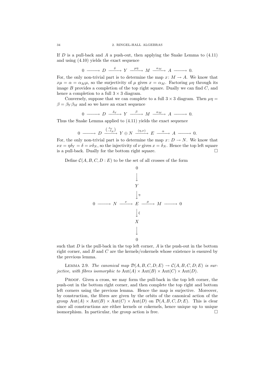If D is a pull-back and A a push-out, then applying the Snake Lemma to  $(4.11)$ and using (4.10) yields the exact sequence

$$
0 \longrightarrow D \xrightarrow{\delta} Y \xrightarrow{\mu\eta} M \xrightarrow{\alpha_M} A \longrightarrow 0.
$$

For, the only non-trivial part is to determine the map  $x: M \to A$ . We know that  $x\mu = \alpha = \alpha_M\mu$ , so the surjectivity of  $\mu$  gives  $x = \alpha_M$ . Factoring  $\mu\eta$  through its image  $B$  provides a completion of the top right square. Dually we can find  $C$ , and hence a completion to a full  $3 \times 3$  diagram.

Conversely, suppose that we can complete to a full  $3 \times 3$  diagram. Then  $\mu\eta =$  $\beta = \beta_Y \beta_M$  and so we have an exact sequence

$$
0 \longrightarrow D \xrightarrow{\delta_Y} Y \xrightarrow{\beta} M \xrightarrow{\alpha_M} A \longrightarrow 0.
$$

Thus the Snake Lemma applied to (4.11) yields the exact sequence

$$
0 \longrightarrow D \xrightarrow{\binom{\delta_Y}{-\delta_N}} Y \oplus N \xrightarrow{(\eta,\nu)} E \xrightarrow{\alpha} A \longrightarrow 0.
$$

For, the only non-trivial part is to determine the map  $x: D \to N$ . We know that  $\nu x = \eta \delta_Y = \delta = \nu \delta_N$ , so the injectivity of  $\nu$  gives  $x = \delta_N$ . Hence the top left square is a pull-back. Dually for the bottom right square.  $\Box$ 

Define  $C(A, B, C, D : E)$  to be the set of all crosses of the form



such that  $D$  is the pull-back in the top left corner,  $A$  is the push-out in the bottom right corner, and B and C are the kernels/cokernels whose existence is ensured by the previous lemma.

LEMMA 2.9. The canonical map  $\mathcal{D}(A, B, C, D; E) \rightarrow \mathcal{C}(A, B, C, D; E)$  is surjective, with fibres isomorphic to  $Aut(A) \times Aut(B) \times Aut(C) \times Aut(D)$ .

Proof. Given a cross, we may form the pull-back in the top left corner, the push-out in the bottom right corner, and then complete the top right and bottom left corners using the previous lemma. Hence the map is surjective. Moreover, by construction, the fibres are given by the orbits of the canonical action of the group  $\text{Aut}(A) \times \text{Aut}(B) \times \text{Aut}(C) \times \text{Aut}(D)$  on  $\mathcal{D}(A, B, C, D; E)$ . This is clear since all constructions are either kernels or cokernels, hence unique up to unique isomorphism. In particular, the group action is free.  $\Box$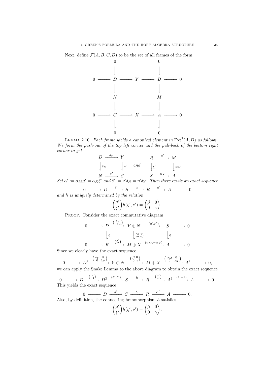Next, define  $\mathcal{F}(A, B, C, D)$  to be the set of all frames of the form



LEMMA 2.10. Each frame yields a canonical element in  $\text{Ext}^2(A, D)$  as follows. We form the push-out of the top left corner and the pull-back of the bottom right corner to get

$$
\begin{array}{ccc}\nD & \xrightarrow{\delta_Y} & Y & R & \xrightarrow{\mu'} & M \\
\downarrow_{\delta_N} & \downarrow_{\eta'} & \text{and} & \downarrow_{\xi'} & \downarrow_{\alpha_M} \\
N & \xrightarrow{\nu'} & S & X & \xrightarrow{\alpha_X} & A\n\end{array}
$$

Set  $\alpha' := \alpha_M \mu' = \alpha_X \xi'$  and  $\delta' := \nu' \delta_N = \eta' \delta_Y$ . Then there exists an exact sequence  $0 \longrightarrow D \xrightarrow{\delta'} S \xrightarrow{h} R \xrightarrow{\alpha'} A \longrightarrow 0$ 

and h is uniquely determined by the relation

$$
\begin{pmatrix} \mu' \\ \xi' \end{pmatrix} h(\eta', \nu') = \begin{pmatrix} \beta & 0 \\ 0 & \gamma \end{pmatrix}.
$$

PROOF. Consider the exact commutative diagram

$$
\begin{array}{ccccccccc}\n0 & \xrightarrow{\begin{smallmatrix}\n\delta_Y \\
-\delta_N\n\end{smallmatrix}} & Y \oplus N & \xrightarrow{\begin{smallmatrix}\n(\eta', \nu')\n\end{smallmatrix}} & S \longrightarrow 0 \\
\downarrow 0 & & \downarrow \begin{smallmatrix}\n(\beta \circ \eta) \\
\delta \circ \gamma\n\end{smallmatrix} & & \downarrow 0 \\
0 & \xrightarrow{\begin{smallmatrix}\n(\mu')\n\end{smallmatrix}} & M \oplus X & \xrightarrow{\begin{smallmatrix}\n(\alpha_M, -\alpha_X) \\
\end{smallmatrix}} & A \longrightarrow 0\n\end{array}
$$

Since we clearly have the exact sequence

$$
0 \longrightarrow D^2 \xrightarrow{\left(\begin{smallmatrix} \delta_Y & 0 \\ 0 & \delta_N \end{smallmatrix}\right)} Y \oplus N \xrightarrow{\left(\begin{smallmatrix} \beta & 0 \\ 0 & \gamma \end{smallmatrix}\right)} M \oplus X \xrightarrow{\left(\begin{smallmatrix} \alpha_M & 0 \\ 0 & \alpha_X \end{smallmatrix}\right)} A^2 \longrightarrow 0,
$$

we can apply the Snake Lemma to the above diagram to obtain the exact sequence

$$
0 \longrightarrow D \xrightarrow{\binom{1}{-1}} D^2 \xrightarrow{(\delta', \delta')} S \xrightarrow{h} R \xrightarrow{\binom{\alpha'}{\alpha'}} A^2 \xrightarrow{(1, -1)} A \longrightarrow 0.
$$
 This yields the exact sequence

Also, by definition, the connecting homomorphism 
$$
h
$$
 satisfies

$$
\begin{pmatrix} \mu' \\ \xi' \end{pmatrix} h(\eta', \nu') = \begin{pmatrix} \beta & 0 \\ 0 & \gamma \end{pmatrix}.
$$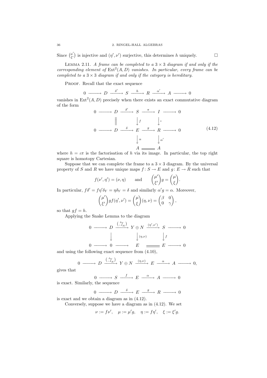Since  $\binom{\mu'}{\varepsilon'}$  $\begin{bmatrix} \mu' \\ \xi' \end{bmatrix}$  is injective and  $(\eta', \nu')$  surjective, this determines h uniquely.

LEMMA 2.11. A frame can be completed to a  $3 \times 3$  diagram if and only if the corresponding element of  $\text{Ext}^2(A, D)$  vanishes. In particular, every frame can be completed to a  $3 \times 3$  diagram if and only if the category is hereditary.

PROOF. Recall that the exact sequence

$$
0 \xrightarrow{\delta'} D \xrightarrow{\delta'} S \xrightarrow{h} R \xrightarrow{\alpha'} A \xrightarrow{\bullet} 0
$$

vanishes in  $\text{Ext}^2(A, D)$  precisely when there exists an exact commutative diagram of the form  $\overline{a}$ 

$$
0 \longrightarrow D \xrightarrow{\delta'} \quad S \xrightarrow{\pi} I \longrightarrow 0
$$
  
\n
$$
\parallel \qquad \qquad \downarrow f \qquad \qquad \downarrow \iota
$$
  
\n
$$
0 \longrightarrow D \xrightarrow{\delta} E \xrightarrow{g} R \longrightarrow 0
$$
  
\n
$$
\downarrow^{\alpha} \qquad \qquad \downarrow^{\alpha'} \qquad (4.12)
$$

where  $h = \iota \pi$  is the factorisation of h via its image. In particular, the top right square is homotopy Cartesian.

Suppose that we can complete the frame to a  $3 \times 3$  diagram. By the universal property of S and R we have unique maps  $f: S \to E$  and  $g: E \to R$  such that

$$
f(\nu', \eta') = (\nu, \eta)
$$
 and  $\begin{pmatrix} \mu' \\ \xi' \end{pmatrix} g = \begin{pmatrix} \mu \\ \xi \end{pmatrix}.$ 

In particular,  $f \delta' = f \eta' \delta_Y = \eta \delta_Y = \delta$  and similarly  $\alpha' g = \alpha$ . Moreover,

$$
\begin{pmatrix} \mu' \\ \xi' \end{pmatrix} gf(\eta', \nu') = \begin{pmatrix} \mu \\ \xi \end{pmatrix} (\eta, \nu) = \begin{pmatrix} \beta & 0 \\ 0 & \gamma \end{pmatrix},
$$

so that  $gf = h$ .

Applying the Snake Lemma to the diagram

$$
\begin{array}{ccc}\n0 & \xrightarrow{\begin{array}{ccc}\n\left(\begin{array}{c}\n\delta_X \\
\hline\n-\delta_N\n\end{array}\right)} & Y \oplus N \xrightarrow{\begin{array}{ccc}\n\left(\begin{array}{c}\n\eta',\nu'\right)} \\
\hline\n\end{array}\right)} & S \longrightarrow 0 \\
\downarrow & & \downarrow f \\
0 & \xrightarrow{\begin{array}{ccc}\n\end{array}} & 0 \longrightarrow E \longrightarrow E \longrightarrow 0\n\end{array}\n\end{array}
$$

and using the following exact sequence from (4.10),

$$
0 \longrightarrow D \xrightarrow{\binom{\delta_Y}{-\delta_N}} Y \oplus N \xrightarrow{(\eta,\nu)} E \xrightarrow{\alpha} A \longrightarrow 0,
$$

gives that

 $0 \longrightarrow S \longrightarrow^fE \longrightarrow^{\alpha} A \longrightarrow 0$ 

is exact. Similarly, the sequence

 $0 \longrightarrow D \longrightarrow E \longrightarrow R \longrightarrow 0$ is exact and we obtain a diagram as in (4.12).

Conversely, suppose we have a diagram as in (4.12). We set

$$
\nu := f\nu', \quad \mu := \mu'g, \quad \eta := f\eta', \quad \xi := \xi'g.
$$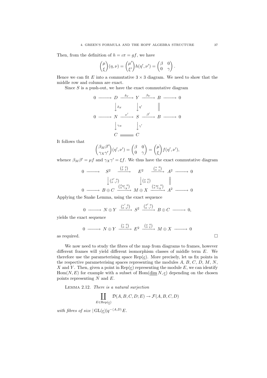Then, from the definition of  $h = \iota \pi = gf$ , we have

$$
\binom{\mu}{\xi}(\eta,\nu)=\binom{\mu'}{\xi'}h(\eta',\nu')=\binom{\beta\quad 0}{0\quad \gamma} \, .
$$

Hence we can fit E into a commutative  $3 \times 3$  diagram. We need to show that the middle row and column are exact.

Since  $S$  is a push-out, we have the exact commutative diagram

$$
0 \longrightarrow D \xrightarrow{\delta_Y} Y \xrightarrow{\beta_Y} B \longrightarrow 0
$$
  

$$
\downarrow_{\delta_N} \qquad \downarrow_{\eta'} \qquad ||
$$
  

$$
0 \longrightarrow N \xrightarrow{\nu'} S \xrightarrow{\beta'} B \longrightarrow 0
$$
  

$$
\downarrow_{\gamma_N} \qquad \downarrow_{\gamma'} \qquad C \longrightarrow C
$$

It follows that

$$
\begin{pmatrix} \beta_M \beta' \\ \gamma_X \gamma' \end{pmatrix} (\eta', \nu') = \begin{pmatrix} \beta & 0 \\ 0 & \gamma \end{pmatrix} = \begin{pmatrix} \mu \\ \xi \end{pmatrix} f(\eta', \nu'),
$$

whence  $\beta_M \beta' = \mu f$  and  $\gamma_X \gamma' = \xi f$ . We thus have the exact commutative diagram

$$
\begin{array}{ccccccccc}\n0 & \xrightarrow{\hspace{1cm}} & S^2 & \xrightarrow{\hspace{1cm}} & \xrightarrow{\hspace{1cm}} & E^2 & \xrightarrow{\hspace{1cm}} & A^2 & \xrightarrow{\hspace{1cm}} & 0 \\
& & \downarrow \xrightarrow{\hspace{1cm}} & \xrightarrow{\hspace{1cm}} & \xrightarrow{\hspace{1cm}} & \xrightarrow{\hspace{1cm}} & \xrightarrow{\hspace{1cm}} & A^2 & \xrightarrow{\hspace{1cm}} & 0 \\
& & \downarrow \xrightarrow{\hspace{1cm}} & \xrightarrow{\hspace{1cm}} & \xrightarrow{\hspace{1cm}} & \xrightarrow{\hspace{1cm}} & \xrightarrow{\hspace{1cm}} & A^2 & \xrightarrow{\hspace{1cm}} & 0 \\
& & \downarrow \xrightarrow{\hspace{1cm}} & \xrightarrow{\hspace{1cm}} & \xrightarrow{\hspace{1cm}} & \xrightarrow{\hspace{1cm}} & \xrightarrow{\hspace{1cm}} & \xrightarrow{\hspace{1cm}} & A^2 & \xrightarrow{\hspace{1cm}} & 0 \\
0 & \xrightarrow{\hspace{1cm}} & B \oplus C & \xrightarrow{\hspace{1cm}} & \xrightarrow{\hspace{1cm}} & M \oplus X & \xrightarrow{\hspace{1cm}} & \xrightarrow{\hspace{1cm}} & A^2 & \xrightarrow{\hspace{1cm}} & 0 \\
\end{array}
$$

Applying the Snake Lemma, using the exact sequence

$$
0 \longrightarrow N \oplus Y \xrightarrow{\binom{p'}{0 \ q'} } S^2 \xrightarrow{\binom{\beta'}{0 \ \gamma'}} B \oplus C \longrightarrow 0,
$$

yields the exact sequence

$$
0 \longrightarrow N \oplus Y \xrightarrow{\binom{\nu}{0} \atop n \to \nu} E^2 \xrightarrow{\binom{\mu}{0} \atop \xi \to \nu} M \oplus X \longrightarrow 0
$$
 as required.

We now need to study the fibres of the map from diagrams to frames, however different frames will yield different isomorphism classes of middle term E. We therefore use the parameterising space  $\text{Rep}(e)$ . More precisely, let us fix points in the respective parameterising spaces representing the modules  $A, B, C, D, M, N$ , X and Y. Then, given a point in  $\text{Rep}(\underline{e})$  representing the module E, we can identify  $Hom(N, E)$  for example with a subset of  $Hom(\dim N, e)$  depending on the chosen points representing  $N$  and  $E$ .

Lemma 2.12. There is a natural surjection

$$
\coprod_{E\in \text{Rep}(\underline{e})}\mathcal{D}(A,B,C,D;E)\rightarrow \mathcal{F}(A,B,C,D)
$$

with fibres of size  $|\operatorname{GL}(\underline{e})|q^{-\langle A,D\rangle}E$ .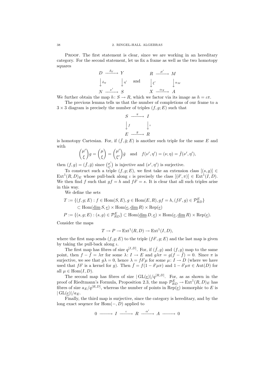PROOF. The first statement is clear, since we are working in an hereditary category. For the second statement, let us fix a frame as well as the two homotopy squares

$$
\begin{array}{ccc}\nD & \xrightarrow{\delta_Y} & Y & R & \xrightarrow{\mu'} & M \\
\downarrow_{\delta_N} & \downarrow_{\eta'} & \text{and} & \downarrow_{\xi'} & \downarrow_{\alpha_M} \\
N & \xrightarrow{\nu'} & S & X & \xrightarrow{\alpha_X} & A\n\end{array}
$$

We further obtain the map  $h: S \to R$ , which we factor via its image as  $h = \iota \pi$ .

The previous lemma tells us that the number of completions of our frame to a  $3 \times 3$  diagram is precisely the number of triples  $(f, g; E)$  such that

$$
S \xrightarrow{\pi} I
$$
  

$$
\downarrow f \qquad \downarrow \iota
$$
  

$$
E \xrightarrow{g} R
$$

is homotopy Cartesian. For, if  $(\bar{f}, \bar{g}; E)$  is another such triple for the same E and with

$$
\binom{\mu'}{\xi}g = \binom{\mu}{\xi} = \binom{\mu'}{\xi'}\bar{g} \text{ and } f(\nu', \eta') = (\nu, \eta) = \bar{f}(\nu', \eta'),
$$

then  $(f,g) = (\bar{f}, \bar{g})$  since  $\binom{\mu'}{g'}$  $\mu'_{\xi'}$ ) is injective and  $(\nu', \eta')$  is surjective.

To construct such a triple  $(f, g; E)$ , we first take an extension class  $[(s, g)] \in$  $Ext^1(R, D)_E$  whose pull-back along  $\iota$  is precisely the class  $[(\delta', \pi)] \in Ext^1(I, D)$ . We then find f such that  $gf = h$  and  $f\delta' = s$ . It is clear that all such triples arise in this way.

We define the sets

$$
T := \{ (f, g; E) : f \in \text{Hom}(S, E), g \in \text{Hom}(E, R), gf = h, (f\delta', g) \in \mathcal{P}_{RD}^{E} \}
$$
  

$$
\subset \text{Hom}(\underline{\text{dim}} S, \underline{e}) \times \text{Hom}(\underline{e}, \underline{\text{dim}} R) \times \text{Rep}(\underline{e})
$$
  

$$
P := \{ (s, g; E) : (s, g) \in \mathcal{P}_{RD}^{E} \} \subset \text{Hom}(\underline{\text{dim}} D, \underline{e}) \times \text{Hom}(\underline{e}, \underline{\text{dim}} R) \times \text{Rep}(\underline{e}).
$$

Consider the maps

$$
T \to P \to \text{Ext}^1(R, D) \to \text{Ext}^1(I, D),
$$

where the first map sends  $(f, g; E)$  to the triple  $(f\delta', g; E)$  and the last map is given by taking the pull-back along  $\iota$ .

The first map has fibres of size  $q^{[I,D]}$ . For, if  $(\bar{f}, g)$  and  $(f, g)$  map to the same point, then  $f - \bar{f} = \lambda \pi$  for some  $\lambda: I \to E$  and  $g\lambda \pi = g(f - \bar{f}) = 0$ . Since  $\pi$  is surjective, we see that  $g\lambda = 0$ , hence  $\lambda = f\delta'\mu$  for some  $\mu: I \to D$  (where we have used that  $f\delta'$  is a kernel for g). Then  $\bar{f} = f(1 - \delta'\mu\pi)$  and  $1 - \delta'\mu\pi \in \text{Aut}(D)$  for all  $\mu \in \text{Hom}(I, D)$ .

The second map has fibres of size  $|GL(\underline{e})|/q^{[R,D]}$ . For, as as shown in the proof of Riedtmann's Formula, Proposition 2.3, the map  $\mathcal{P}_{RD}^E \to \text{Ext}^1(R, D)_E$  has fibres of size  $a_E/q^{[R,D]}$ , whereas the number of points in  $\text{Rep}(\underline{e})$  isomorphic to E is  $|GL(e)|/a_E.$ 

Finally, the third map is surjective, since the category is hereditary, and by the long exact seqence for  $Hom(-, D)$  applied to

$$
0 \xrightarrow{\qquad \qquad } I \xrightarrow{\iota \qquad} R \xrightarrow{\alpha'} A \xrightarrow{\qquad \qquad } 0
$$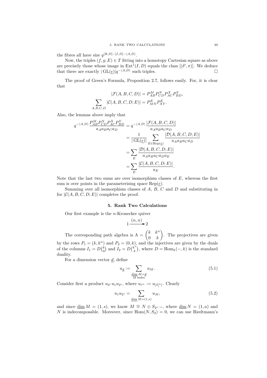the fibres all have size  $q^{[R,D]-[I,D]-\langle A,D\rangle}$ .

Now, the triples  $(f, g; E) \in T$  fitting into a homotopy Cartesian square as above are precisely those whose image in  $\text{Ext}^1(I, D)$  equals the class  $[(\delta', \pi)]$ . We deduce that there are exactly  $|GL(\underline{e})|q^{-\langle A,D\rangle}$  such triples.  $\square$ 

The proof of Green's Formula, Proposition 2.7, follows easily. For, it is clear that

$$
|\mathcal{F}(A, B, C, D)| = P_{AB}^M P_{CD}^N P_{AC}^X P_{BD}^Y,
$$

$$
\sum_{A, B, C, D} |\mathcal{C}(A, B, C, D; E)| = P_{MN}^E P_{XY}^E.
$$

Also, the lemmas above imply that

$$
q^{-\langle A,D\rangle} \frac{P_{AB}^{M} P_{CD}^{N} P_{AC}^{X} P_{BD}^{Y}}{a_A a_B a_C a_D} = q^{-\langle A,D\rangle} \frac{|\mathcal{F}(A,B,C,D)|}{a_A a_B a_C a_D}
$$
  

$$
= \frac{1}{|\operatorname{GL}(\underline{e})|} \sum_{E \in \operatorname{Rep}(\underline{e})} \frac{|\mathcal{D}(A,B,C,D;E)|}{a_A a_B a_C a_D}
$$
  

$$
= \sum_{E} \frac{|\mathcal{D}(A,B,C,D;E)|}{a_A a_B a_C a_D a_E}
$$
  

$$
= \sum_{E} \frac{|\mathcal{C}(A,B,C,D;E)|}{a_E}.
$$

Note that the last two sums are over isomorphism classes of  $E$ , whereas the first sum is over points in the parameterising space  $\text{Rep}(e)$ .

Summing over all isomorphism classes of  $A, B, C$  and  $D$  and substituting in for  $|C(A, B, C, D; E)|$  completes the proof.

# 5. Rank Two Calculations

Our first example is the  $n$ -Kronecker quiver

$$
1\xrightarrow{(n,n)}2
$$

The corresponding path algebra is  $\Lambda = \begin{pmatrix} k & k^n \\ 0 & k^n \end{pmatrix}$  $0 \quad k$  $\setminus$ . The projectives are given by the rows  $P_1 = (k, k^n)$  and  $P_2 = (0, k)$ , and the injectives are given by the duals of the columns  $I_1 = D\binom{k}{0}$  and  $I_2 = D\binom{k^n}{k}$  $(k<sup>n</sup>)$ , where  $D = \text{Hom}_k(-, k)$  is the standard duality.

For a dimension vector  $d$ , define

$$
u_{\underline{d}} := \sum_{\substack{\underline{\dim} M = \underline{d} \\ M \text{ indec}}} u_M. \tag{5.1}
$$

Consider first a product  $u_{2r}u_1u_{2s}$ , where  $u_{i^m} := u_{[S_i^m]}$ . Clearly

$$
u_1 u_{2^s} = \sum_{\underline{\dim} M = (1,s)} u_M,
$$
\n(5.2)

and since  $\underline{\dim} M = (1, s)$ , we know  $M \cong N \oplus S_{2^{s-a}}$ , where  $\underline{\dim} N = (1, a)$  and N is indecomposable. Moreover, since  $Hom(N, S_2) = 0$ , we can use Riedtmann's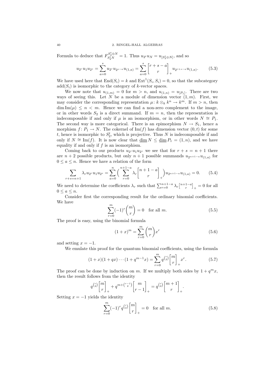#### 40 2. RINGEL-HALL ALGEBRAS

Formula to deduce that  $F_{S_2^t N}^{S_2^t \oplus N} = 1$ . Thus  $u_{2^t} u_N = u_{[S_2^t \oplus N]}$ , and so

$$
u_{2r}u_1u_{2s} = \sum_{a=0}^{s} u_{2r}u_{2s-a}u_{(1,a)} = \sum_{a=0}^{s} \begin{bmatrix} r+s-a \ r \end{bmatrix}_{+} u_{2r+s-a}u_{(1,a)}.
$$
 (5.3)

We have used here that  $\text{End}(S_i) = k$  and  $\text{Ext}^1(S_i, S_i) = 0$ , so that the subcategory  $add(S<sub>i</sub>)$  is isomorphic to the category of k-vector spaces.

We now note that  $u_{(1,m)} = 0$  for  $m > n$ , and  $u_{(1,n)} = u_{[P_1]}$ . There are two ways of seeing this. Let N be a module of dimension vector  $(1, m)$ . First, we may consider the corresponding representation  $\mu: k \otimes_k k^n \to k^m$ . If  $m > n$ , then  $\dim \text{Im}(\mu) \leq n \leq m$ . Hence we can find a non-zero complement to the image, or in other words  $S_2$  is a direct summand. If  $m = n$ , then the representation is indecomposable if and only if  $\mu$  is an isomorphism, or in other words  $N \cong P_1$ . The second way is more categorical. There is an epimorphism  $N \to S_1$ , hence a morphism  $f: P_1 \to N$ . The cokernel of Im(f) has dimension vector  $(0, t)$  for some t, hence is isomorphic to  $S_2^t$ , which is projective. Thus N is indecomposable if and only if  $N \cong \text{Im}(f)$ . It is now clear that  $\dim N \leq \dim P_1 = (1, n)$ , and we have equality if and only if  $f$  is an isomorphism.

Coming back to our products  $u_{2r}u_1u_{2s}$  we see that for  $r + s = n + 1$  there are  $n + 2$  possible products, but only  $n + 1$  possible summands  $u_{2^{n+1-a}}u_{(1,a)}$  for  $0 \le a \le n$ . Hence we have a relation of the form

$$
\sum_{r+s=n+1} \lambda_r u_{2r} u_1 u_{2s} = \sum_{a=0}^n \left( \sum_{r=0}^{n+1-a} \lambda_r \binom{n+1-a}{r} \right) u_{2n+1-a} u_{(1,a)} = 0. \tag{5.4}
$$

We need to determine the coefficients  $\lambda_r$  such that  $\sum_{r=0}^{n+1-a} \lambda_r \begin{bmatrix} n+1-a \\ r \end{bmatrix}_+ = 0$  for all  $0 \leq a \leq n$ .

Consider first the corresponding result for the ordinary binomial coefficients. We have

$$
\sum_{r=0}^{m} (-1)^r \binom{m}{r} = 0 \quad \text{for all } m. \tag{5.5}
$$

The proof is easy, using the binomial formula

$$
(1+x)^m = \sum_{r=0}^m \binom{m}{r} x^r \tag{5.6}
$$

and setting  $x = -1$ .

We emulate this proof for the quantum binomial coefficients, using the formula

$$
(1+x)(1+qx)\cdots(1+q^{m-1}x) = \sum_{r=0}^{m} q^{\binom{r}{2}} \binom{m}{r}_+ x^r.
$$
 (5.7)

The proof can be done by induction on m. If we multiply both sides by  $1 + q^m x$ , then the result follows from the identity

$$
q^{\binom{r}{2}}\binom{m}{r}_+ + q^{m+\binom{r-1}{2}}\binom{m}{r-1}_+ = q^{\binom{r}{2}}\binom{m+1}{r}_+.
$$

Setting  $x = -1$  yields the identity

$$
\sum_{r=0}^{m} (-1)^{r} q^{\binom{r}{2}} \binom{m}{r}_{+} = 0 \quad \text{for all } m.
$$
 (5.8)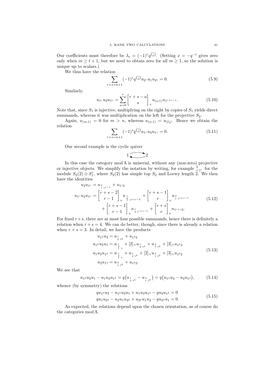Our coefficients must therefore be  $\lambda_r = (-1)^r q^{r \choose 2}$ . (Setting  $x = -q^{-t}$  gives zero only when  $m \geq t + 1$ , but we need to obtain zero for all  $m \geq 1$ , so the solution is unique up to scalars.)

We thus have the relation

$$
\sum_{r+s=n+1} (-1)^r q^{\binom{r}{2}} u_{2r} u_1 u_{2s} = 0.
$$
\n(5.9)

Similarly,

$$
u_{1}u_{2}u_{1} = \sum_{a=0}^{r} \begin{bmatrix} r+s-a \\ s \end{bmatrix}_{+} u_{(a,1)} u_{1} + s-a}.
$$
 (5.10)

Note that, since  $S_1$  is injective, multiplying on the right by copies of  $S_1$  yields direct summands, whereas it was multiplication on the left for the projective  $S_2$ .

Again,  $u_{(m,1)} = 0$  for  $m > n$ , whereas  $u_{(n,1)} = u_{[I_2]}$ . Hence we obtain the relation

$$
\sum_{r+s=n+1} (-1)^s q^{{s \choose 2}} u_{1^r} u_2 u_{1^s} = 0.
$$
\n(5.11)

Our second example is the cyclic quiver

$$
1\sum 2
$$

In this case the category  $mod \Lambda$  is uniserial, without any (non-zero) projective or injective objects. We simplify the notation by writing, for example  $\frac{2}{1}$  i<sub>r</sub> for the module  $S_2(2) \oplus S_1^r$ , where  $S_2(2)$  has simple top  $S_2$  and Loewy length 2. We then have the identities

$$
u_2 u_{1^s} = u_{2^{s}} + u_{1^s 2}
$$
  
\n
$$
u_{1^r} u_2 u_{1^s} = \begin{bmatrix} r+s-2 \\ r-1 \end{bmatrix}_{+} u_{2^{s}} + \begin{bmatrix} r+s-1 \\ r \end{bmatrix}_{+} u_{2^{s}} + \begin{bmatrix} u_{2^{s}} \\ r \end{bmatrix}_{+} u_{1^{r+s-1}} + \begin{bmatrix} r+s-1 \\ r-1 \end{bmatrix}_{+} u_{2^{r+s-1}} + \begin{bmatrix} r+s \\ r \end{bmatrix}_{+} u_{1^{r+s} 2}.
$$
\n
$$
(5.12)
$$

For fixed  $r+s$ , there are at most four possible summands, hence there is definitely a relation when  $r + s = 4$ . We can do better, though, since there is already a relation when  $r + s = 3$ . In detail, we have the products

$$
u_1 \cdot u_2 = u_1 + u_1 \cdot u_2
$$
  
\n
$$
u_1 \cdot u_2 u_1 = u_1 + [2]_+ u_1 + u_2 + [3]_+ u_1 \cdot u_2
$$
  
\n
$$
u_1 u_2 u_1 = u_1 + u_1 + u_1 + [2]_+ u_2 + [3]_+ u_1 \cdot u_2
$$
  
\n
$$
u_2 u_1 = u_1 + u_1 + u_2 + [2]_+ u_2 + [3]_+ u_1 \cdot u_2
$$
  
\n
$$
u_2 u_1 = u_1 + u_1 \cdot u_2.
$$
\n(5.13)

We see that

$$
u_{12}u_2u_1 - u_1u_2u_{12} = q(u_{\frac{1}{2}+2} - u_{\frac{2}{2}+2}) = q(u_{13}u_2 - u_2u_{13}),
$$
 (5.14)

whence (by symmetry) the relations

$$
qu_1su_2 - u_12u_2u_1 + u_1u_2u_1u_2 - qu_2u_1u_3 = 0
$$
  
\n
$$
qu_1u_2u_3 - u_2u_1u_2u_1 + u_2u_1u_2 - qu_2u_1 = 0.
$$
\n(5.15)

As expected, the relations depend upon the chosen orientation, as of course do the categories mod  $\Lambda$ .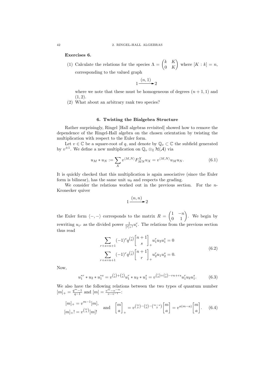Exercises 6.

(1) Calculate the relations for the species  $\Lambda = \begin{pmatrix} k & K \\ 0 & K \end{pmatrix}$ 0 K  $\setminus$ where  $[K : k] = n$ , corresponding to the valued graph

$$
1 \xrightarrow{(n,1)} 2
$$

where we note that these must be homogeneous of degrees  $(n + 1, 1)$  and  $(1, 2)$ .

(2) What about an arbitrary rank two species?

## 6. Twisting the Bialgebra Structure

Rather surprisingly, Ringel [Hall algebras revisited] showed how to remove the dependence of the Ringel-Hall algebra on the chosen orientation by twisting the multiplication with respect to the Euler form.

Let  $v \in \mathbb{C}$  be a square-root of q, and denote by  $\mathbb{Q}_v \subset \mathbb{C}$  the subfield generated by  $v^{\pm 1}$ . We define a new multiplication on  $\mathbb{Q}_v \otimes_{\mathbb{Z}} \mathcal{H}(\mathcal{A})$  via

$$
u_M * u_N := \sum_X v^{\langle M, N \rangle} F^X_{MN} u_X = v^{\langle M, N \rangle} u_M u_N. \tag{6.1}
$$

It is quickly checked that this multiplication is again associative (since the Euler form is bilinear), has the same unit  $u_0$  and respects the grading.

We consider the relations worked out in the previous section. For the  $n$ -Kronecker quiver

$$
1 \xrightarrow{(n,n)} 2
$$

the Euler form  $\langle -, - \rangle$  corresponds to the matrix  $R =$  $\begin{pmatrix} 1 & -n \\ 0 & 1 \end{pmatrix}$ . We begin by rewriting  $u_{i^r}$  as the divided power  $\frac{1}{[r]_+!} u_i^r$ . The relations from the previous section thus read

$$
\sum_{r+s=n+1} (-1)^s q^{\binom{s}{2}} \binom{n+1}{s}_+ u_1^r u_2 u_1^s = 0
$$
\n
$$
\sum_{r+s=n+1} (-1)^r q^{\binom{r}{2}} \binom{n+1}{r}_+ u_2^r u_1 u_2^s = 0.
$$
\n(6.2)

Now,

$$
u_1^{*r} * u_2 * u_1^{*s} = v^{{r \choose 2} + {s \choose 2}} u_1^r * u_2 * u_1^s = v^{{r \choose 2} + {s \choose 2} - rn + rs} u_1^r u_2 u_1^s.
$$
 (6.3)

We also have the following relations between the two types of quantum number  $[m]_{+} = \frac{q^{m}-1}{q-1}$  and  $[m] = \frac{v^{m}-v^{-m}}{v-v^{-1}}$ :

$$
[m]_+ = v^{m-1}[m],
$$
 and  $\begin{bmatrix} m \\ a \end{bmatrix}_+ = v^{\binom{m}{2} - \binom{a}{2} - \binom{m-a}{2}} \begin{bmatrix} m \\ a \end{bmatrix} = v^{a(m-a)} \begin{bmatrix} m \\ a \end{bmatrix}.$  (6.4)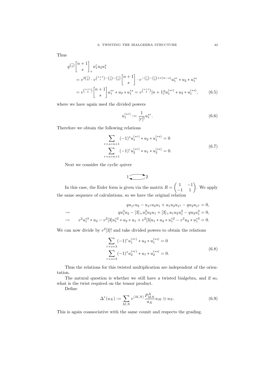Thus

$$
q^{\binom{s}{2}} \begin{bmatrix} n+1 \\ s \end{bmatrix}_+ u_1^r u_2 u_1^s
$$
  
=  $v^{2\binom{s}{2}} \cdot v^{\binom{n+1}{s} - \binom{s}{2} - \binom{r}{2}} \begin{bmatrix} n+1 \\ s \end{bmatrix} \cdot v^{-\binom{r}{2} - \binom{s}{2} + r(n-s)} u_1^{*r} * u_2 * u_1^{*s}$   
=  $v^{\binom{n+1}{2}} \begin{bmatrix} n+1 \\ s \end{bmatrix} u_1^{*r} * u_2 * u_1^{*s} = v^{\binom{n+1}{2}} [n+1]! u_1^{(*r)} * u_2 * u_1^{(*s)},$  (6.5)

where we have again used the divided powers

$$
u_1^{(*r)} := \frac{1}{[r]!} u_1^{*r}.
$$
\n(6.6)

Therefore we obtain the following relations

$$
\sum_{r+s=n+1}(-1)^{s}u_1^{(*r)} * u_2 * u_1^{(*s)} = 0
$$
  

$$
\sum_{r+s=n+1}(-1)^{r}u_2^{(*r)} * u_1 * u_2^{(*s)} = 0.
$$
 (6.7)

Next we consider the cyclic quiver

$$
1\begin{array}{|c|}\hline 2\end{array}
$$

In this case, the Euler form is given via the matrix  $R =$  $\begin{pmatrix} 1 & -1 \\ -1 & 1 \end{pmatrix}$ . We apply the same sequence of calculations, so we have the original relation

$$
qu_1 \times u_2 - u_1 \times u_2 u_1 + u_1 u_2 u_1 = -qu_2 u_1 \times 0,
$$
  
\n
$$
\Leftrightarrow \qquad qu_1^3 \times u_2 - v^2 [3] u_1^* \times u_2 \times u_1 + v^2 [3] u_1 \times u_2 \times u_1^* \times u_2 \times u_1^* \times u_2 \times u_1^* \times u_2 \times u_1^* \times u_2 \times u_1^* \times u_2 \times u_1^* \times u_2 \times u_1^* \times u_2 \times u_1^* \times u_2 \times u_1^* \times u_2 \times u_1^* \times u_2 \times u_1^* \times u_2 \times u_1^* \times u_2 \times u_1^* \times u_2 \times u_1^* \times u_2 \times u_1^* \times u_2 \times u_1^* \times u_2 \times u_1^* \times u_2 \times u_1^* \times u_2 \times u_1^* \times u_2 \times u_1^* \times u_2 \times u_1 \times u_2 \times u_1 \times u_2 \times u_1 \times u_2 \times u_1 \times u_2 \times u_1 \times u_2 \times u_1 \times u_2 \times u_1 \times u_2 \times u_1 \times u_2 \times u_1 \times u_2 \times u_1 \times u_2 \times u_1 \times u_2 \times u_1 \times u_2 \times u_1 \times u_2 \times u_1 \times u_2 \times u_1 \times u_2 \times u_1 \times u_2 \times u_1 \times u_2 \times u_1 \times u_2 \times u_1 \times u_2 \times u_1 \times u_2 \times u_1 \times u_2 \times u_1 \times u_2 \times u_1 \times u_2 \times u_1 \times u_2 \times u_1 \times u_2 \times u_1 \times u_2 \times u_1 \times u_2 \times u_1 \times u_2 \times u_1 \times u_2 \times u_1 \times u_2 \times u_1 \times u_2 \times u_1 \times u_2 \times u_1 \times u_2 \times u_1 \times u_2 \times u_1 \times u_2 \times u_1 \times u_2 \times u_1 \times u_2 \times u_1 \times u_2 \times u_1 \times u_2 \times u_1 \times u_1 \times u_1 \times u_1 \
$$

We can now divide by  $v^2[3]$ ! and take divided powers to obtain the relations

$$
\sum_{r+s=3} (-1)^r u_1^{(*r)} * u_2 * u_1^{(*s)} = 0
$$
  

$$
\sum_{r+s=3} (-1)^s u_2^{(*r)} * u_1 * u_2^{(*s)} = 0.
$$
 (6.8)

Thus the relations for this twisted multiplication are independent of the orientation.

The natural question is whether we still have a twisted bialgebra, and if so, what is the twist required on the tensor product.

Define

$$
\Delta^*(u_X) := \sum_{M,N} v^{\langle M,N \rangle} \frac{P_{MN}^X}{a_X} u_M \otimes u_N. \tag{6.9}
$$

This is again coassociative with the same counit and respects the grading.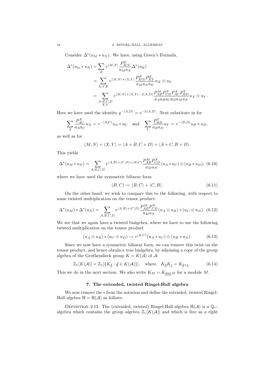Consider  $\Delta^*(u_M * u_N)$ . We have, using Green's Formula,

 $\overline{E}$ 

$$
\Delta^*(u_m * u_N) = \sum_E v^{\langle M, N \rangle} \frac{P_{MN}^E}{a_M a_N} \Delta^*(u_E)
$$
  
= 
$$
\sum_{X,Y,E} v^{\langle M, N \rangle + \langle X, Y \rangle} \frac{P_{MN}^E P_{XY}^E}{a_M a_N a_E} u_X \otimes u_Y
$$
  
= 
$$
\sum_{\substack{A, B, C, D \\ X, Y}} v^{\langle M, N \rangle + \langle X, Y \rangle - 2\langle A, D \rangle} \frac{P_{AB}^M P_{CD}^N P_{AC}^X P_{BD}^Y}{a_A a_B a_C a_D a_M a_N} u_X \otimes u_Y.
$$

Here we have used the identity  $q^{-\langle A,D \rangle} = v^{-2\langle A,D \rangle}$ . Next substitute in for

$$
\sum_X \frac{P_{AC}^X}{a_A a_C} u_X = v^{-\langle A, C \rangle} u_A * u_C \quad \text{and} \quad \sum_Y \frac{P_{BD}^Y}{a_B a_D} u_Y = v^{-\langle B, D \rangle} u_B * u_D,
$$

as well as for

$$
\langle M, N \rangle + \langle X, Y \rangle = \langle A + B, C + D \rangle + \langle A + C, B + D \rangle.
$$

This yields

$$
\Delta^*(u_M * u_N) = \sum_{A,B,C,D} v^{\langle A,B \rangle + \langle C,D \rangle + (B,C)} \frac{P_{AB}^M P_{CD}^N}{a_M a_N} (u_A * u_C) \otimes (u_B * u_D), \tag{6.10}
$$

where we have used the symmetric bilinear form

$$
(B,C) := \langle B,C \rangle + \langle C,B \rangle. \tag{6.11}
$$

On the other hand, we wish to compare this to the following, with respect to some twisted multiplication on the tensor product:

$$
\Delta^*(u_M) * \Delta^*(u_N) = \sum_{A,B,C,D} v^{\langle A,B \rangle + \langle C,D \rangle} \frac{P_{AB}^M P_{CD}^N}{a_M a_N} (u_A \otimes u_B) * (u_C \otimes u_D). \tag{6.12}
$$

We see that we again have a twisted bialgebra, where we have to use the following twisted multiplication on the tensor product

$$
(u_A \otimes u_B) * (u_C \otimes u_D) := v^{(B,C)}(u_A * u_C) \otimes (u_B * u_D). \tag{6.13}
$$

Since we now have a symmetric bilinear form, we can remove this twist on the tensor product, and hence obtain a true bialgebra, by adjoining a copy of the group algebra of the Grothendieck group  $K = K(\mathcal{A})$  of  $\mathcal{A}$ :

$$
\mathbb{Z}_v[K(\mathcal{A})] = \mathbb{Z}_v[\{K_{\underline{d}} : \underline{d} \in K(\mathcal{A})\}], \quad \text{where} \quad K_{\underline{d}}K_{\underline{e}} = K_{\underline{d} + \underline{e}}.
$$
 (6.14)

This we do in the next section. We also write  $K_M = K_{\dim M}$  for a module M.

# 7. The extended, twisted Ringel-Hall algebra

We now remove the ∗ from the notation and define the extended, twisted Ringel-Hall algebra  $H = H(\mathcal{A})$  as follows.

DEFINITION 2.13. The (extended, twisted) Ringel-Hall algebra  $H(\mathcal{A})$  is a  $\mathbb{Q}_v$ algebra which contains the group algebra  $\mathbb{Z}_v[K(\mathcal{A})]$  and which is free as a right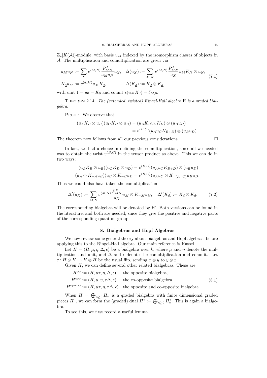$\mathbb{Z}_{v}[K(\mathcal{A})]$ -module, with basis  $u_M$  indexed by the isomorphism classes of objects in A. The multiplication and comultiplication are given via

$$
u_M u_N := \sum_X v^{\langle M, N \rangle} \frac{P_{MN}^X}{a_M a_N} u_X, \quad \Delta(u_X) := \sum_{M,N} v^{\langle M, N \rangle} \frac{P_{MN}^X}{a_X} u_M K_N \otimes u_N,
$$
\n
$$
K_{\underline{d}} u_M := v^{(\underline{d}, M)} u_M K_{\underline{d}}, \qquad \Delta(K_{\underline{d}}) := K_{\underline{d}} \otimes K_{\underline{d}}, \tag{7.1}
$$

with unit  $1 = u_0 = K_0$  and counit  $\epsilon(u_M K_d) = \delta_{M,0}$ .

Theorem 2.14. The (extended, twisted) Ringel-Hall algebra H is a graded bialgebra.

PROOF. We observe that

$$
(u_A K_B \otimes u_B)(u_C K_D \otimes u_D) = (u_A K_B u_C K_D) \otimes (u_B u_D)
$$
  
=  $v^{(B,C)}(u_A u_C K_{B+D}) \otimes (u_B u_D).$ 

The theorem now follows from all our previous considerations.  $\Box$ 

In fact, we had a choice in defining the comultiplication, since all we needed  
was to obtain the twist 
$$
v^{(B,C)}
$$
 in the tensor product as above. This we can do in  
two ways:

$$
(u_A K_B \otimes u_B)(u_C K_D \otimes u_D) = v^{(B,C)}(u_A u_C K_{B+D}) \otimes (u_B u_D)
$$
  

$$
(u_A \otimes K_{-A} u_B)(u_C \otimes K_{-C} u_D = v^{(B,C)}(u_A u_C \otimes K_{-(A+C)} u_B u_D).
$$

Thus we could also have taken the comultiplication

$$
\Delta'(u_X) := \sum_{M,N} v^{\langle M,N \rangle} \frac{P_{MN}^X}{a_X} u_M \otimes K_{-M} u_N, \quad \Delta'(K_{\underline{d}}) := K_{\underline{d}} \otimes K_{\underline{d}}.
$$
 (7.2)

The corresponding bialgebra will be denoted by H'. Both versions can be found in the literature, and both are needed, since they give the positive and negative parts of the corresponding quantum group.

# 8. Bialgebras and Hopf Algebras

We now review some general theory about bialgebras and Hopf algebras, before applying this to the Ringel-Hall algebra. Our main reference is Kassel.

Let  $H = (H, \mu, \eta, \Delta, \epsilon)$  be a bialgebra over k, where  $\mu$  and  $\eta$  denote the multiplication and unit, and  $\Delta$  and  $\epsilon$  denote the comultiplication and conunit. Let  $\tau: H \otimes H \to H \otimes H$  be the usual flip, sending  $x \otimes y$  to  $y \otimes x$ .

Given  $H$ , we can define several other related bialgebras. These are

 $H^{\text{op}} := (H, \mu\tau, \eta, \Delta, \epsilon)$  the opposite bialgebra,

$$
H^{\text{cop}} := (H, \mu, \eta, \tau \Delta, \epsilon) \quad \text{the co-opposite bialgebra}, \tag{8.1}
$$

 $H^{\text{op-cop}} := (H, \mu\tau, \eta, \tau\Delta, \epsilon)$  the opposite and co-opposite bialgebra.

When  $H = \bigoplus_{n \geq 0} H_n$  is a graded bialgebra with finite dimensional graded pieces  $H_n$ , we can form the (graded) dual  $H^* := \bigoplus_{n \geq 0} H_n^*$ . This is again a bialgebra.

To see this, we first record a useful lemma.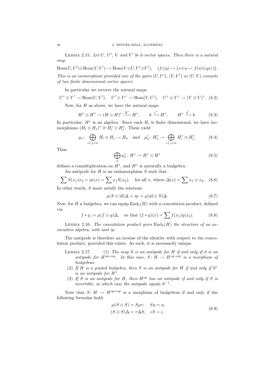LEMMA 2.15. Let  $U, U', V$  and  $V'$  be k-vector spaces. Then there is a natural map

 $Hom(U, U') \otimes Hom(V, V') \to Hom(V \otimes U, U' \otimes V'), \quad (f \otimes g) \mapsto (v \otimes u \mapsto f(u) \otimes g(v)).$ This is an isomorphism provided one of the pairs  $(U, U')$ ,  $(V, V')$  or  $(U, V)$  consists of two finite dimensional vector spaces.

In particular we recover the natural maps

$$
U^* \otimes V' \to \text{Hom}(U, V'), \quad U' \otimes V^* \to \text{Hom}(V, U'), \quad U^* \otimes V^* \to (V \otimes U)^*.
$$
 (8.2)

Now, for  $H$  as above, we have the natural maps

$$
H^* \otimes H^* \to (H \otimes H)^* \xrightarrow{\Delta^*} H^*, \qquad k \xrightarrow{\epsilon^*} H^*, \qquad H^* \xrightarrow{\eta^*} k. \tag{8.3}
$$

In particular,  $H^*$  is an algebra. Since each  $H_i$  is finite dimensional, we have isomorphisms  $(H_i \otimes H_j)^* \cong H_i^* \otimes H_j^*$ . These yield

$$
\mu_n \colon \bigoplus_{i+j=n} H_i \otimes H_j \to H_n \quad \text{and} \quad \mu_n^* \colon H_n^* \to \bigoplus_{i+j=n} H_i^* \otimes H_j^*.
$$
 (8.4)

Thus

$$
\bigoplus_{n} \mu_n^* \colon H^* \to H^* \otimes H^* \tag{8.5}
$$

defines a comultiplication on  $H^*$ , and  $H^*$  is naturally a bialgebra.

An antipode for  $H$  is an endomorphism  $S$  such that

$$
\sum S(x_1)x_2 = \eta \epsilon(x) = \sum x_1 S(x_2), \text{ for all } x, \text{ where } \Delta(x) = \sum x_1 \otimes x_2. \tag{8.6}
$$

In other words, S must satisfy the relations

$$
\mu(S \otimes id)\Delta = \eta \epsilon = \mu(id \otimes S)\Delta. \tag{8.7}
$$

Now, for H a bialgebra, we can equip  $\text{End}_k(H)$  with a convolution product, defined via

$$
f * g := \mu(f \otimes g)\Delta, \quad \text{so that } (f * g)(x) = \sum f(x_1)g(x_2). \tag{8.8}
$$

LEMMA 2.16. The convolution product gives  $\text{End}_k(H)$  the structure of an associative algebra, with unit  $\eta \epsilon$ .

The antipode is therefore an inverse of the identity with respect to the convolution product, provided this exists. As such, it is necessarily unique.

- LEMMA 2.17. (1) The map S is an antipode for H if and only if it is an antipode for  $H^{op\text{-}cop}$ . In this case,  $S: H \to H^{op\text{-}cop}$  is a morphism of bialgebras.
	- (2) If H is a graded bialgebra, then S is an antipode for H if and only if  $S^*$ is an antipode for H<sup>∗</sup> .
- (3) If S is an antipode for H, then  $H^{\rm op}$  has an antipode if and only if S is invertible, in which case the antipode equals  $S^{-1}$ .

Note that  $S: H \to H^{\text{op-cop}}$  is a morphism of bialgebras if and only if the following formulae hold:

$$
\mu(S \otimes S) = S\mu\tau, \quad S\eta = \eta,
$$
  

$$
(S \otimes S)\Delta = \tau\Delta S, \quad \epsilon S = \epsilon.
$$
 (8.9)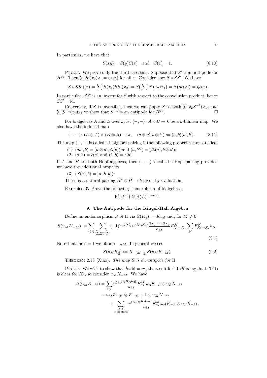In particular, we have that

$$
S(xy) = S(y)S(x) \text{ and } S(1) = 1.
$$
 (8.10)

PROOF. We prove only the third assertion. Suppose that  $S'$  is an antipode for  $H^{\text{op}}$ . Then  $\sum S'(x_2)x_1 = \eta \epsilon(x)$  for all x. Consider now  $S * SS'$ . We have

$$
(S * SS')(x) = \sum S(x_1)SS'(x_2) = S(\sum S'(x_2)x_1) = S(\eta\epsilon(x)) = \eta\epsilon(x).
$$

In particular,  $SS'$  is an inverse for S with respect to the convolution product, hence  $SS' = id$ .

Conversely, if S is invertible, then we can apply S to both  $\sum x_2S^{-1}(x_1)$  and  $\sum S^{-1}(x_2)x_1$  to show that  $S^{-1}$  is an antipode for  $H^{\text{op}}$ .  $\Box$ 

For bialgebras A and B over k, let  $(-, -)$ :  $A \times B \to k$  be a k-bilinear map. We also have the induced map

$$
(-,-): (A \otimes A) \times (B \otimes B) \to k, \quad (a \otimes a', b \otimes b') := (a,b)(a',b'). \tag{8.11}
$$

The map  $(-, -)$  is called a bialgebra pairing if the following properties are satisfied:

(1) 
$$
(aa', b) = (a \otimes a', \Delta(b))
$$
 and  $(a, bb') = (\Delta(a), b \otimes b')$ ;

(2)  $(a, 1) = \epsilon(a)$  and  $(1, b) = \epsilon(b)$ .

If A and B are both Hopf algebras, then  $(-, -)$  is called a Hopf pairing provided we have the additional property

$$
(3) (S(a), b) = (a, S(b)).
$$

There is a natural pairing  $H^* \otimes H \to k$  given by evaluation.

Exercise 7. Prove the following isomorphism of bialgebras:

$$
H'(\mathcal{A}^{op}) \cong H(\mathcal{A})^{op-cop}.
$$

# 9. The Antipode for the Ringel-Hall Algebra

Define an endomorphism S of H via  $S(K_d) := K_{-d}$  and, for  $M \neq 0$ ,

$$
S(u_M K_{-M}) := \sum_{r \ge 1} \sum_{\substack{X_1, ..., X_r \\ \text{non-zero}}} (-1)^r v^{2 \sum_{i < j} \langle X_i, X_j \rangle} \frac{a_{X_1} \cdots a_{X_r}}{a_M} F_{X_1 \cdots X_r}^M \sum_N F_{X_1 \cdots X_r}^N u_N. \tag{9.1}
$$

Note that for  $r = 1$  we obtain  $-u_M$ . In general we set

$$
S(u_M K_{\underline{d}}) := K_{-(M+\underline{d})} S(u_M K_{-M}).
$$
\n(9.2)

THEOREM 2.18 (Xiao). The map  $S$  is an antipode for H.

PROOF. We wish to show that  $S * id = \eta \epsilon$ , the result for  $id * S$  being dual. This is clear for  $K_d$ , so consider  $u_M K_{-M}$ . We have

$$
\begin{split} \Delta(u_MK_{-M})&=\sum_{A,B}v^{\langle A,B\rangle}\frac{a_Aa_B}{a_M}F_{AB}^{M}u_AK_{-A}\otimes u_BK_{-M}\\ &=u_MK_{-M}\otimes K_{-M}+1\otimes u_MK_{-M}\\ &+\sum_{\substack{A,B\\ \text{non-zero}}}v^{\langle A,B\rangle}\frac{a_Aa_B}{a_M}F_{AB}^{M}u_AK_{-A}\otimes u_BK_{-M}. \end{split}
$$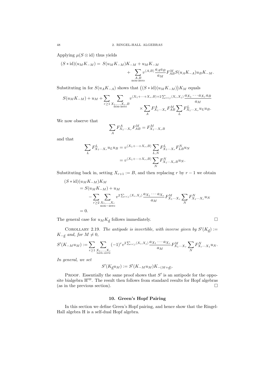Applying  $\mu(S \otimes id)$  thus yields

$$
(S * id)(u_M K_{-M}) = S(u_M K_{-M})K_{-M} + u_M K_{-M} + \sum_{\substack{A,B \\ \text{non-zero}}} v^{\langle A,B \rangle} \frac{a_A a_B}{a_M} F_{AB}^M S(u_A K_{-A}) u_B K_{-M}.
$$

Substituting in for  $S(u_A K_{-A})$  shows that  $((S * id)(u_M K_{-M}))K_M$  equals

$$
S(u_MK_{-M}) + u_M + \sum_{r \geq 1} \sum_{\substack{X_1, \dots, X_r, B \\ \text{non-zero}}} v^{\langle X_1 + \dots + X_r, B \rangle + 2 \sum_{i < j} \langle X_i, X_j \rangle} \frac{a_{X_1} \cdots a_{X_r} a_B}{a_M} \\ \times \sum_A F_{X_1 \cdots X_r}^A F_{AB}^M \sum_L F_{X_1 \cdots X_r}^L u_L u_B.
$$

We now observe that

$$
\sum_{A} F^A_{X_1\cdots X_r}F^M_{AB}=F^M_{X_1\cdots X_rB}
$$

and that

$$
\begin{split} \sum_L F^L_{X_1\cdots X_r} u_L u_B &= v^{\langle X_1+\cdots+X_r,B\rangle} \sum_{L,N} F^L_{X_1\cdots X_r} F^N_{LB} u_N \\ &= v^{\langle X_1+\cdots+X_r,B\rangle} \sum_N F^N_{X_1\cdots X_r B} u_N. \end{split}
$$

Substituting back in, setting  $X_{r+1} := B$ , and then replacing r by  $r - 1$  we obtain

$$
(S * id)(u_M K_{-M})K_M
$$
  
=  $S(u_M K_{-M}) + u_M$   

$$
- \sum_{r \geq 2} \sum_{\substack{X_1, ..., X_r \\ \text{non-zero}}} v^2 \Sigma_{i < j} \langle X_i, X_j \rangle \frac{a_{X_1} \cdots a_{X_r}}{a_M} F_{X_1 \cdots X_r}^M \sum_N F_{X_1 \cdots X_r}^N u_N
$$
  
= 0.

The general case for  $u_M K_{\underline{d}}$  follows immediately.  $\hfill \Box$ 

COROLLARY 2.19. The antipode is invertible, with inverse given by  $S'(K_d)$  :=  $K_{-\underline{d}}$  and, for  $M \neq 0$ ,

$$
S'(K_{-M}u_M) := \sum_{r \geq 1} \sum_{\substack{X_1, \dots, X_r \\ \text{non-zero}}} (-1)^r v^{2 \sum_{i < j} \langle X_i, X_j \rangle} \frac{a_{X_1} \cdots a_{X_r}}{a_M} F_{X_1 \cdots X_r}^M \sum_N F_{X_r \cdots X_1}^N u_N.
$$

In general, we set

$$
S'(K_{\underline{d}}u_M) := S'(K_{-M}u_M)K_{-(M+\underline{d})}.
$$

PROOF. Essentially the same proof shows that  $S'$  is an antipode for the opposite bialgebra  $H^{op}$ . The result then follows from standard results for Hopf algebras (as in the previous section).  $\Box$ 

# 10. Green's Hopf Pairing

In this section we define Green's Hopf pairing, and hence show that the Ringel-Hall algebra H is a self-dual Hopf algebra.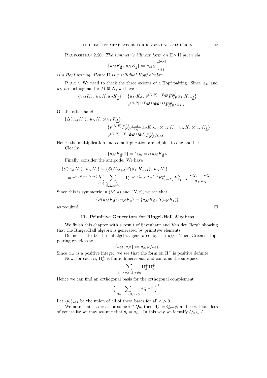PROPOSITION 2.20. The symmetric bilinear form on  $H \times H$  given via

$$
\{u_M K_{\underline{d}}\, ,\, u_N K_{\underline{e}}\} := \delta_{MN} \frac{v^{(\underline{d},\underline{e})}}{a_M}
$$

is a Hopf pairing. Hence H is a self-dual Hopf algebra.

PROOF. We need to check the three axioms of a Hopf pairing. Since  $u_M$  and u<sub>N</sub> are orthogonal for  $M \not\cong N$ , we have

$$
\{u_M K_{\underline{d}}, u_N K_{\underline{e}} u_P K_{\underline{f}}\} = \{u_M K_{\underline{d}}, v^{\langle N, P \rangle + (P, \underline{e})} F_{NP}^M u_M K_{\underline{e} + \underline{f}}\}
$$
  

$$
= v^{\langle N, P \rangle + (P, \underline{e}) + (\underline{d}, \underline{e} + \underline{f})} F_{NP}^M / a_M.
$$

On the other hand,

$$
\begin{aligned} \{\Delta(u_MK_{\underline{d}})\,,\,u_NK_{\underline{e}}&\otimes u_PK_{\underline{f}}\}\\ &=\{v^{\langle N,P\rangle}F_{NP}^M\textstyle{\frac{a_Na_P}{a_M}}u_NK_{P+\underline{d}}\otimes u_PK_{\underline{d}}\,,\,u_NK_{\underline{e}}\otimes u_PK_{\underline{f}}\}\\ &=v^{\langle N,P\rangle+(P+\underline{d},\underline{e})+(\underline{d},\underline{f})}F_{NP}^M/a_M. \end{aligned}
$$

Hence the multiplication and comultiplication are adjoint to one another.

Clearly

$$
\{u_M K_{\underline{d}}, 1\} = \delta_{M0} = \epsilon (u_M K_{\underline{d}}).
$$

Finally, consider the antipode. We have

$$
\{S(u_M K_{\underline{d}}), u_N K_{\underline{e}}\} = \{S(K_{M+\underline{d}})S(u_M K_{-M}), u_N K_{\underline{e}}\}
$$
  
=  $v^{-(M+\underline{d}, N+\underline{e})} \sum_{r \ge 1} \sum_{\substack{X_1, ..., X_r \\ \text{non-zero}}} (-1)^r v^{2 \sum_{i < j} \langle X_i, X_j \rangle} F_{X_1 \cdots X_r}^M F_{X_1 \cdots X_r}^N \frac{a_{X_1} \cdots a_{X_r}}{a_M a_N}.$ 

Since this is symmetric in  $(M, d)$  and  $(N, e)$ , we see that

$$
\{S(u_M K_{\underline{d}}), u_N K_{\underline{e}}\} = \{u_M K_{\underline{d}}, S(u_N K_{\underline{e}})\}\
$$

as required.  $\Box$ 

## 11. Primitive Generators for Ringel-Hall Algebras

We finish this chapter with a result of Sevenhant and Van den Bergh showing that the Ringel-Hall algebra is generated by primitive elements.

Define  $H^+$  to be the subalgebra generated by the  $u_M$ . Then Green's Hopf pairing restricts to

$$
\{u_M, u_N\} := \delta_{MN}/a_M.
$$

Since  $a_M$  is a positive integer, we see that the form on  $H^+$  is positive definite.

Now, for each  $\alpha$ ,  $H_{\alpha}^{+}$  is finite dimensional and contains the subspace

$$
\sum_{\beta+\gamma=\alpha;\,\beta,\gamma\neq 0}{\mathcal{H}}^+_{\beta}\,{\mathcal{H}}^+_{\gamma}\,.
$$

Hence we can find an orthogonal basis for the orthogonal complement

$$
\Big(\sum_{\beta+\gamma=\alpha;\beta,\gamma\neq 0}H_{\beta}^+ \, H_{\gamma}^+ \,\Big)^{\perp}.
$$

Let  $\{\theta_i\}_{i\in I}$  be the union of all of these bases for all  $\alpha > 0$ .

We note that if  $\alpha = e_i$  for some  $i \in Q_0$ , then  $H^+_{\alpha} = \mathbb{Q}_v u_{S_i}$  and so without loss of generality we may assume that  $\theta_i = u_{S_i}$ . In this way we identify  $Q_0 \subset I$ .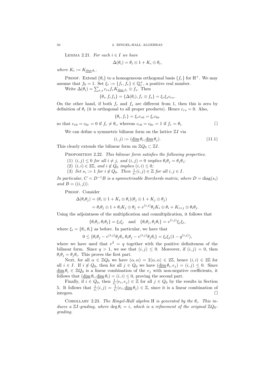LEMMA 2.21. For each  $i \in I$  we have

$$
\Delta(\theta_i) = \theta_i \otimes 1 + K_i \otimes \theta_i,
$$

where  $K_i := K_{\dim \theta_i}$ .

PROOF. Extend  $\{\theta_i\}$  to a homogeneous orthogonal basis  $\{f_r\}$  for H<sup>+</sup>. We may assume that  $f_0 = 1$ . Set  $\xi_r := \{f_r, f_r\} \in \mathbb{Q}_v^+$ , a positive real number.

Write  $\Delta(\theta_i) = \sum_{r,s} c_{rs} f_r K_{\text{dim }f_s} \otimes f_s$ . Then

$$
\{\theta_i, f_r f_s\} = \{\Delta(\theta_i), f_r \otimes f_s\} = \xi_r \xi_s c_{rs}.
$$

On the other hand, if both  $f_r$  and  $f_s$  are different from 1, then this is zero by definition of  $\theta_i$  (it is orthogonal to all proper products). Hence  $c_{rs} = 0$ . Also,

$$
\{\theta_i, f_r\} = \xi_r c_{r0} = \xi_r c_{0r}
$$

so that  $c_{r0} = c_{0r} = 0$  if  $f_r \neq \theta_i$ , whereas  $c_{r0} = c_{0r} = 1$  if  $f_r = \theta_i$ .  $\Box$ 

We can define a symmetric bilinear form on the lattice  $ZI$  via

$$
(i,j) := (\underline{\dim}\,\theta_i, \underline{\dim}\,\theta_j). \tag{11.1}
$$

This clearly extends the bilinear form on  $\mathbb{Z}Q_0 \subset \mathbb{Z}I$ .

PROPOSITION 2.22. This bilinear form satisfies the following properties.

- (1)  $(i, j) \leq 0$  for all  $i \neq j$ , and  $(i, j) = 0$  implies  $\theta_i \theta_j = \theta_j \theta_i$ ;
- (2)  $(i, i) \in 2\mathbb{Z}$ , and  $i \notin Q_0$  implies  $(i, i) \leq 0$ ;
- (3) Set  $s_i := 1$  for  $i \notin Q_0$ . Then  $\frac{1}{s_i}(i, j) \in \mathbb{Z}$  for all  $i, j \in I$ .

In particular,  $C = D^{-1}B$  is a symmetrisable Borcherds matrix, where  $D = diag(s_i)$ and  $B = ((i, j)).$ 

PROOF. Consider

$$
\Delta(\theta_i \theta_j) = (\theta_i \otimes 1 + K_i \otimes \theta_i)(\theta_j \otimes 1 + K_j \otimes \theta_j)
$$
  
=  $\theta_i \theta_j \otimes 1 + \theta_i K_j \otimes \theta_j + v^{(i,j)} \theta_j K_i \otimes \theta_i + K_{i+j} \otimes \theta_i \theta_j$ .

Using the adjointness of the multiplication and comultiplication, it follows that

$$
\{\theta_i\theta_j,\theta_i\theta_j\}=\xi_i\xi_j\quad\text{and}\quad\{\theta_i\theta_j,\theta_j\theta_i\}=v^{(i,j)}\xi_j\xi_i,
$$

where  $\xi_i = {\theta_i, \theta_i}$  as before. In particular, we have that

$$
0 \leq \{ \theta_i \theta_j - v^{(i,j)} \theta_j \theta_i, \theta_i \theta_j - v^{(i,j)} \theta_j \theta_i \} = \xi_i \xi_j (1 - q^{(i,j)}),
$$

where we have used that  $v^2 = q$  together with the positive definiteness of the bilinear form. Since  $q > 1$ , we see that  $(i, j) \leq 0$ . Moreover, if  $(i, j) = 0$ , then  $\theta_i \theta_j = \theta_j \theta_i$ . This proves the first part.

Next, for all  $\alpha \in \mathbb{Z}Q_0$  we have  $(\alpha, \alpha) = 2\langle \alpha, \alpha \rangle \in 2\mathbb{Z}$ , hence  $(i, i) \in 2\mathbb{Z}$  for all  $i \in I$ . If  $i \notin Q_0$ , then for all  $j \in Q_0$  we have  $(\underline{\dim} \theta_i, e_j) = (i, j) \leq 0$ . Since  $\dim \theta_i \in \mathbb{Z}Q_0$  is a linear combination of the  $e_i$  with non-negative coefficients, it follows that  $(\underline{\dim} \theta_i, \underline{\dim} \theta_i) = (i, i) \leq 0$ , proving the second part.

Finally, if  $i \in Q_0$ , then  $\frac{1}{s_i}(e_i, e_j) \in \mathbb{Z}$  for all  $j \in Q_0$  by the results in Section 5. It follows that  $\frac{1}{s_i}(i,j) = \frac{1}{s_i}(e_i, \underline{\dim} \theta_j) \in \mathbb{Z}$ , since it is a linear combination of integers.  $\Box$ 

COROLLARY 2.23. The Ringel-Hall algebra H is generated by the  $\theta_i$ . This induces a ZI-grading, where  $\deg \theta_i = i$ , which is a refinement of the original  $\mathbb{Z}Q_0$ grading.

$$
^{50}
$$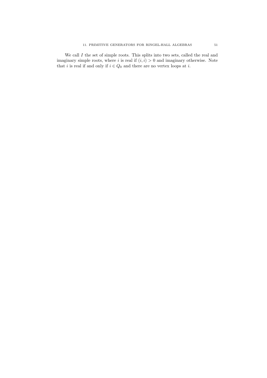We call  $I$  the set of simple roots. This splits into two sets, called the real and imaginary simple roots, where i is real if  $(i, i) > 0$  and imaginary otherwise. Note that *i* is real if and only if  $i \in Q_0$  and there are no vertex loops at *i*.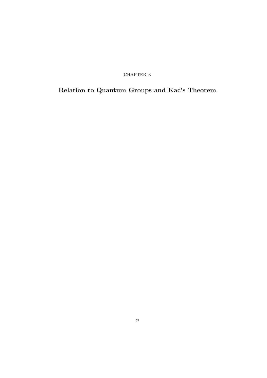CHAPTER 3

# Relation to Quantum Groups and Kac's Theorem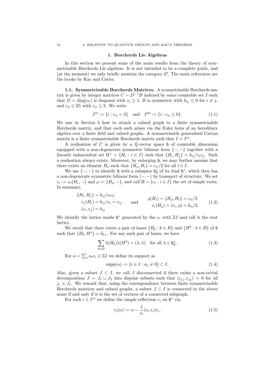#### 1. Borcherds Lie Algebras

In this section we present some of the main results from the theory of symmetrisable Borcherds Lie algebras. It is not intended to be a complete guide, and (at the moment) we only briefly mention the category  $\mathcal{O}$ . The main references are the books by Kac and Carter.

1.1. Symmetrisable Borcherds Matrices. A symmetrisable Borcherds matrix is given by integer matrices  $C = D^{-1}B$  indexed by some countable set I such that  $D = \text{diag}(s_i)$  is diagonal with  $s_i \geq 1$ , B is symmetric with  $b_{ij} \leq 0$  for  $i \neq j$ , and  $c_{ii} \in 2\mathbb{Z}$  with  $c_{ii} \leq 2$ . We write

$$
I^{\text{re}} := \{i : c_{ii} = 2\} \quad \text{and} \quad I^{\text{im}} := \{i : c_{ii} \le 0\}. \tag{1.1}
$$

We saw in Section 5 how to attach a valued graph to a finite symmetrisable Borcherds matrix, and that each such arises via the Euler form of an hereditary algebra over a finite field and valued graphs. A symmetrisable generalised Cartan matrix is a finite symmetrisable Borcherds matrix such that  $I = I^{\text{re}}$ .

A realisation of C is given by a  $\mathbb Q$ -vector space  $\mathfrak h$  of countable dimension equipped with a non-degenerate symmetric bilinear form  $\{-,-\}$  together with a linearly independent set  $\Pi^{\vee} = \{H_i : i \in I\}$  such that  $\{H_i, H_j\} = b_{ij}/s_i s_j$ . Such a realisation always exists. Moreover, by enlarging h, we may further assume that there exists an element  $H_{\rho}$  such that  $\{H_{\rho}, H_i\} = c_{ii}/2$  for all  $i \in I$ .

We use  $\{-,-\}$  to identify  $\mathfrak h$  with a subspace  $\mathfrak h_0^*$  of its dual  $\mathfrak h^*$ , which then has a non-degenerate symmetric bilinear form  $(-, -)$  by transport of structure. We set  $e_i := s_i \{ H_i, - \}$  and  $\rho := \{ H_\rho, - \}$ , and call  $\Pi = \{ e_i : i \in I \}$  the set of simple roots. In summary,

$$
\{H_i, H_j\} = b_{ij}/s_i s_j
$$
  
\n
$$
e_j(H_i) = b_{ij}/s_i = c_{ij}
$$
 and 
$$
\rho(H_i) = \{H_\rho, H_i\} = c_{ii}/2
$$
  
\n
$$
(e_i, e_j) = b_{ij}
$$
 and 
$$
\rho(H_i) = \{H_\rho, H_i\} = c_{ii}/2
$$
  
\n
$$
e_i(H_\rho) = (e_i, \rho) = b_{ii}/2.
$$
 (1.2)

We identify the lattice inside  $\mathfrak{h}^*$  generated by the  $e_i$  with  $\mathbb{Z}I$  and call it the root lattice.

We recall that there exists a pair of bases  $\{H_b : b \in B\}$  and  $\{H^b : b \in B\}$  of  $\mathfrak h$ such that  $\{H_b, H^c\} = \delta_{b,c}$ . For any such pair of bases, we have

$$
\sum_{b \in B} \lambda(H_b)\lambda(H^b) = (\lambda, \lambda) \quad \text{for all } \lambda \in \mathfrak{h}_0^*.
$$
 (1.3)

For  $\alpha = \sum_i \alpha_i e_i \in \mathbb{Z}I$  we define its support as

$$
supp(\alpha) := \{i \in I : \alpha_i \neq 0\} \subset I.
$$
\n
$$
(1.4)
$$

Also, given a subset  $J \subset I$ , we call J disconnected if there exists a non-trivial decomposition  $J = J_1 \cup J_2$  into disjoint subsets such that  $(e_{j_1}, e_{j_2}) = 0$  for all  $j_r \in J_r$ . We remark that, using the correspondence between finite symmetrisable Borcherds matrices and valued graphs, a subset  $J \subset I$  is connected in the above sense if and only if it is the set of vertices of a connected subgraph.

For each  $i \in I^{\text{re}}$  we define the simple reflection  $r_i$  on  $\mathfrak{h}^*$  via

$$
r_i(\alpha) := \alpha - \frac{1}{s_i}(\alpha, e_i)e_i.
$$
\n(1.5)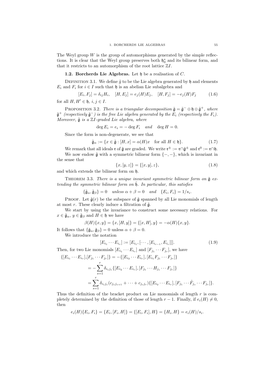The Weyl group  $W$  is the group of automorphisms generated by the simple reflections. It is clear that the Weyl group preserves both  $\mathfrak{h}_0^*$  and its bilinear form, and that it restricts to an automorphism of the root lattice  $\mathbb{Z}I$ .

## 1.2. Borcherds Lie Algebras. Let  $\mathfrak h$  be a realisation of C.

DEFINITION 3.1. We define  $\tilde{q}$  to be the Lie algebra generated by h and elements  $E_i$  and  $F_i$  for  $i \in I$  such that  $\mathfrak h$  is an abelian Lie subalgebra and

$$
[E_i, F_j] = \delta_{ij} H_i, \quad [H, E_j] = e_j(H) E_j, \quad [H, F_j] = -e_j(H) F_j \tag{1.6}
$$
  
for all  $H, H' \in \mathfrak{h}, i, j \in I$ .

PROPOSITION 3.2. There is a triangular decomposition  $\tilde{\mathfrak{g}} = \tilde{\mathfrak{g}}^- \oplus \mathfrak{h} \oplus \tilde{\mathfrak{g}}^+$ , where  $\tilde{\mathfrak{g}}^+$  (respectively  $\tilde{\mathfrak{g}}^-$ ) is the free Lie algebra generated by the  $E_i$  (respectively the  $F_i$ ). Moreover,  $\tilde{\mathfrak{g}}$  is a ZI-graded Lie algebra, where

$$
\deg E_i = e_i = -\deg F_i \quad and \quad \deg H = 0.
$$

Since the form is non-degenerate, we see that

$$
\tilde{\mathfrak{g}}_{\alpha} := \{ x \in \tilde{\mathfrak{g}} : [H, x] = \alpha(H)x \quad \text{for all } H \in \mathfrak{h} \}. \tag{1.7}
$$

We remark that all ideals  $\mathfrak r$  of  $\tilde{\mathfrak g}$  are graded. We write  $\mathfrak r^{\pm}:=\mathfrak r\cap\tilde{\mathfrak g}^{\pm}$  and  $\mathfrak r^0:=\mathfrak r\cap\mathfrak h.$ We now endow  $\tilde{\mathfrak{g}}$  with a symmetric bilinear form  $\{-,-\}$ , which is invariant in the sense that

$$
\{x, [y, z]\} = \{[x, y], z\},\tag{1.8}
$$

and which extends the bilinear form on h.

THEOREM 3.3. There is a unique invariant symmetric bilinear form on  $\tilde{\mathfrak{g}}$  extending the symmetric bilinear form on  $\tilde{\mathfrak{h}}$ . In particular, this satisfies

$$
\{\tilde{\mathfrak{g}}_{\alpha}, \tilde{\mathfrak{g}}_{\beta}\} = 0 \quad unless \alpha + \beta = 0 \quad and \quad \{E_i, F_i\} = 1/s_i.
$$

PROOF. Let  $\tilde{\mathfrak{g}}(r)$  be the subspace of  $\tilde{\mathfrak{g}}$  spanned by all Lie monomials of length at most r. These clearly induce a filtration of  $\tilde{\mathfrak{g}}$ .

We start by using the invariance to construct some necessary relations. For  $x \in \tilde{\mathfrak{g}}_{\alpha}, y \in \tilde{\mathfrak{g}}_{\beta}$  and  $H \in \mathfrak{h}$  we have

$$
\beta(H)\{x,y\} = \{x,[H,y]\} = \{[x,H],y\} = -\alpha(H)\{x,y\}.
$$

It follows that  $\{\tilde{\mathfrak{g}}_{\alpha}, \tilde{\mathfrak{g}}_{\beta}\} = 0$  unless  $\alpha + \beta = 0$ .

We introduce the notation

$$
[E_{i_1} \cdots E_{i_r}] := [E_{i_1}, [\cdots, [E_{i_{r-1}}, E_{i_r}]]]. \tag{1.9}
$$

Then, for two Lie monomials  $[E_{i_1} \cdots E_{i_r}]$  and  $[F_{j_1} \cdots F_{j_r}]$ , we have

$$
\{ [E_{i_1} \cdots E_{i_r}], [F_{j_1} \cdots F_{j_r}] \} = -\{ [E_{i_2} \cdots E_{i_r}], [E_{i_1} F_{j_1} \cdots F_{j_r}] \}
$$
  

$$
= -\sum_{s=1}^r \delta_{i_1 j_s} \{ [E_{i_2} \cdots E_{i_r}], [F_{j_1} \cdots H_{j_s} \cdots F_{j_r}] \}
$$
  

$$
= \sum_{s=1}^r \delta_{i_1 j_s} (c_{j_s j_{s+1}} + \cdots + c_{j_s j_r}) \{ [E_{i_2} \cdots E_{i_r}], [F_{j_1} \cdots \hat{F}_{j_s} \cdots F_{j_r}] \}.
$$

Thus the definition of the bracket product on Lie monomials of length r is completely determined by the definition of those of length  $r - 1$ . Finally, if  $e_i(H) \neq 0$ , then

$$
e_i(H)\{E_i, F_i\} = \{E_i, [F_i, H]\} = \{[E_i, F_i], H\} = \{H_i, H\} = e_i(H)/s_i.
$$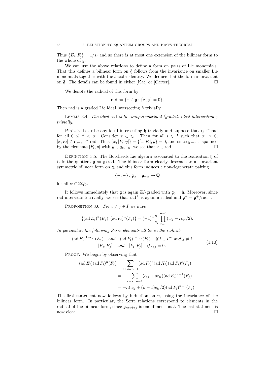Thus  $\{E_i, F_i\} = 1/s_i$  and so there is at most one extension of the bilinear form to the whole of  $\tilde{\mathfrak{g}}$ .

We can use the above relations to define a form on pairs of Lie monomials. That this defines a bilinear form on  $\tilde{g}$  follows from the invariance on smaller Lie monomials together with the Jacobi identity. We deduce that the form is invariant on  $\tilde{\mathfrak{g}}$ . The details can be found in either [Kac] or [Carter].

We denote the radical of this form by

$$
\text{rad} := \{ x \in \tilde{\mathfrak{g}} : \{ x, \tilde{\mathfrak{g}} \} = 0 \}.
$$

Then rad is a graded Lie ideal intersecting  $\mathfrak h$  trivially.

LEMMA 3.4. The ideal rad is the unique maximal (graded) ideal intersecting  $\mathfrak h$ trivially.

PROOF. Let  $\mathfrak r$  be any ideal intersecting h trivially and suppose that  $\mathfrak r_\beta \subset \text{rad}$ for all  $0 \leq \beta < \alpha$ . Consider  $x \in \mathfrak{r}_{\alpha}$ . Then for all  $i \in I$  such that  $\alpha_i > 0$ ,  $[x, F_i] \in \mathfrak{r}_{\alpha-e_i} \subset \text{rad. Thus } \{x, [F_i, y]\} = \{[x, F_i], y\} = 0, \text{ and since } \tilde{\mathfrak{g}}_{-\alpha} \text{ is spanned}$ by the elements  $[F_i, y]$  with  $y \in \tilde{\mathfrak{g}}_{e_i-\alpha}$ , we see that  $x \in \text{rad}$ .

DEFINITION 3.5. The Borcherds Lie algebra associated to the realisation  $\mathfrak h$  of C is the quotient  $\mathfrak{g} := \tilde{\mathfrak{g}}$ /rad. The bilinear form clearly descends to an invariant symmetric bilinear form on g, and this form induces a non-degenerate pairing

$$
\{-,-\} \colon \mathfrak{g}_{\alpha} \times \mathfrak{g}_{-\alpha} \to \mathbb{Q}
$$

for all  $\alpha \in \mathbb{Z}Q_0$ .

It follows immediately that  $\mathfrak g$  is again ZI-graded with  $\mathfrak g_0 = \mathfrak h$ . Moreover, since rad intersects h trivially, we see that rad<sup>+</sup> is again an ideal and  $\mathfrak{g}^+ = \tilde{\mathfrak{g}}^+ / \text{rad}^+$ .

PROPOSITION 3.6. For  $i \neq j \in I$  we have

$$
\{(\text{ad }E_i)^n(E_j), (\text{ad }F_i)^n(F_j)\} = (-1)^n \frac{n!}{s_j} \prod_{r=0}^{n-1} (c_{ij} + rc_{ii}/2).
$$

In particular, the following Serre elements all lie in the radical:

$$
(\text{ad } E_i)^{1-c_{ij}}(E_j) \quad \text{and} \quad (\text{ad } F_i)^{1-c_{ij}}(F_j) \quad \text{if } i \in I^{\text{re}} \text{ and } j \neq i
$$
  

$$
[E_i, E_j] \quad \text{and} \quad [F_i, F_j] \quad \text{if } c_{ij} = 0.
$$
 (1.10)

PROOF. We begin by observing that

$$
(\text{ad } E_i)(\text{ad } F_i)^n(F_j) = \sum_{r+s=n-1} (\text{ad } F_i)^r (\text{ad } H_i)(\text{ad } F_i)^s(F_j)
$$
  
= 
$$
-\sum_{r+s=n-1} (c_{ij} + sc_{ii})(\text{ad } F_i)^{n-1}(F_j)
$$
  
= 
$$
-n(c_{ij} + (n-1)c_{ii}/2)(\text{ad } F_i)^{n-1}(F_j).
$$

The first statement now follows by induction on  $n$ , using the invariance of the bilinear form. In particular, the Serre relations correspond to elements in the radical of the bilinear form, since  $\tilde{\mathfrak{g}}_{ne_i+e_j}$  is one dimensional. The last statment is now clear.  $\Box$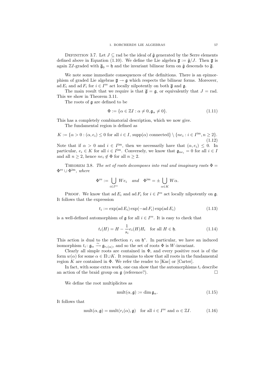DEFINITION 3.7. Let  $J \subseteq$  rad be the ideal of  $\tilde{\mathfrak{g}}$  generated by the Serre elements defined above in Equation (1.10). We define the Lie algebra  $\bar{\mathfrak{g}} := \tilde{\mathfrak{g}}/J$ . Then  $\bar{\mathfrak{g}}$  is again  $\mathbb{Z}I$ -graded with  $\overline{\mathfrak{g}}_0 = \mathfrak{h}$  and the invariant bilinear form on  $\tilde{\mathfrak{g}}$  descends to  $\overline{\mathfrak{g}}$ .

We note some immediate consequences of the definitions. There is an epimorphism of graded Lie algebras  $\overline{\mathfrak{g}} \to \mathfrak{g}$  which respects the bilinear forms. Moreover, ad  $E_i$  and ad  $F_i$  for  $i \in I^{\text{re}}$  act locally nilpotently on both  $\overline{\mathfrak{g}}$  and  $\mathfrak{g}$ .

The main result that we require is that  $\overline{g} = g$ , or equivalently that  $J = rad$ . This we show in Theorem 3.11.

The roots of g are defined to be

$$
\Phi := \{ \alpha \in \mathbb{Z}I : \alpha \neq 0, \mathfrak{g}_{\alpha} \neq 0 \}. \tag{1.11}
$$

This has a completely combinatorial description, which we now give.

The fundamental region is defined as

 $K := {\alpha > 0 : (\alpha, e_i) \leq 0$  for all  $i \in I$ , supp $(\alpha)$  connected}  $\setminus \{ne_i : i \in I^{\text{im}}, n \geq 2\}.$ (1.12) Note that if  $\alpha > 0$  and  $i \in I^{\text{im}}$ , then we necessarily have that  $(\alpha, e_i) \leq 0$ . In particular,  $e_i \in K$  for all  $i \in I^{\text{im}}$ . Conversely, we know that  $\mathfrak{g}_{ne_i} = 0$  for all  $i \in I$ and all  $n \geq 2$ , hence  $ne_i \notin \Phi$  for all  $n \geq 2$ .

THEOREM 3.8. The set of roots decomposes into real and imaginary roots  $\Phi =$  $\Phi^{\text{re}} \cup \Phi^{\text{im}}$ , where

$$
\Phi^{\text{re}} := \bigcup_{i \in I^{\text{re}}} We_i \quad and \quad \Phi^{\text{im}} = \pm \bigcup_{\alpha \in K} W\alpha.
$$

PROOF. We know that ad  $E_i$  and ad  $F_i$  for  $i \in I^{\text{re}}$  act locally nilpotently on  $\mathfrak{g}$ . It follows that the expression

$$
t_i := \exp(\operatorname{ad} E_i) \exp(-\operatorname{ad} F_i) \exp(\operatorname{ad} E_i)
$$
\n(1.13)

is a well-defined automorphism of  $\mathfrak g$  for all  $i \in I^{\text{re}}$ . It is easy to check that

$$
t_i(H) = H - \frac{1}{s_i} e_i(H) H_i \quad \text{for all } H \in \mathfrak{h}.
$$
 (1.14)

This action is dual to the reflection  $r_i$  on  $\mathfrak{h}^*$ . In particular, we have an induced isomorphism  $t_i: \mathfrak{g}_{\alpha} \xrightarrow{\sim} \mathfrak{g}_{r_i(\alpha)}$ , and so the set of roots  $\Phi$  is W-invariant.

Clearly all simple roots are contained in  $\Phi$ , and every positive root is of the form  $w(\alpha)$  for some  $\alpha \in \Pi \cup K$ . It remains to show that all roots in the fundamental region K are contained in  $\Phi$ . We refer the reader to [Kac] or [Carter].

In fact, with some extra work, one can show that the automorphisms  $t_i$  describe an action of the braid group on  $\mathfrak g$  (reference?).

We define the root multiplicites as

$$
\text{mult}(\alpha, \mathfrak{g}) := \dim \mathfrak{g}_{\alpha}.\tag{1.15}
$$

It follows that

$$
\text{mult}(\alpha, \mathfrak{g}) = \text{mult}(r_i(\alpha), \mathfrak{g}) \quad \text{for all } i \in I^{\text{re}} \text{ and } \alpha \in \mathbb{Z}I. \tag{1.16}
$$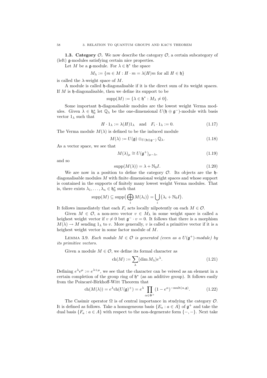**1.3. Category**  $\mathcal{O}$ **.** We now describe the category  $\mathcal{O}$ , a certain subcategory of (left) g-modules satisfying certain nice properties.

Let M be a  $\mathfrak{g}\text{-module}$ . For  $\lambda \in \mathfrak{h}^*$  the space

$$
M_{\lambda} := \{ m \in M : H \cdot m = \lambda(H)m \text{ for all } H \in \mathfrak{h} \}
$$

is called the  $\lambda$ -weight space of M.

A module is called h-diagonalisable if it is the direct sum of its weight spaces. If  $M$  is  $\mathfrak h$ -diagonalisable, then we define its support to be

$$
supp(M) := \{\lambda \in \mathfrak{h}^* : M_\lambda \neq 0\}.
$$

Some important h-diagonalisable modules are the lowest weight Verma modules. Given  $\lambda \in \mathfrak{h}_0^*$  let  $\mathbb{Q}_\lambda$  be the one-dimensional  $U(\mathfrak{h} \oplus \mathfrak{g}^-)$ -module with basis vector  $1_{\lambda}$  such that

$$
H \cdot 1_{\lambda} := \lambda(H) 1_{\lambda} \quad \text{and} \quad F_i \cdot 1_{\lambda} := 0. \tag{1.17}
$$

The Verma module  $M(\lambda)$  is defined to be the induced module

$$
M(\lambda) := U(\mathfrak{g}) \otimes_{U(\mathfrak{h} \oplus \mathfrak{g}^-)} \mathbb{Q}_{\lambda}.
$$
 (1.18)

As a vector space, we see that

$$
M(\lambda)_{\mu} \cong U(\mathfrak{g}^+)_{\mu-\lambda},\tag{1.19}
$$

and so

$$
supp(M(\lambda)) = \lambda + \mathbb{N}_0 I.
$$
\n(1.20)

We are now in a position to define the category  $\mathcal{O}$ . Its objects are the hdiagonalisable modules M with finite dimensional weight spaces and whose support is contained in the supports of finitely many lowest weight Verma modules. That is, there exists  $\lambda_1, \ldots, \lambda_n \in \mathfrak{h}_0^*$  such that

$$
\mathrm{supp}(M) \subseteq \mathrm{supp}\left(\bigoplus_i M(\lambda_i)\right) = \bigcup_i \left(\lambda_i + \mathbb{N}_0 I\right).
$$

It follows immediately that each  $F_i$  acts locally nilpotently on each  $M \in \mathcal{O}$ .

Given  $M \in \mathcal{O}$ , a non-zero vector  $v \in M_\lambda$  in some weight space is called a heighest weight vector if  $v \neq 0$  but  $\mathfrak{g}^- \cdot v = 0$ . It follows that there is a morphism  $M(\lambda) \to M$  sending  $1_{\lambda}$  to v. More generally, v is called a primitive vector if it is a heighest weight vector in some factor module of M.

LEMMA 3.9. Each module  $M \in \mathcal{O}$  is generated (even as a  $U(\mathfrak{g}^+)$ -module) by its primitive vectors.

Given a module  $M \in \mathcal{O}$ , we define its formal character as

$$
\operatorname{ch}(M) := \sum_{\lambda} (\dim M_{\lambda}) e^{\lambda}.
$$
 (1.21)

Defining  $e^{\lambda}e^{\mu} := e^{\lambda+\mu}$ , we see that the character can be veiwed as an element in a certain completion of the group ring of  $\mathfrak{h}^*$  (as an additive group). It follows easily from the Poincaré-Birkhoff-Witt Theorem that

$$
\operatorname{ch}(M(\lambda)) = e^{\lambda} \operatorname{ch}(U(\mathfrak{g})^+) = e^{\lambda} \prod_{\alpha \in \Phi^+} (1 - e^{\alpha})^{-\operatorname{mult}(\alpha, \mathfrak{g})}.
$$
 (1.22)

The Casimir operator  $\Omega$  is of central importance in studying the category  $\mathcal{O}$ . It is defined as follows. Take a homogeneous basis  $\{E_a : a \in A\}$  of  $\mathfrak{g}^+$  and take the dual basis  ${F_a : a \in A}$  with respect to the non-degenerate form  ${-, -}$ . Next take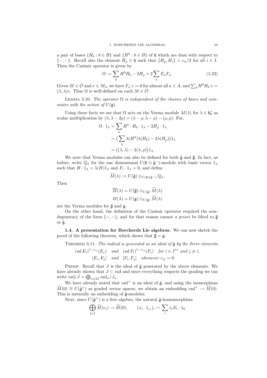a pair of bases  $\{H_b : b \in B\}$  and  $\{H^b : b \in B\}$  of h which are dual with respect to  ${-, -}.$  Recall also the element  $H_{\rho} \in \mathfrak{h}$  such that  ${H_{\rho}, H_i} = c_{ii}/2$  for all  $i \in I$ . Then the Casimir operator is given by

$$
\Omega := \sum_{b} H^{b} H_{b} - 2H_{\rho} + 2 \sum_{a} E_{a} F_{a}.
$$
\n(1.23)

Given  $M \in \mathcal{O}$  and  $v \in M_\lambda$ , we have  $F_a \cdot v = 0$  for almost all  $a \in A$ , and  $\sum_b H^b H_b \cdot v =$  $(\lambda, \lambda)v$ . Thus  $\Omega$  is well-defined on each  $M \in \mathcal{O}$ .

LEMMA 3.10. The operator  $\Omega$  is independent of the choices of bases and commutes with the action of  $U(\mathfrak{g})$ .

Using these facts we see that  $\Omega$  acts on the Verma module  $M(\lambda)$  for  $\lambda \in \mathfrak{h}_0^*$  as scalar multiplication by  $(\lambda, \lambda - 2\rho) = (\lambda - \rho, \lambda - \rho) - (\rho, \rho)$ . For,

$$
\Omega \cdot 1_{\lambda} = \sum_{b} H^{b} \cdot H_{b} \cdot 1_{\lambda} - 2H_{\rho} \cdot 1_{\lambda}
$$

$$
= \left( \sum_{b} \lambda (H^{b}) \lambda (H_{b}) - 2\lambda (H_{\rho}) \right) 1_{\lambda}
$$

$$
= \left( (\lambda, \lambda) - 2(\lambda, \rho) \right) 1_{\lambda}.
$$

We note that Verma modules can also be defined for both  $\tilde{\mathfrak{g}}$  and  $\overline{\mathfrak{g}}$ . In fact, as before, write  $\mathbb{Q}_\lambda$  for the one dimensional  $U(\mathfrak{h} \oplus \tilde{\mathfrak{g}}^-)$ -module with basis vector  $1_\lambda$ such that  $H \cdot 1_{\lambda} = \lambda(H)1_{\lambda}$  and  $F_i \cdot 1_{\lambda} = 0$ , and define

$$
M(\lambda):=U(\tilde{\mathfrak g})\otimes_{U(\mathfrak{h}\oplus\tilde{\mathfrak g}^-)}\mathbb Q_\lambda.
$$

Then

$$
\overline{M}(\lambda) = U(\overline{\mathfrak{g}}) \otimes_{U(\widetilde{\mathfrak{g}})} \widetilde{M}(\lambda)
$$

$$
M(\lambda) = U(\mathfrak{g}) \otimes_{U(\widetilde{\mathfrak{g}})} \widetilde{M}(\lambda)
$$

are the Verma modules for  $\overline{g}$  and  $g$ .

On the other hand, the definition of the Casimir operator required the nondegeneracy of the form  $\{-,-\}$ , and for that reason cannot a priori be lifted to  $\overline{\mathfrak{g}}$ or  $\tilde{g}$ .

1.4. A presentation for Borcherds Lie algebras. We can now sketch the proof of the following theorem, which shows that  $\bar{\mathfrak{g}} = \mathfrak{g}$ .

THEOREM 3.11. The radical is generated as an ideal of  $\tilde{\mathfrak{g}}$  by the Serre elements

$$
(\text{ad }E_i)^{1-c_{ij}}(E_j) \quad \text{and} \quad (\text{ad }F_i)^{1-c_{ij}}(F_j) \quad \text{for } i \in I^{re} \text{ and } j \neq i,
$$

 $[E_i, E_j]$  and  $[F_i, F_j]$  whenever  $c_{ij} = 0$ .

PROOF. Recall that  $J$  is the ideal of  $\tilde{\mathfrak{g}}$  generated by the above elements. We have already shown that  $J \subset \text{rad}$  and since everything respects the grading we can write rad $/J = \bigoplus_{\alpha \in \mathbb{Z}I} \text{rad}_{\alpha}/J_{\alpha}$ .

We have already noted that rad<sup>+</sup> is an ideal of  $\tilde{g}$ , and using the isomorphism  $\widetilde{M}(0) \cong U(\tilde{\mathfrak{g}}^+)$  as graded vector spaces, we obtain an embedding rad<sup>+</sup>  $\rightarrow \widetilde{M}(0)$ . This is naturally an embedding of  $\tilde{\mathfrak{g}}$ -modules.

Next, since  $U(\tilde{\mathfrak{g}}^+)$  is a free algebra, the natural  $\tilde{\mathfrak{g}}$ -homomorphism

$$
\bigoplus_{i \in I} \widetilde{M}(e_i) \to \widetilde{M}(0), \qquad (x_i \cdot 1_{e_i})_i \mapsto \sum_i x_i E_i \cdot 1_0
$$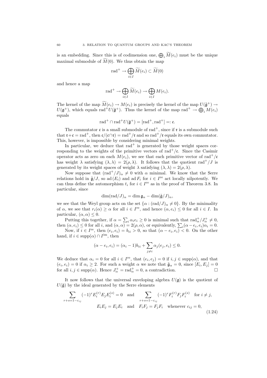is an embedding. Since this is of codimension one,  $\bigoplus_i \widetilde{M}(e_i)$  must be the unique maximal submodule of  $\widetilde{M}(0)$ . We thus obtain the map

$$
\mathrm{rad}^+ \to \bigoplus_{i \in I} \widetilde{M}(e_i) \subset \widetilde{M}(0)
$$

and hence a map

$$
\mathrm{rad}^+ \to \bigoplus_{i \in I} \widetilde{M}(e_i) \to \bigoplus_{i \in I} M(e_i).
$$

The kernel of the map  $M(e_i) \to M(e_i)$  is precisely the kernel of the map  $U(\tilde{\mathfrak{g}}^+) \to$  $U(\mathfrak{g}^+)$ , which equals rad<sup>+</sup> $U(\tilde{\mathfrak{g}}^+)$ . Thus the kernel of the map rad<sup>+</sup>  $\rightarrow \bigoplus_i M(e_i)$ equals

$$
\operatorname{rad}\nolimits^+\cap\operatorname{rad}\nolimits^+U(\tilde{\mathfrak g}^+)= [\operatorname{rad}\nolimits^+,\operatorname{rad}\nolimits^+]=:\mathfrak c.
$$

The commutator  $\mathfrak c$  is a small submodule of rad<sup>+</sup>, since if  $\mathfrak r$  is a submodule such that  $\mathfrak{r}+\mathfrak{c}=\text{rad}^+$ , then  $\mathfrak{c}/(\mathfrak{c}\cap\mathfrak{r})=\text{rad}^+/\mathfrak{r}$  and so rad<sup>+</sup>/ $\mathfrak{r}$  equals its own commutator. This, however, is impossible by considering minimal weights.

In particular, we deduce that  $rad<sup>+</sup>$  is generated by those weight spaces corresponding to the weights of the primitive vectors of rad<sup>+</sup>/ $\epsilon$ . Since the Casimir operator acts as zero on each  $M(e_i)$ , we see that each primitive vector of rad<sup>+</sup>/c has weight  $\lambda$  satisfying  $(\lambda, \lambda) = 2(\rho, \lambda)$ . It follows that the quotient rad<sup>+</sup>/J is generated by its weight spaces of weight  $\lambda$  satisfying  $(\lambda, \lambda) = 2(\rho, \lambda)$ .

Now suppose that  $\text{(rad}^+/J)_{\alpha} \neq 0$  with  $\alpha$  minimal. We know that the Serre relations hold in  $\tilde{\mathfrak{g}}/J$ , so ad  $(E_i)$  and ad  $F_i$  for  $i \in I^{\text{re}}$  act locally nilpotently. We can thus define the automorphism  $t_i$  for  $i \in I^{\text{re}}$  as in the proof of Theorem 3.8. In particular, since

$$
\dim(\mathrm{rad}/J)_{\alpha} = \dim \mathfrak{g}_{\alpha} - \dim(\tilde{\mathfrak{g}}/J)_{\alpha},
$$

we see that the Weyl group acts on the set  $\{\alpha : (rad/J)_{\alpha} \neq 0\}$ . By the minimality of  $\alpha$ , we see that  $r_i(\alpha) \geq \alpha$  for all  $i \in I^{\text{re}}$ , and hence  $(\alpha, e_i) \leq 0$  for all  $i \in I$ . In particular,  $(\alpha, \alpha) \leq 0$ .

Putting this together, if  $\alpha = \sum_i \alpha_i e_i \ge 0$  is minimal such that  $\text{rad}^+_{\alpha}/J^+_{\alpha} \ne 0$ , then  $(\alpha, e_i) \leq 0$  for all i, and  $(\alpha, \alpha) = 2(\rho, \alpha)$ , or equivalently,  $\sum_i (\alpha - e_i, e_i) \alpha_i = 0$ .

Now, if  $i \in I^{\text{re}}$ , then  $(e_i, e_i) = b_{ii} > 0$ , so that  $(\alpha - e_i, e_i) < 0$ . On the other hand, if  $i \in \text{supp}(\alpha) \cap I^{\text{im}}$ , then

$$
(\alpha - e_i, e_i) = (\alpha_i - 1)b_{ii} + \sum_{j \neq i} \alpha_j(e_j, e_i) \leq 0.
$$

We deduce that  $\alpha_i = 0$  for all  $i \in I^{\text{re}}$ , that  $(e_i, e_j) = 0$  if  $i, j \in \text{supp}(\alpha)$ , and that  $(e_i, e_i) = 0$  if  $\alpha_i \geq 2$ . For such a weight  $\alpha$  we note that  $\tilde{\mathfrak{g}}_{\alpha} = 0$ , since  $[E_i, E_j] = 0$ for all  $i, j \in \text{supp}(\alpha)$ . Hence  $J^+_{\alpha} = \text{rad}^+_{\alpha} = 0$ , a contradiction.

It now follows that the universal enveloping algebra  $U(\mathfrak{g})$  is the quotient of  $U(\tilde{\mathfrak{g}})$  by the ideal generated by the Serre elements

$$
\sum_{r+s=1-c_{ij}} (-1)^r E_i^{(r)} E_j E_i^{(s)} = 0 \text{ and } \sum_{r+s=1-c_{ij}} (-1)^r F_i^{(r)} F_j F_i^{(s)} \text{ for } i \neq j,
$$
  
\n
$$
E_i E_j = E_j E_i \text{ and } F_i F_j = F_j F_i \text{ whenever } c_{ij} = 0,
$$
\n(1.24)